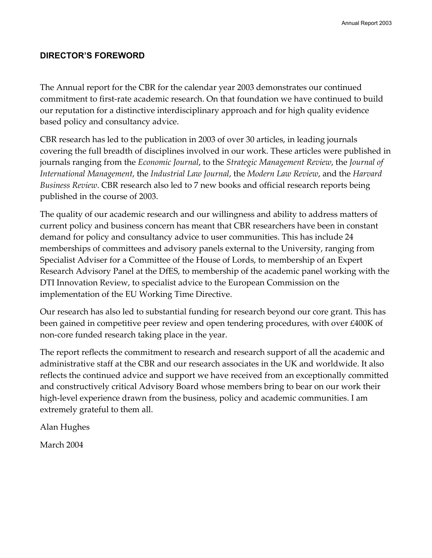# **DIRECTOR'S FOREWORD**

The Annual report for the CBR for the calendar year 2003 demonstrates our continued commitment to first-rate academic research. On that foundation we have continued to build our reputation for a distinctive interdisciplinary approach and for high quality evidence based policy and consultancy advice.

CBR research has led to the publication in 2003 of over 30 articles, in leading journals covering the full breadth of disciplines involved in our work. These articles were published in journals ranging from the *Economic Journal*, to the *Strategic Management Review*, the *Journal of International Management*, the *Industrial Law Journal*, the *Modern Law Review*, and the *Harvard Business Review*. CBR research also led to 7 new books and official research reports being published in the course of 2003.

The quality of our academic research and our willingness and ability to address matters of current policy and business concern has meant that CBR researchers have been in constant demand for policy and consultancy advice to user communities. This has include 24 memberships of committees and advisory panels external to the University, ranging from Specialist Adviser for a Committee of the House of Lords, to membership of an Expert Research Advisory Panel at the DfES, to membership of the academic panel working with the DTI Innovation Review, to specialist advice to the European Commission on the implementation of the EU Working Time Directive.

Our research has also led to substantial funding for research beyond our core grant. This has been gained in competitive peer review and open tendering procedures, with over £400K of non-core funded research taking place in the year.

The report reflects the commitment to research and research support of all the academic and administrative staff at the CBR and our research associates in the UK and worldwide. It also reflects the continued advice and support we have received from an exceptionally committed and constructively critical Advisory Board whose members bring to bear on our work their high-level experience drawn from the business, policy and academic communities. I am extremely grateful to them all.

Alan Hughes

March 2004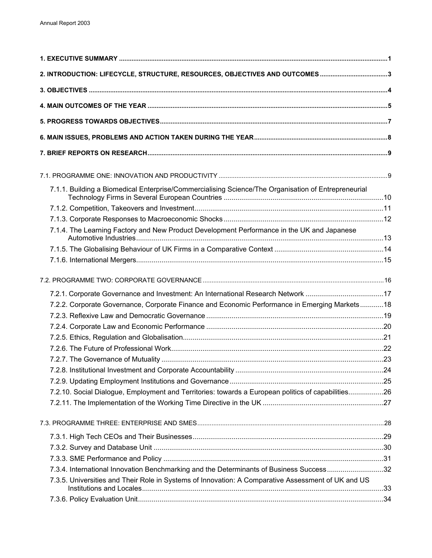| 2. INTRODUCTION: LIFECYCLE, STRUCTURE, RESOURCES, OBJECTIVES AND OUTCOMES 3                         |  |
|-----------------------------------------------------------------------------------------------------|--|
|                                                                                                     |  |
|                                                                                                     |  |
|                                                                                                     |  |
|                                                                                                     |  |
|                                                                                                     |  |
|                                                                                                     |  |
| 7.1.1. Building a Biomedical Enterprise/Commercialising Science/The Organisation of Entrepreneurial |  |
|                                                                                                     |  |
|                                                                                                     |  |
| 7.1.4. The Learning Factory and New Product Development Performance in the UK and Japanese          |  |
|                                                                                                     |  |
|                                                                                                     |  |
|                                                                                                     |  |
|                                                                                                     |  |
| 7.2.1. Corporate Governance and Investment: An International Research Network 17                    |  |
| 7.2.2. Corporate Governance, Corporate Finance and Economic Performance in Emerging Markets18       |  |
|                                                                                                     |  |
|                                                                                                     |  |
|                                                                                                     |  |
|                                                                                                     |  |
|                                                                                                     |  |
|                                                                                                     |  |
|                                                                                                     |  |
| 7.2.10. Social Dialogue, Employment and Territories: towards a European politics of capabilities26  |  |
|                                                                                                     |  |
|                                                                                                     |  |
|                                                                                                     |  |
|                                                                                                     |  |
|                                                                                                     |  |
| 7.3.4. International Innovation Benchmarking and the Determinants of Business Success32             |  |
| 7.3.5. Universities and Their Role in Systems of Innovation: A Comparative Assessment of UK and US  |  |
|                                                                                                     |  |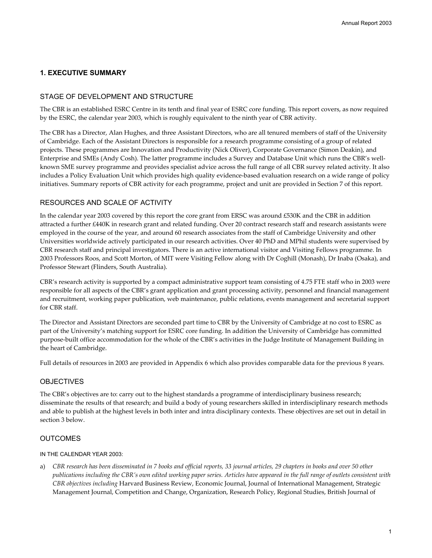### **1. EXECUTIVE SUMMARY**

#### STAGE OF DEVELOPMENT AND STRUCTURE

The CBR is an established ESRC Centre in its tenth and final year of ESRC core funding. This report covers, as now required by the ESRC, the calendar year 2003, which is roughly equivalent to the ninth year of CBR activity.

The CBR has a Director, Alan Hughes, and three Assistant Directors, who are all tenured members of staff of the University of Cambridge. Each of the Assistant Directors is responsible for a research programme consisting of a group of related projects. These programmes are Innovation and Productivity (Nick Oliver), Corporate Governance (Simon Deakin), and Enterprise and SMEs (Andy Cosh). The latter programme includes a Survey and Database Unit which runs the CBR's wellknown SME survey programme and provides specialist advice across the full range of all CBR survey related activity. It also includes a Policy Evaluation Unit which provides high quality evidence-based evaluation research on a wide range of policy initiatives. Summary reports of CBR activity for each programme, project and unit are provided in Section 7 of this report.

#### RESOURCES AND SCALE OF ACTIVITY

In the calendar year 2003 covered by this report the core grant from ERSC was around £530K and the CBR in addition attracted a further £440K in research grant and related funding. Over 20 contract research staff and research assistants were employed in the course of the year, and around 60 research associates from the staff of Cambridge University and other Universities worldwide actively participated in our research activities. Over 40 PhD and MPhil students were supervised by CBR research staff and principal investigators. There is an active international visitor and Visiting Fellows programme. In 2003 Professors Roos, and Scott Morton, of MIT were Visiting Fellow along with Dr Coghill (Monash), Dr Inaba (Osaka), and Professor Stewart (Flinders, South Australia).

CBR's research activity is supported by a compact administrative support team consisting of 4.75 FTE staff who in 2003 were responsible for all aspects of the CBR's grant application and grant processing activity, personnel and financial management and recruitment, working paper publication, web maintenance, public relations, events management and secretarial support for CBR staff.

The Director and Assistant Directors are seconded part time to CBR by the University of Cambridge at no cost to ESRC as part of the University's matching support for ESRC core funding. In addition the University of Cambridge has committed purpose-built office accommodation for the whole of the CBR's activities in the Judge Institute of Management Building in the heart of Cambridge.

Full details of resources in 2003 are provided in Appendix 6 which also provides comparable data for the previous 8 years.

#### **OBJECTIVES**

The CBR's objectives are to: carry out to the highest standards a programme of interdisciplinary business research; disseminate the results of that research; and build a body of young researchers skilled in interdisciplinary research methods and able to publish at the highest levels in both inter and intra disciplinary contexts. These objectives are set out in detail in section 3 below.

#### **OUTCOMES**

#### IN THE CALENDAR YEAR 2003:

a) *CBR research has been disseminated in 7 books and official reports, 33 journal articles, 29 chapters in books and over 50 other publications including the CBR's own edited working paper series. Articles have appeared in the full range of outlets consistent with CBR objectives including* Harvard Business Review, Economic Journal, Journal of International Management, Strategic Management Journal, Competition and Change, Organization, Research Policy, Regional Studies, British Journal of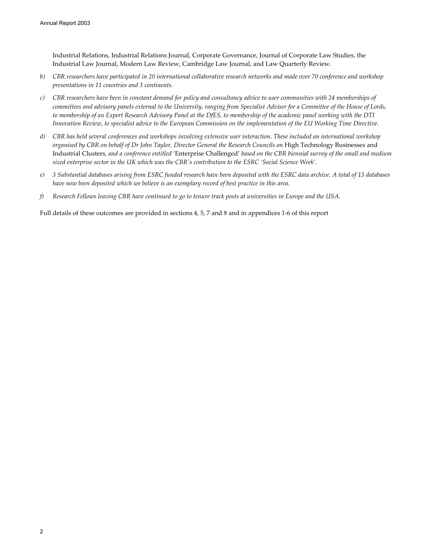Industrial Relations, Industrial Relations Journal, Corporate Governance, Journal of Corporate Law Studies, the Industrial Law Journal, Modern Law Review, Cambridge Law Journal, and Law Quarterly Review.

- *b) CBR researchers have participated in 20 international collaborative research networks and made over 70 conference and workshop presentations in 11 countries and 3 continents.*
- *c) CBR researchers have been in constant demand for policy and consultancy advice to user communities with 24 memberships of committees and advisory panels external to the University, ranging from Specialist Adviser for a Committee of the House of Lords, to membership of an Expert Research Advisory Panel at the DfES, to membership of the academic panel working with the DTI Innovation Review, to specialist advice to the European Commission on the implementation of the EU Working Time Directive.*
- *d) CBR has held several conferences and workshops involving extensive user interaction. These included an international workshop organised by CBR on behalf of Dr John Taylor, Director General the Research Councils on* High Technology Businesses and Industrial Clusters*, and a conference entitled* 'Enterprise Challenged' *based on the CBR biennial survey of the small and medium sized enterprise sector in the UK which was the CBR's contribution to the ESRC 'Social Science Week'.*
- *e) 3 Substantial databases arising from ESRC funded research have been deposited with the ESRC data archive. A total of 13 databases have now been deposited which we believe is an exemplary record of best practice in this area.*
- *f) Research Fellows leaving CBR have continued to go to tenure track posts at universities in Europe and the USA.*

Full details of these outcomes are provided in sections 4, 5, 7 and 8 and in appendices 1-6 of this report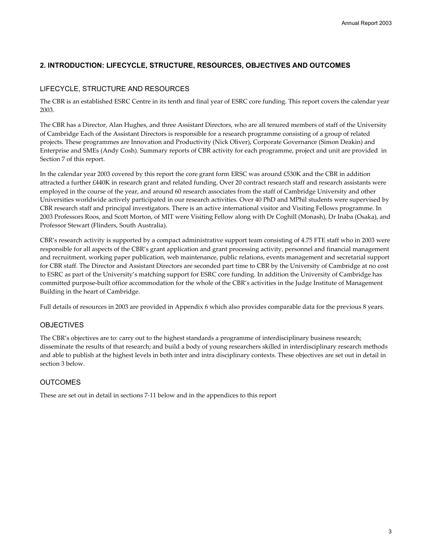# **2. INTRODUCTION: LIFECYCLE, STRUCTURE, RESOURCES, OBJECTIVES AND OUTCOMES**

### LIFECYCLE, STRUCTURE AND RESOURCES

The CBR is an established ESRC Centre in its tenth and final year of ESRC core funding. This report covers the calendar year 2003.

The CBR has a Director, Alan Hughes, and three Assistant Directors, who are all tenured members of staff of the University of Cambridge Each of the Assistant Directors is responsible for a research programme consisting of a group of related projects. These programmes are Innovation and Productivity (Nick Oliver), Corporate Governance (Simon Deakin) and Enterprise and SMEs (Andy Cosh). Summary reports of CBR activity for each programme, project and unit are provided in Section 7 of this report.

In the calendar year 2003 covered by this report the core grant form ERSC was around £530K and the CBR in addition attracted a further £440K in research grant and related funding. Over 20 contract research staff and research assistants were employed in the course of the year, and around 60 research associates from the staff of Cambridge University and other Universities worldwide actively participated in our research activities. Over 40 PhD and MPhil students were supervised by CBR research staff and principal investigators. There is an active international visitor and Visiting Fellows programme. In 2003 Professors Roos, and Scott Morton, of MIT were Visiting Fellow along with Dr Coghill (Monash), Dr Inaba (Osaka), and Professor Stewart (Flinders, South Australia).

CBR's research activity is supported by a compact administrative support team consisting of 4.75 FTE staff who in 2003 were responsible for all aspects of the CBR's grant application and grant processing activity, personnel and financial management and recruitment, working paper publication, web maintenance, public relations, events management and secretarial support for CBR staff. The Director and Assistant Directors are seconded part time to CBR by the University of Cambridge at no cost to ESRC as part of the University's matching support for ESRC core funding. In addition the University of Cambridge has committed purpose-built office accommodation for the whole of the CBR's activities in the Judge Institute of Management Building in the heart of Cambridge.

Full details of resources in 2003 are provided in Appendix 6 which also provides comparable data for the previous 8 years.

#### **OBJECTIVES**

The CBR's objectives are to: carry out to the highest standards a programme of interdisciplinary business research; disseminate the results of that research; and build a body of young researchers skilled in interdisciplinary research methods and able to publish at the highest levels in both inter and intra disciplinary contexts. These objectives are set out in detail in section 3 below.

### **OUTCOMES**

These are set out in detail in sections 7-11 below and in the appendices to this report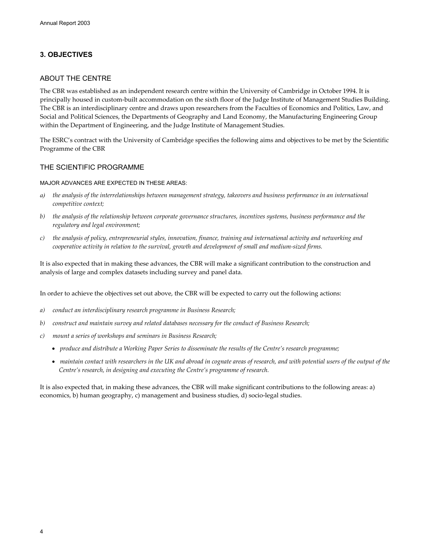# **3. OBJECTIVES**

#### ABOUT THE CENTRE

The CBR was established as an independent research centre within the University of Cambridge in October 1994. It is principally housed in custom-built accommodation on the sixth floor of the Judge Institute of Management Studies Building. The CBR is an interdisciplinary centre and draws upon researchers from the Faculties of Economics and Politics, Law, and Social and Political Sciences, the Departments of Geography and Land Economy, the Manufacturing Engineering Group within the Department of Engineering, and the Judge Institute of Management Studies.

The ESRC's contract with the University of Cambridge specifies the following aims and objectives to be met by the Scientific Programme of the CBR

#### THE SCIENTIFIC PROGRAMME

MAJOR ADVANCES ARE EXPECTED IN THESE AREAS:

- *a) the analysis of the interrelationships between management strategy, takeovers and business performance in an international competitive context;*
- *b) the analysis of the relationship between corporate governance structures, incentives systems, business performance and the regulatory and legal environment;*
- *c) the analysis of policy, entrepreneurial styles, innovation, finance, training and international activity and networking and cooperative activity in relation to the survival, growth and development of small and medium-sized firms.*

It is also expected that in making these advances, the CBR will make a significant contribution to the construction and analysis of large and complex datasets including survey and panel data.

In order to achieve the objectives set out above, the CBR will be expected to carry out the following actions:

- *a) conduct an interdisciplinary research programme in Business Research;*
- *b) construct and maintain survey and related databases necessary for the conduct of Business Research;*
- *c) mount a series of workshops and seminars in Business Research;* 
	- *produce and distribute a Working Paper Series to disseminate the results of the Centre's research programme;*
	- *maintain contact with researchers in the UK and abroad in cognate areas of research, and with potential users of the output of the Centre's research, in designing and executing the Centre's programme of research.*

It is also expected that, in making these advances, the CBR will make significant contributions to the following areas: a) economics, b) human geography, c) management and business studies, d) socio-legal studies.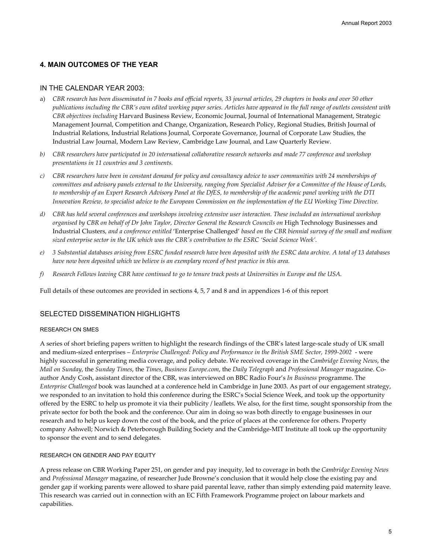# **4. MAIN OUTCOMES OF THE YEAR**

#### IN THE CALENDAR YEAR 2003:

- a) *CBR research has been disseminated in 7 books and official reports, 33 journal articles, 29 chapters in books and over 50 other publications including the CBR's own edited working paper series. Articles have appeared in the full range of outlets consistent with CBR objectives including* Harvard Business Review, Economic Journal, Journal of International Management, Strategic Management Journal, Competition and Change, Organization, Research Policy, Regional Studies, British Journal of Industrial Relations, Industrial Relations Journal, Corporate Governance, Journal of Corporate Law Studies, the Industrial Law Journal, Modern Law Review, Cambridge Law Journal, and Law Quarterly Review.
- *b) CBR researchers have participated in 20 international collaborative research networks and made 77 conference and workshop presentations in 11 countries and 3 continents.*
- *c) CBR researchers have been in constant demand for policy and consultancy advice to user communities with 24 memberships of committees and advisory panels external to the University, ranging from Specialist Adviser for a Committee of the House of Lords, to membership of an Expert Research Advisory Panel at the DfES, to membership of the academic panel working with the DTI Innovation Review, to specialist advice to the European Commission on the implementation of the EU Working Time Directive.*
- *d) CBR has held several conferences and workshops involving extensive user interaction. These included an international workshop organised by CBR on behalf of Dr John Taylor, Director General the Research Councils on* High Technology Businesses and Industrial Clusters*, and a conference entitled* 'Enterprise Challenged' *based on the CBR biennial survey of the small and medium sized enterprise sector in the UK which was the CBR's contribution to the ESRC 'Social Science Week'.*
- *e) 3 Substantial databases arising from ESRC funded research have been deposited with the ESRC data archive. A total of 13 databases have now been deposited which we believe is an exemplary record of best practice in this area.*
- *f) Research Fellows leaving CBR have continued to go to tenure track posts at Universities in Europe and the USA.*

Full details of these outcomes are provided in sections 4, 5, 7 and 8 and in appendices 1-6 of this report

#### SELECTED DISSEMINATION HIGHLIGHTS

#### RESEARCH ON SMES

A series of short briefing papers written to highlight the research findings of the CBR's latest large-scale study of UK small and medium-sized enterprises – *Enterprise Challenged: Policy and Performance in the British SME Sector, 1999-2002* - were highly successful in generating media coverage, and policy debate. We received coverage in the *Cambridge Evening News*, the *Mail on Sunday*, the *Sunday Times*, the *Times*, *Business Europe.com*, the *Daily Telegraph* and *Professional Manager* magazine. Coauthor Andy Cosh, assistant director of the CBR, was interviewed on BBC Radio Four's *In Business* programme. The *Enterprise Challenged* book was launched at a conference held in Cambridge in June 2003. As part of our engagement strategy, we responded to an invitation to hold this conference during the ESRC's Social Science Week, and took up the opportunity offered by the ESRC to help us promote it via their publicity / leaflets. We also, for the first time, sought sponsorship from the private sector for both the book and the conference. Our aim in doing so was both directly to engage businesses in our research and to help us keep down the cost of the book, and the price of places at the conference for others. Property company Ashwell; Norwich & Peterborough Building Society and the Cambridge-MIT Institute all took up the opportunity to sponsor the event and to send delegates.

#### RESEARCH ON GENDER AND PAY EQUITY

A press release on CBR Working Paper 251, on gender and pay inequity, led to coverage in both the *Cambridge Evening News* and *Professional Manager* magazine, of researcher Jude Browne's conclusion that it would help close the existing pay and gender gap if working parents were allowed to share paid parental leave, rather than simply extending paid maternity leave. This research was carried out in connection with an EC Fifth Framework Programme project on labour markets and capabilities.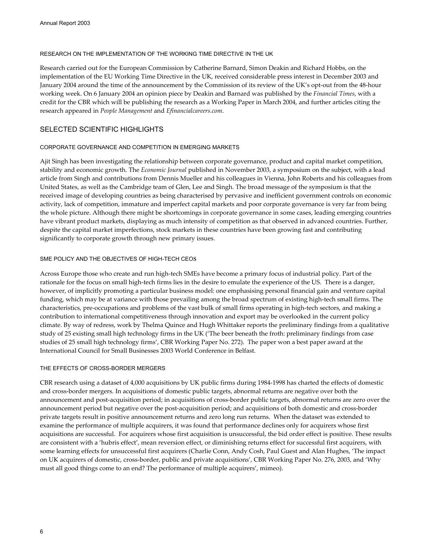#### RESEARCH ON THE IMPLEMENTATION OF THE WORKING TIME DIRECTIVE IN THE UK

Research carried out for the European Commission by Catherine Barnard, Simon Deakin and Richard Hobbs, on the implementation of the EU Working Time Directive in the UK, received considerable press interest in December 2003 and January 2004 around the time of the announcement by the Commission of its review of the UK's opt-out from the 48-hour working week. On 6 January 2004 an opinion piece by Deakin and Barnard was published by the *Financial Times*, with a credit for the CBR which will be publishing the research as a Working Paper in March 2004, and further articles citing the research appeared in *People Management* and *Efinancialcareers.com*.

# SELECTED SCIENTIFIC HIGHLIGHTS

#### CORPORATE GOVERNANCE AND COMPETITION IN EMERGING MARKETS

Ajit Singh has been investigating the relationship between corporate governance, product and capital market competition, stability and economic growth. The *Economic Journal* published in November 2003, a symposium on the subject, with a lead article from Singh and contributions from Dennis Mueller and his colleagues in Vienna, John Roberts and his colleagues from United States, as well as the Cambridge team of Glen, Lee and Singh. The broad message of the symposium is that the received image of developing countries as being characterised by pervasive and inefficient government controls on economic activity, lack of competition, immature and imperfect capital markets and poor corporate governance is very far from being the whole picture. Although there might be shortcomings in corporate governance in some cases, leading emerging countries have vibrant product markets, displaying as much intensity of competition as that observed in advanced countries. Further, despite the capital market imperfections, stock markets in these countries have been growing fast and contributing significantly to corporate growth through new primary issues.

#### SME POLICY AND THE OBJECTIVES OF HIGH-TECH CEOs

Across Europe those who create and run high-tech SMEs have become a primary focus of industrial policy. Part of the rationale for the focus on small high-tech firms lies in the desire to emulate the experience of the US. There is a danger, however, of implicitly promoting a particular business model: one emphasising personal financial gain and venture capital funding, which may be at variance with those prevailing among the broad spectrum of existing high-tech small firms. The characteristics, pre-occupations and problems of the vast bulk of small firms operating in high-tech sectors, and making a contribution to international competitiveness through innovation and export may be overlooked in the current policy climate. By way of redress, work by Thelma Quince and Hugh Whittaker reports the preliminary findings from a qualitative study of 25 existing small high technology firms in the UK ('The beer beneath the froth: preliminary findings from case studies of 25 small high technology firms', CBR Working Paper No. 272). The paper won a best paper award at the International Council for Small Businesses 2003 World Conference in Belfast.

#### THE EFFECTS OF CROSS-BORDER MERGERS

CBR research using a dataset of 4,000 acquisitions by UK public firms during 1984-1998 has charted the effects of domestic and cross-border mergers. In acquisitions of domestic public targets, abnormal returns are negative over both the announcement and post-acquisition period; in acquisitions of cross-border public targets, abnormal returns are zero over the announcement period but negative over the post-acquisition period; and acquisitions of both domestic and cross-border private targets result in positive announcement returns and zero long run returns. When the dataset was extended to examine the performance of multiple acquirers, it was found that performance declines only for acquirers whose first acquisitions are successful. For acquirers whose first acquisition is unsuccessful, the bid order effect is positive. These results are consistent with a 'hubris effect', mean reversion effect, or diminishing returns effect for successful first acquirers, with some learning effects for unsuccessful first acquirers (Charlie Conn, Andy Cosh, Paul Guest and Alan Hughes, 'The impact on UK acquirers of domestic, cross-border, public and private acquisitions', CBR Working Paper No. 276, 2003, and 'Why must all good things come to an end? The performance of multiple acquirers', mimeo).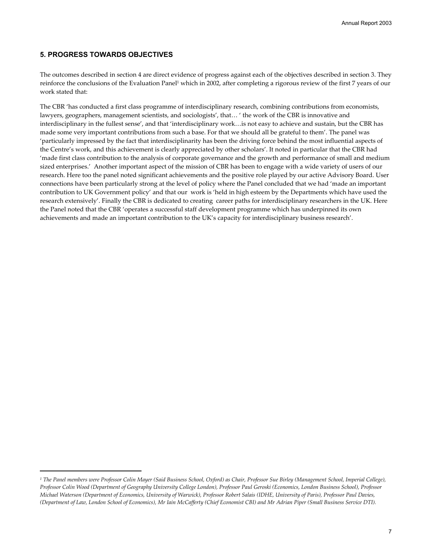### **5. PROGRESS TOWARDS OBJECTIVES**

 $\overline{a}$ 

The outcomes described in section 4 are direct evidence of progress against each of the objectives described in section 3. They reinforce the conclusions of the Evaluation Panel<sup>1</sup> which in 2002, after completing a rigorous review of the first 7 years of our work stated that:

The CBR 'has conducted a first class programme of interdisciplinary research, combining contributions from economists, lawyers, geographers, management scientists, and sociologists', that… ' the work of the CBR is innovative and interdisciplinary in the fullest sense', and that 'interdisciplinary work…is not easy to achieve and sustain, but the CBR has made some very important contributions from such a base. For that we should all be grateful to them'. The panel was 'particularly impressed by the fact that interdisciplinarity has been the driving force behind the most influential aspects of the Centre's work, and this achievement is clearly appreciated by other scholars'. It noted in particular that the CBR had 'made first class contribution to the analysis of corporate governance and the growth and performance of small and medium sized enterprises.' Another important aspect of the mission of CBR has been to engage with a wide variety of users of our research. Here too the panel noted significant achievements and the positive role played by our active Advisory Board. User connections have been particularly strong at the level of policy where the Panel concluded that we had 'made an important contribution to UK Government policy' and that our work is 'held in high esteem by the Departments which have used the research extensively'. Finally the CBR is dedicated to creating career paths for interdisciplinary researchers in the UK. Here the Panel noted that the CBR 'operates a successful staff development programme which has underpinned its own achievements and made an important contribution to the UK's capacity for interdisciplinary business research'.

*<sup>1</sup> The Panel members were Professor Colin Mayer (Said Business School, Oxford) as Chair, Professor Sue Birley (Management School, Imperial College), Professor Colin Wood (Department of Geography University College London), Professor Paul Geroski (Economics, London Business School), Professor Michael Waterson (Department of Economics, University of Warwick), Professor Robert Salais (IDHE, University of Paris), Professor Paul Davies, (Department of Law, London School of Economics), Mr Iain McCafferty (Chief Economist CBI) and Mr Adrian Piper (Small Business Service DTI).*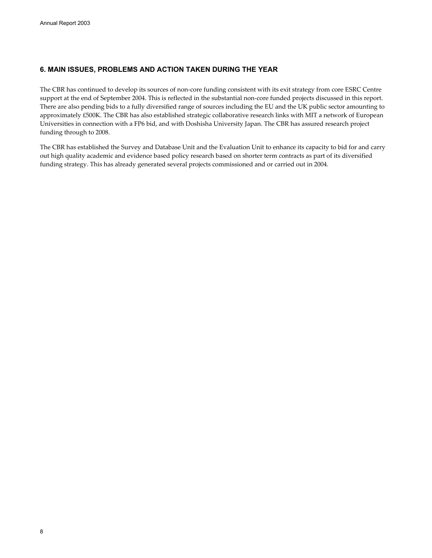### **6. MAIN ISSUES, PROBLEMS AND ACTION TAKEN DURING THE YEAR**

The CBR has continued to develop its sources of non-core funding consistent with its exit strategy from core ESRC Centre support at the end of September 2004. This is reflected in the substantial non-core funded projects discussed in this report. There are also pending bids to a fully diversified range of sources including the EU and the UK public sector amounting to approximately £500K. The CBR has also established strategic collaborative research links with MIT a network of European Universities in connection with a FP6 bid, and with Doshisha University Japan. The CBR has assured research project funding through to 2008.

The CBR has established the Survey and Database Unit and the Evaluation Unit to enhance its capacity to bid for and carry out high quality academic and evidence based policy research based on shorter term contracts as part of its diversified funding strategy. This has already generated several projects commissioned and or carried out in 2004.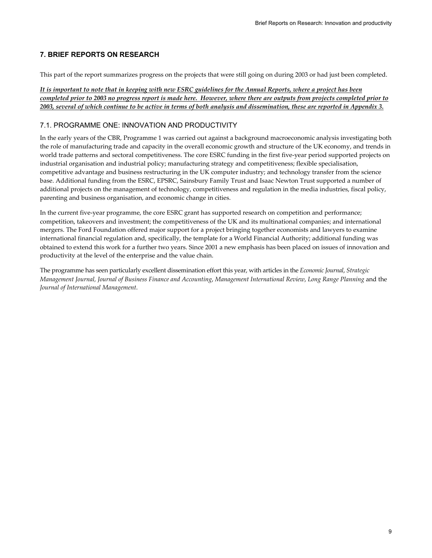# **7. BRIEF REPORTS ON RESEARCH**

This part of the report summarizes progress on the projects that were still going on during 2003 or had just been completed.

*It is important to note that in keeping with new ESRC guidelines for the Annual Reports, where a project has been completed prior to 2003 no progress report is made here. However, where there are outputs from projects completed prior to 2003, several of which continue to be active in terms of both analysis and dissemination, these are reported in Appendix 3.*

# 7.1. PROGRAMME ONE: INNOVATION AND PRODUCTIVITY

In the early years of the CBR, Programme 1 was carried out against a background macroeconomic analysis investigating both the role of manufacturing trade and capacity in the overall economic growth and structure of the UK economy, and trends in world trade patterns and sectoral competitiveness. The core ESRC funding in the first five-year period supported projects on industrial organisation and industrial policy; manufacturing strategy and competitiveness; flexible specialisation, competitive advantage and business restructuring in the UK computer industry; and technology transfer from the science base. Additional funding from the ESRC, EPSRC, Sainsbury Family Trust and Isaac Newton Trust supported a number of additional projects on the management of technology, competitiveness and regulation in the media industries, fiscal policy, parenting and business organisation, and economic change in cities.

In the current five-year programme, the core ESRC grant has supported research on competition and performance; competition, takeovers and investment; the competitiveness of the UK and its multinational companies; and international mergers. The Ford Foundation offered major support for a project bringing together economists and lawyers to examine international financial regulation and, specifically, the template for a World Financial Authority; additional funding was obtained to extend this work for a further two years. Since 2001 a new emphasis has been placed on issues of innovation and productivity at the level of the enterprise and the value chain.

The programme has seen particularly excellent dissemination effort this year, with articles in the *Economic Journal*, *Strategic Management Journal, Journal of Business Finance and Accounting*, *Management International Review*, *Long Range Planning* and the *Journal of International Management*.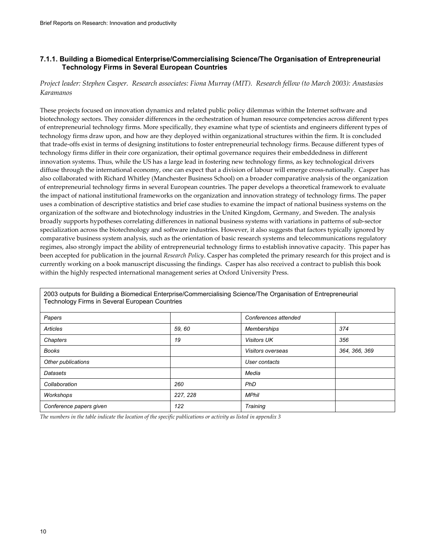### **7.1.1. Building a Biomedical Enterprise/Commercialising Science/The Organisation of Entrepreneurial Technology Firms in Several European Countries**

*Project leader: Stephen Casper. Research associates: Fiona Murray (MIT). Research fellow (to March 2003): Anastasios Karamanos* 

These projects focused on innovation dynamics and related public policy dilemmas within the Internet software and biotechnology sectors. They consider differences in the orchestration of human resource competencies across different types of entrepreneurial technology firms. More specifically, they examine what type of scientists and engineers different types of technology firms draw upon, and how are they deployed within organizational structures within the firm. It is concluded that trade-offs exist in terms of designing institutions to foster entrepreneurial technology firms. Because different types of technology firms differ in their core organization, their optimal governance requires their embeddedness in different innovation systems. Thus, while the US has a large lead in fostering new technology firms, as key technological drivers diffuse through the international economy, one can expect that a division of labour will emerge cross-nationally. Casper has also collaborated with Richard Whitley (Manchester Business School) on a broader comparative analysis of the organization of entrepreneurial technology firms in several European countries. The paper develops a theoretical framework to evaluate the impact of national institutional frameworks on the organization and innovation strategy of technology firms. The paper uses a combination of descriptive statistics and brief case studies to examine the impact of national business systems on the organization of the software and biotechnology industries in the United Kingdom, Germany, and Sweden. The analysis broadly supports hypotheses correlating differences in national business systems with variations in patterns of sub-sector specialization across the biotechnology and software industries. However, it also suggests that factors typically ignored by comparative business system analysis, such as the orientation of basic research systems and telecommunications regulatory regimes, also strongly impact the ability of entrepreneurial technology firms to establish innovative capacity. This paper has been accepted for publication in the journal *Research Policy*. Casper has completed the primary research for this project and is currently working on a book manuscript discussing the findings. Casper has also received a contract to publish this book within the highly respected international management series at Oxford University Press.

| i echnology Firms in Several European Countries |          |                      |               |
|-------------------------------------------------|----------|----------------------|---------------|
| Papers                                          |          | Conferences attended |               |
| Articles                                        | 59,60    | <b>Memberships</b>   | 374           |
| Chapters                                        | 19       | <b>Visitors UK</b>   | 356           |
| <b>Books</b>                                    |          | Visitors overseas    | 364, 366, 369 |
| Other publications                              |          | User contacts        |               |
| Datasets                                        |          | Media                |               |
| Collaboration                                   | 260      | PhD                  |               |
| Workshops                                       | 227, 228 | <b>MPhil</b>         |               |
| Conference papers given                         | 122      | Training             |               |

2003 outputs for Building a Biomedical Enterprise/Commercialising Science/The Organisation of Entrepreneurial Technology Firms in Several European Countries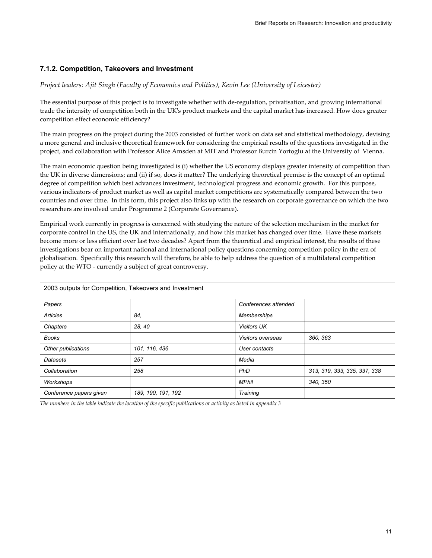# **7.1.2. Competition, Takeovers and Investment**

#### *Project leaders: Ajit Singh (Faculty of Economics and Politics), Kevin Lee (University of Leicester)*

The essential purpose of this project is to investigate whether with de-regulation, privatisation, and growing international trade the intensity of competition both in the UK's product markets and the capital market has increased. How does greater competition effect economic efficiency?

The main progress on the project during the 2003 consisted of further work on data set and statistical methodology, devising a more general and inclusive theoretical framework for considering the empirical results of the questions investigated in the project, and collaboration with Professor Alice Amsden at MIT and Professor Burcin Yortoglu at the University of Vienna.

The main economic question being investigated is (i) whether the US economy displays greater intensity of competition than the UK in diverse dimensions; and (ii) if so, does it matter? The underlying theoretical premise is the concept of an optimal degree of competition which best advances investment, technological progress and economic growth. For this purpose, various indicators of product market as well as capital market competitions are systematically compared between the two countries and over time. In this form, this project also links up with the research on corporate governance on which the two researchers are involved under Programme 2 (Corporate Governance).

Empirical work currently in progress is concerned with studying the nature of the selection mechanism in the market for corporate control in the US, the UK and internationally, and how this market has changed over time. Have these markets become more or less efficient over last two decades? Apart from the theoretical and empirical interest, the results of these investigations bear on important national and international policy questions concerning competition policy in the era of globalisation. Specifically this research will therefore, be able to help address the question of a multilateral competition policy at the WTO - currently a subject of great controversy.

| 2003 outputs for Competition, Takeovers and Investment |                    |                      |                              |
|--------------------------------------------------------|--------------------|----------------------|------------------------------|
| Papers                                                 |                    | Conferences attended |                              |
| Articles                                               | 84.                | Memberships          |                              |
| Chapters                                               | 28, 40             | <b>Visitors UK</b>   |                              |
| <b>Books</b>                                           |                    | Visitors overseas    | 360, 363                     |
| Other publications                                     | 101, 116, 436      | User contacts        |                              |
| Datasets                                               | 257                | Media                |                              |
| Collaboration                                          | 258                | PhD                  | 313, 319, 333, 335, 337, 338 |
| Workshops                                              |                    | <b>MPhil</b>         | 340, 350                     |
| Conference papers given                                | 189, 190, 191, 192 | Training             |                              |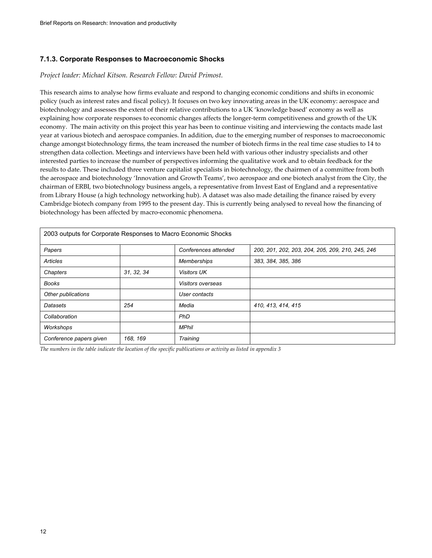### **7.1.3. Corporate Responses to Macroeconomic Shocks**

#### *Project leader: Michael Kitson. Research Fellow: David Primost.*

This research aims to analyse how firms evaluate and respond to changing economic conditions and shifts in economic policy (such as interest rates and fiscal policy). It focuses on two key innovating areas in the UK economy: aerospace and biotechnology and assesses the extent of their relative contributions to a UK 'knowledge based' economy as well as explaining how corporate responses to economic changes affects the longer-term competitiveness and growth of the UK economy. The main activity on this project this year has been to continue visiting and interviewing the contacts made last year at various biotech and aerospace companies. In addition, due to the emerging number of responses to macroeconomic change amongst biotechnology firms, the team increased the number of biotech firms in the real time case studies to 14 to strengthen data collection. Meetings and interviews have been held with various other industry specialists and other interested parties to increase the number of perspectives informing the qualitative work and to obtain feedback for the results to date. These included three venture capitalist specialists in biotechnology, the chairmen of a committee from both the aerospace and biotechnology 'Innovation and Growth Teams', two aerospace and one biotech analyst from the City, the chairman of ERBI, two biotechnology business angels, a representative from Invest East of England and a representative from Library House (a high technology networking hub). A dataset was also made detailing the finance raised by every Cambridge biotech company from 1995 to the present day. This is currently being analysed to reveal how the financing of biotechnology has been affected by macro-economic phenomena.

| 2003 outputs for Corporate Responses to Macro Economic Shocks |            |                      |                                                  |
|---------------------------------------------------------------|------------|----------------------|--------------------------------------------------|
| Papers                                                        |            | Conferences attended | 200, 201, 202, 203, 204, 205, 209, 210, 245, 246 |
| Articles                                                      |            | <b>Memberships</b>   | 383, 384, 385, 386                               |
| Chapters                                                      | 31, 32, 34 | <b>Visitors UK</b>   |                                                  |
| <b>Books</b>                                                  |            | Visitors overseas    |                                                  |
| Other publications                                            |            | User contacts        |                                                  |
| Datasets                                                      | 254        | Media                | 410, 413, 414, 415                               |
| Collaboration                                                 |            | PhD                  |                                                  |
| Workshops                                                     |            | <b>MPhil</b>         |                                                  |
| Conference papers given                                       | 168, 169   | Training             |                                                  |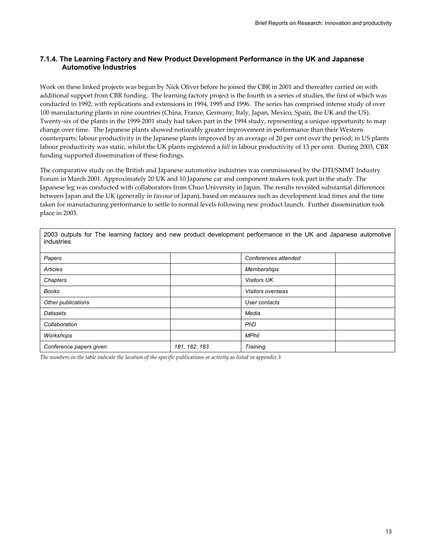### **7.1.4. The Learning Factory and New Product Development Performance in the UK and Japanese Automotive Industries**

Work on these linked projects was begun by Nick Oliver before he joined the CBR in 2001 and thereafter carried on with additional support from CBR funding. The learning factory project is the fourth in a series of studies, the first of which was conducted in 1992, with replications and extensions in 1994, 1995 and 1996. The series has comprised intense study of over 100 manufacturing plants in nine countries (China, France, Germany, Italy, Japan, Mexico, Spain, the UK and the US). Twenty-six of the plants in the 1999-2001 study had taken part in the 1994 study, representing a unique opportunity to map change over time. The Japanese plants showed noticeably greater improvement in performance than their Western counterparts; labour productivity in the Japanese plants improved by an average of 20 per cent over the period; in US plants labour productivity was static, whilst the UK plants registered a *fall* in labour productivity of 13 per cent. During 2003, CBR funding supported dissemination of these findings.

The comparative study on the British and Japanese automotive industries was commissioned by the DTI/SMMT Industry Forum in March 2001. Approximately 20 UK and 10 Japanese car and component makers took part in the study. The Japanese leg was conducted with collaborators from Chuo University in Japan. The results revealed substantial differences between Japan and the UK (generally in favour of Japan), based on measures such as development lead times and the time taken for manufacturing performance to settle to normal levels following new product launch. Further dissemination took place in 2003.

| 2003 outputs for The learning factory and new product development performance in the UK and Japanese automotive<br>industries |               |                      |  |
|-------------------------------------------------------------------------------------------------------------------------------|---------------|----------------------|--|
| Papers                                                                                                                        |               | Conferences attended |  |
| Articles                                                                                                                      |               | <b>Memberships</b>   |  |
| Chapters                                                                                                                      |               | <b>Visitors UK</b>   |  |
| Books                                                                                                                         |               | Visitors overseas    |  |
| Other publications                                                                                                            |               | User contacts        |  |
| Datasets                                                                                                                      |               | Media                |  |
| Collaboration                                                                                                                 |               | PhD                  |  |
| Workshops                                                                                                                     |               | <b>MPhil</b>         |  |
| Conference papers given                                                                                                       | 181, 182, 183 | Training             |  |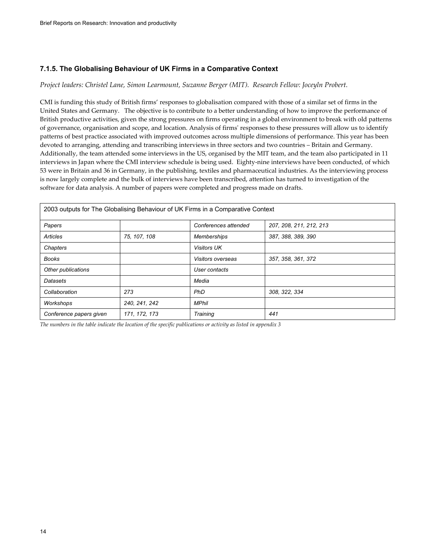### **7.1.5. The Globalising Behaviour of UK Firms in a Comparative Context**

#### *Project leaders: Christel Lane, Simon Learmount, Suzanne Berger (MIT). Research Fellow: Joceyln Probert.*

CMI is funding this study of British firms' responses to globalisation compared with those of a similar set of firms in the United States and Germany. The objective is to contribute to a better understanding of how to improve the performance of British productive activities, given the strong pressures on firms operating in a global environment to break with old patterns of governance, organisation and scope, and location. Analysis of firms' responses to these pressures will allow us to identify patterns of best practice associated with improved outcomes across multiple dimensions of performance. This year has been devoted to arranging, attending and transcribing interviews in three sectors and two countries – Britain and Germany. Additionally, the team attended some interviews in the US, organised by the MIT team, and the team also participated in 11 interviews in Japan where the CMI interview schedule is being used. Eighty-nine interviews have been conducted, of which 53 were in Britain and 36 in Germany, in the publishing, textiles and pharmaceutical industries. As the interviewing process is now largely complete and the bulk of interviews have been transcribed, attention has turned to investigation of the software for data analysis. A number of papers were completed and progress made on drafts.

| 2003 outputs for The Globalising Behaviour of UK Firms in a Comparative Context |               |                      |                         |
|---------------------------------------------------------------------------------|---------------|----------------------|-------------------------|
| Papers                                                                          |               | Conferences attended | 207, 208, 211, 212, 213 |
| Articles                                                                        | 75, 107, 108  | <b>Memberships</b>   | 387, 388, 389, 390      |
| Chapters                                                                        |               | <b>Visitors UK</b>   |                         |
| <b>Books</b>                                                                    |               | Visitors overseas    | 357, 358, 361, 372      |
| Other publications                                                              |               | User contacts        |                         |
| Datasets                                                                        |               | Media                |                         |
| Collaboration                                                                   | 273           | <b>PhD</b>           | 308, 322, 334           |
| Workshops                                                                       | 240, 241, 242 | <b>MPhil</b>         |                         |
| Conference papers given                                                         | 171, 172, 173 | Training             | 441                     |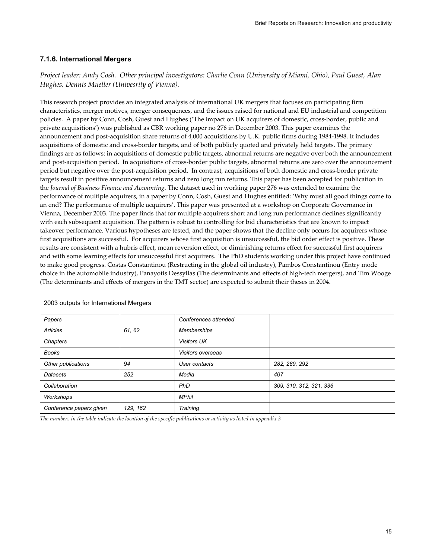# **7.1.6. International Mergers**

*Project leader: Andy Cosh. Other principal investigators: Charlie Conn (University of Miami, Ohio), Paul Guest, Alan Hughes, Dennis Mueller (Univesrity of Vienna).* 

This research project provides an integrated analysis of international UK mergers that focuses on participating firm characteristics, merger motives, merger consequences, and the issues raised for national and EU industrial and competition policies. A paper by Conn, Cosh, Guest and Hughes ('The impact on UK acquirers of domestic, cross-border, public and private acquisitions') was published as CBR working paper no 276 in December 2003. This paper examines the announcement and post-acquisition share returns of 4,000 acquisitions by U.K. public firms during 1984-1998. It includes acquisitions of domestic and cross-border targets, and of both publicly quoted and privately held targets. The primary findings are as follows: in acquisitions of domestic public targets, abnormal returns are negative over both the announcement and post-acquisition period. In acquisitions of cross-border public targets, abnormal returns are zero over the announcement period but negative over the post-acquisition period. In contrast, acquisitions of both domestic and cross-border private targets result in positive announcement returns and zero long run returns. This paper has been accepted for publication in the *Journal of Business Finance and Accounting*. The dataset used in working paper 276 was extended to examine the performance of multiple acquirers, in a paper by Conn, Cosh, Guest and Hughes entitled: 'Why must all good things come to an end? The performance of multiple acquirers'. This paper was presented at a workshop on Corporate Governance in Vienna, December 2003. The paper finds that for multiple acquirers short and long run performance declines significantly with each subsequent acquisition. The pattern is robust to controlling for bid characteristics that are known to impact takeover performance. Various hypotheses are tested, and the paper shows that the decline only occurs for acquirers whose first acquisitions are successful. For acquirers whose first acquisition is unsuccessful, the bid order effect is positive. These results are consistent with a hubris effect, mean reversion effect, or diminishing returns effect for successful first acquirers and with some learning effects for unsuccessful first acquirers. The PhD students working under this project have continued to make good progress. Costas Constantinou (Restructing in the global oil industry), Pambos Constantinou (Entry mode choice in the automobile industry), Panayotis Dessyllas (The determinants and effects of high-tech mergers), and Tim Wooge (The determinants and effects of mergers in the TMT sector) are expected to submit their theses in 2004.

| 2003 outputs for International Mergers |          |                      |                         |  |
|----------------------------------------|----------|----------------------|-------------------------|--|
| Papers                                 |          | Conferences attended |                         |  |
| Articles                               | 61, 62   | <b>Memberships</b>   |                         |  |
| Chapters                               |          | <b>Visitors UK</b>   |                         |  |
| Books                                  |          | Visitors overseas    |                         |  |
| Other publications                     | 94       | User contacts        | 282, 289, 292           |  |
| Datasets                               | 252      | Media                | 407                     |  |
| Collaboration                          |          | PhD                  | 309, 310, 312, 321, 336 |  |
| Workshops                              |          | <b>MPhil</b>         |                         |  |
| Conference papers given                | 129, 162 | Training             |                         |  |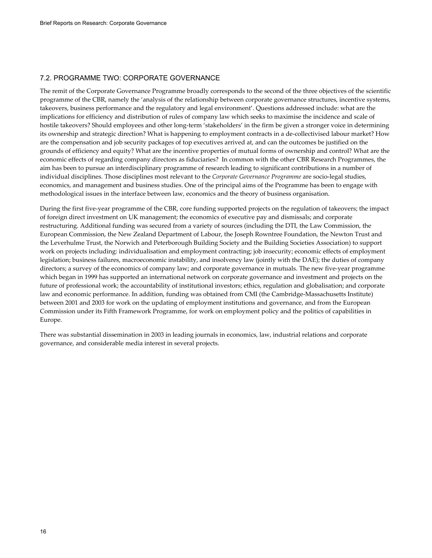### 7.2. PROGRAMME TWO: CORPORATE GOVERNANCE

The remit of the Corporate Governance Programme broadly corresponds to the second of the three objectives of the scientific programme of the CBR, namely the 'analysis of the relationship between corporate governance structures, incentive systems, takeovers, business performance and the regulatory and legal environment'. Questions addressed include: what are the implications for efficiency and distribution of rules of company law which seeks to maximise the incidence and scale of hostile takeovers? Should employees and other long-term 'stakeholders' in the firm be given a stronger voice in determining its ownership and strategic direction? What is happening to employment contracts in a de-collectivised labour market? How are the compensation and job security packages of top executives arrived at, and can the outcomes be justified on the grounds of efficiency and equity? What are the incentive properties of mutual forms of ownership and control? What are the economic effects of regarding company directors as fiduciaries? In common with the other CBR Research Programmes, the aim has been to pursue an interdisciplinary programme of research leading to significant contributions in a number of individual disciplines. Those disciplines most relevant to the *Corporate Governance Programme* are socio-legal studies, economics, and management and business studies. One of the principal aims of the Programme has been to engage with methodological issues in the interface between law, economics and the theory of business organisation.

During the first five-year programme of the CBR, core funding supported projects on the regulation of takeovers; the impact of foreign direct investment on UK management; the economics of executive pay and dismissals; and corporate restructuring. Additional funding was secured from a variety of sources (including the DTI, the Law Commission, the European Commission, the New Zealand Department of Labour, the Joseph Rowntree Foundation, the Newton Trust and the Leverhulme Trust, the Norwich and Peterborough Building Society and the Building Societies Association) to support work on projects including: individualisation and employment contracting; job insecurity; economic effects of employment legislation; business failures, macroeconomic instability, and insolvency law (jointly with the DAE); the duties of company directors; a survey of the economics of company law; and corporate governance in mutuals. The new five-year programme which began in 1999 has supported an international network on corporate governance and investment and projects on the future of professional work; the accountability of institutional investors; ethics, regulation and globalisation; and corporate law and economic performance. In addition, funding was obtained from CMI (the Cambridge-Massachusetts Institute) between 2001 and 2003 for work on the updating of employment institutions and governance, and from the European Commission under its Fifth Framework Programme, for work on employment policy and the politics of capabilities in Europe.

There was substantial dissemination in 2003 in leading journals in economics, law, industrial relations and corporate governance, and considerable media interest in several projects.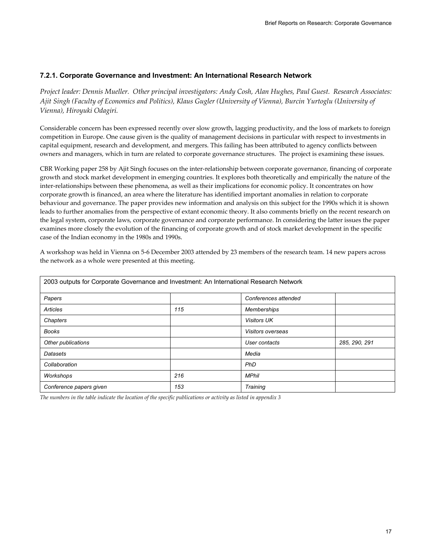# **7.2.1. Corporate Governance and Investment: An International Research Network**

*Project leader: Dennis Mueller. Other principal investigators: Andy Cosh, Alan Hughes, Paul Guest. Research Associates: Ajit Singh (Faculty of Economics and Politics), Klaus Gugler (University of Vienna), Burcin Yurtoglu (University of Vienna), Hiroyuki Odagiri.* 

Considerable concern has been expressed recently over slow growth, lagging productivity, and the loss of markets to foreign competition in Europe. One cause given is the quality of management decisions in particular with respect to investments in capital equipment, research and development, and mergers. This failing has been attributed to agency conflicts between owners and managers, which in turn are related to corporate governance structures. The project is examining these issues.

CBR Working paper 258 by Ajit Singh focuses on the inter-relationship between corporate governance, financing of corporate growth and stock market development in emerging countries. It explores both theoretically and empirically the nature of the inter-relationships between these phenomena, as well as their implications for economic policy. It concentrates on how corporate growth is financed, an area where the literature has identified important anomalies in relation to corporate behaviour and governance. The paper provides new information and analysis on this subject for the 1990s which it is shown leads to further anomalies from the perspective of extant economic theory. It also comments briefly on the recent research on the legal system, corporate laws, corporate governance and corporate performance. In considering the latter issues the paper examines more closely the evolution of the financing of corporate growth and of stock market development in the specific case of the Indian economy in the 1980s and 1990s.

A workshop was held in Vienna on 5-6 December 2003 attended by 23 members of the research team. 14 new papers across the network as a whole were presented at this meeting.

| 2003 outputs for Corporate Governance and Investment: An International Research Network |     |                      |               |
|-----------------------------------------------------------------------------------------|-----|----------------------|---------------|
| Papers                                                                                  |     | Conferences attended |               |
| Articles                                                                                | 115 | <b>Memberships</b>   |               |
| Chapters                                                                                |     | <b>Visitors UK</b>   |               |
| <b>Books</b>                                                                            |     | Visitors overseas    |               |
| Other publications                                                                      |     | User contacts        | 285, 290, 291 |
| Datasets                                                                                |     | Media                |               |
| Collaboration                                                                           |     | PhD                  |               |
| Workshops                                                                               | 216 | <b>MPhil</b>         |               |
| Conference papers given                                                                 | 153 | Training             |               |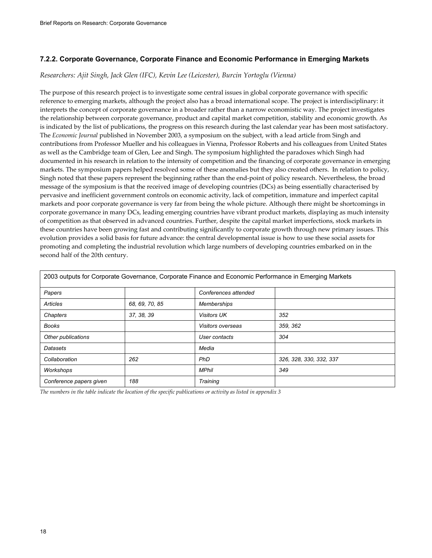# **7.2.2. Corporate Governance, Corporate Finance and Economic Performance in Emerging Markets**

#### *Researchers: Ajit Singh, Jack Glen (IFC), Kevin Lee (Leicester), Burcin Yortoglu (Vienna)*

The purpose of this research project is to investigate some central issues in global corporate governance with specific reference to emerging markets, although the project also has a broad international scope. The project is interdisciplinary: it interprets the concept of corporate governance in a broader rather than a narrow economistic way. The project investigates the relationship between corporate governance, product and capital market competition, stability and economic growth. As is indicated by the list of publications, the progress on this research during the last calendar year has been most satisfactory. The *Economic Journal* published in November 2003, a symposium on the subject, with a lead article from Singh and contributions from Professor Mueller and his colleagues in Vienna, Professor Roberts and his colleagues from United States as well as the Cambridge team of Glen, Lee and Singh. The symposium highlighted the paradoxes which Singh had documented in his research in relation to the intensity of competition and the financing of corporate governance in emerging markets. The symposium papers helped resolved some of these anomalies but they also created others. In relation to policy, Singh noted that these papers represent the beginning rather than the end-point of policy research. Nevertheless, the broad message of the symposium is that the received image of developing countries (DCs) as being essentially characterised by pervasive and inefficient government controls on economic activity, lack of competition, immature and imperfect capital markets and poor corporate governance is very far from being the whole picture. Although there might be shortcomings in corporate governance in many DCs, leading emerging countries have vibrant product markets, displaying as much intensity of competition as that observed in advanced countries. Further, despite the capital market imperfections, stock markets in these countries have been growing fast and contributing significantly to corporate growth through new primary issues. This evolution provides a solid basis for future advance: the central developmental issue is how to use these social assets for promoting and completing the industrial revolution which large numbers of developing countries embarked on in the second half of the 20th century.

|                         |                |                      | 2003 outputs for Corporate Governance, Corporate Finance and Economic Performance in Emerging Markets |
|-------------------------|----------------|----------------------|-------------------------------------------------------------------------------------------------------|
| Papers                  |                | Conferences attended |                                                                                                       |
| Articles                | 68, 69, 70, 85 | <b>Memberships</b>   |                                                                                                       |
| Chapters                | 37, 38, 39     | <b>Visitors UK</b>   | 352                                                                                                   |
| Books                   |                | Visitors overseas    | 359, 362                                                                                              |
| Other publications      |                | User contacts        | 304                                                                                                   |
| Datasets                |                | Media                |                                                                                                       |
| Collaboration           | 262            | <b>PhD</b>           | 326, 328, 330, 332, 337                                                                               |
| Workshops               |                | <b>MPhil</b>         | 349                                                                                                   |
| Conference papers given | 188            | Training             |                                                                                                       |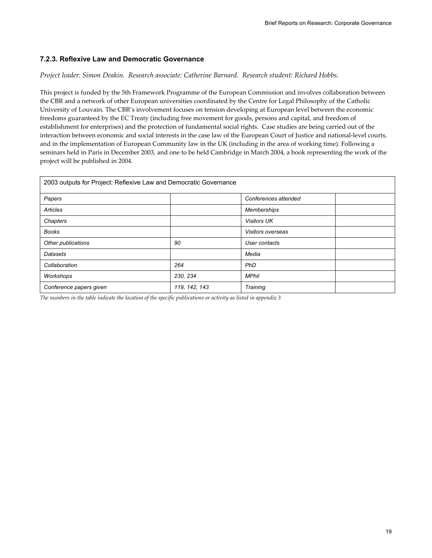# **7.2.3. Reflexive Law and Democratic Governance**

#### *Project leader: Simon Deakin. Research associate: Catherine Barnard. Research student: Richard Hobbs.*

This project is funded by the 5th Framework Programme of the European Commission and involves collaboration between the CBR and a network of other European universities coordinated by the Centre for Legal Philosophy of the Catholic University of Louvain. The CBR's involvement focuses on tension developing at European level between the economic freedoms guaranteed by the EC Treaty (including free movement for goods, persons and capital, and freedom of establishment for enterprises) and the protection of fundamental social rights. Case studies are being carried out of the interaction between economic and social interests in the case law of the European Court of Justice and national-level courts, and in the implementation of European Community law in the UK (including in the area of working time). Following a seminars held in Paris in December 2003, and one to be held Cambridge in March 2004, a book representing the work of the project will be published in 2004.

| 2003 outputs for Project: Reflexive Law and Democratic Governance |               |                      |  |
|-------------------------------------------------------------------|---------------|----------------------|--|
| Papers                                                            |               | Conferences attended |  |
| Articles                                                          |               | <b>Memberships</b>   |  |
| Chapters                                                          |               | <b>Visitors UK</b>   |  |
| <b>Books</b>                                                      |               | Visitors overseas    |  |
| Other publications                                                | 90            | User contacts        |  |
| Datasets                                                          |               | Media                |  |
| Collaboration                                                     | 264           | PhD                  |  |
| Workshops                                                         | 230, 234      | <b>MPhil</b>         |  |
| Conference papers given                                           | 119, 142, 143 | Training             |  |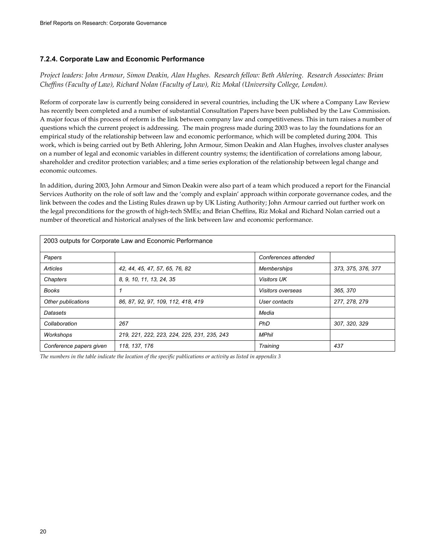### **7.2.4. Corporate Law and Economic Performance**

*Project leaders: John Armour, Simon Deakin, Alan Hughes. Research fellow: Beth Ahlering. Research Associates: Brian Cheffins (Faculty of Law), Richard Nolan (Faculty of Law), Riz Mokal (University College, London).* 

Reform of corporate law is currently being considered in several countries, including the UK where a Company Law Review has recently been completed and a number of substantial Consultation Papers have been published by the Law Commission. A major focus of this process of reform is the link between company law and competitiveness. This in turn raises a number of questions which the current project is addressing. The main progress made during 2003 was to lay the foundations for an empirical study of the relationship between law and economic performance, which will be completed during 2004. This work, which is being carried out by Beth Ahlering, John Armour, Simon Deakin and Alan Hughes, involves cluster analyses on a number of legal and economic variables in different country systems; the identification of correlations among labour, shareholder and creditor protection variables; and a time series exploration of the relationship between legal change and economic outcomes.

In addition, during 2003, John Armour and Simon Deakin were also part of a team which produced a report for the Financial Services Authority on the role of soft law and the 'comply and explain' approach within corporate governance codes, and the link between the codes and the Listing Rules drawn up by UK Listing Authority; John Armour carried out further work on the legal preconditions for the growth of high-tech SMEs; and Brian Cheffins, Riz Mokal and Richard Nolan carried out a number of theoretical and historical analyses of the link between law and economic performance.

| 2003 outputs for Corporate Law and Economic Performance |                                             |                      |                    |  |
|---------------------------------------------------------|---------------------------------------------|----------------------|--------------------|--|
| Papers                                                  |                                             | Conferences attended |                    |  |
| Articles                                                | 42, 44, 45, 47, 57, 65, 76, 82              | <b>Memberships</b>   | 373, 375, 376, 377 |  |
| Chapters                                                | 8, 9, 10, 11, 13, 24, 35                    | <b>Visitors UK</b>   |                    |  |
| <b>Books</b>                                            |                                             | Visitors overseas    | 365, 370           |  |
| Other publications                                      | 86, 87, 92, 97, 109, 112, 418, 419          | User contacts        | 277, 278, 279      |  |
| Datasets                                                |                                             | Media                |                    |  |
| Collaboration                                           | 267                                         | PhD                  | 307, 320, 329      |  |
| Workshops                                               | 219, 221, 222, 223, 224, 225, 231, 235, 243 | <b>MPhil</b>         |                    |  |
| Conference papers given                                 | 118, 137, 176                               | Training             | 437                |  |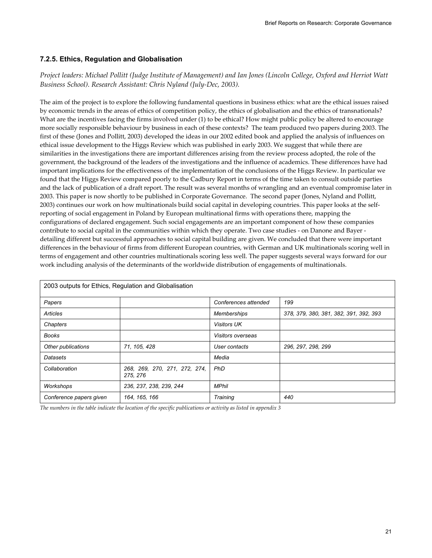### **7.2.5. Ethics, Regulation and Globalisation**

# *Project leaders: Michael Pollitt (Judge Institute of Management) and Ian Jones (Lincoln College, Oxford and Herriot Watt Business School). Research Assistant: Chris Nyland (July-Dec, 2003).*

The aim of the project is to explore the following fundamental questions in business ethics: what are the ethical issues raised by economic trends in the areas of ethics of competition policy, the ethics of globalisation and the ethics of transnationals? What are the incentives facing the firms involved under (1) to be ethical? How might public policy be altered to encourage more socially responsible behaviour by business in each of these contexts? The team produced two papers during 2003. The first of these (Jones and Pollitt, 2003) developed the ideas in our 2002 edited book and applied the analysis of influences on ethical issue development to the Higgs Review which was published in early 2003. We suggest that while there are similarities in the investigations there are important differences arising from the review process adopted, the role of the government, the background of the leaders of the investigations and the influence of academics. These differences have had important implications for the effectiveness of the implementation of the conclusions of the Higgs Review. In particular we found that the Higgs Review compared poorly to the Cadbury Report in terms of the time taken to consult outside parties and the lack of publication of a draft report. The result was several months of wrangling and an eventual compromise later in 2003. This paper is now shortly to be published in Corporate Governance. The second paper (Jones, Nyland and Pollitt, 2003) continues our work on how multinationals build social capital in developing countries. This paper looks at the selfreporting of social engagement in Poland by European multinational firms with operations there, mapping the configurations of declared engagement. Such social engagements are an important component of how these companies contribute to social capital in the communities within which they operate. Two case studies - on Danone and Bayer detailing different but successful approaches to social capital building are given. We concluded that there were important differences in the behaviour of firms from different European countries, with German and UK multinationals scoring well in terms of engagement and other countries multinationals scoring less well. The paper suggests several ways forward for our work including analysis of the determinants of the worldwide distribution of engagements of multinationals.

| 2003 outputs for Ethics, Regulation and Globalisation |                                           |                          |                                        |  |
|-------------------------------------------------------|-------------------------------------------|--------------------------|----------------------------------------|--|
| Papers                                                |                                           | Conferences attended     | 199                                    |  |
| Articles                                              |                                           | <b>Memberships</b>       | 378, 379, 380, 381, 382, 391, 392, 393 |  |
| Chapters                                              |                                           | <b>Visitors UK</b>       |                                        |  |
| <b>Books</b>                                          |                                           | <i>Visitors overseas</i> |                                        |  |
| Other publications                                    | 71, 105, 428                              | User contacts            | 296, 297, 298, 299                     |  |
| Datasets                                              |                                           | Media                    |                                        |  |
| Collaboration                                         | 268, 269, 270, 271, 272, 274,<br>275, 276 | PhD                      |                                        |  |
| Workshops                                             | 236, 237, 238, 239, 244                   | <b>MPhil</b>             |                                        |  |
| Conference papers given                               | 164, 165, 166                             | Training                 | 440                                    |  |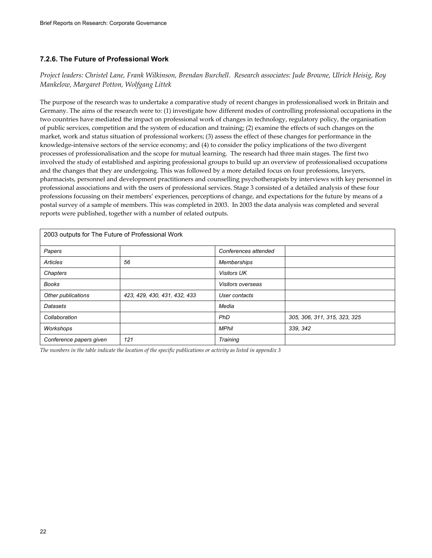# **7.2.6. The Future of Professional Work**

# *Project leaders: Christel Lane, Frank Wilkinson, Brendan Burchell. Research associates: Jude Browne, Ulrich Heisig, Roy Mankelow, Margaret Potton, Wolfgang Littek*

The purpose of the research was to undertake a comparative study of recent changes in professionalised work in Britain and Germany. The aims of the research were to: (1) investigate how different modes of controlling professional occupations in the two countries have mediated the impact on professional work of changes in technology, regulatory policy, the organisation of public services, competition and the system of education and training; (2) examine the effects of such changes on the market, work and status situation of professional workers; (3) assess the effect of these changes for performance in the knowledge-intensive sectors of the service economy; and (4) to consider the policy implications of the two divergent processes of professionalisation and the scope for mutual learning. The research had three main stages. The first two involved the study of established and aspiring professional groups to build up an overview of professionalised occupations and the changes that they are undergoing. This was followed by a more detailed focus on four professions, lawyers, pharmacists, personnel and development practitioners and counselling psychotherapists by interviews with key personnel in professional associations and with the users of professional services. Stage 3 consisted of a detailed analysis of these four professions focussing on their members' experiences, perceptions of change, and expectations for the future by means of a postal survey of a sample of members. This was completed in 2003. In 2003 the data analysis was completed and several reports were published, together with a number of related outputs.

| 2003 outputs for The Future of Professional Work |                              |                      |                              |  |
|--------------------------------------------------|------------------------------|----------------------|------------------------------|--|
|                                                  |                              |                      |                              |  |
| Papers                                           |                              | Conferences attended |                              |  |
| Articles                                         | 56                           | <b>Memberships</b>   |                              |  |
| Chapters                                         |                              | <b>Visitors UK</b>   |                              |  |
| <b>Books</b>                                     |                              | Visitors overseas    |                              |  |
| Other publications                               | 423, 429, 430, 431, 432, 433 | User contacts        |                              |  |
| Datasets                                         |                              | Media                |                              |  |
| Collaboration                                    |                              | PhD                  | 305, 306, 311, 315, 323, 325 |  |
| Workshops                                        |                              | <b>MPhil</b>         | 339, 342                     |  |
| Conference papers given                          | 121                          | Training             |                              |  |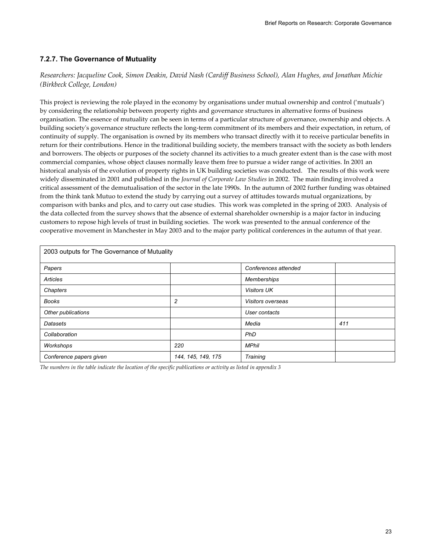# **7.2.7. The Governance of Mutuality**

### *Researchers: Jacqueline Cook, Simon Deakin, David Nash (Cardiff Business School), Alan Hughes, and Jonathan Michie (Birkbeck College, London)*

This project is reviewing the role played in the economy by organisations under mutual ownership and control ('mutuals') by considering the relationship between property rights and governance structures in alternative forms of business organisation. The essence of mutuality can be seen in terms of a particular structure of governance, ownership and objects. A building society's governance structure reflects the long-term commitment of its members and their expectation, in return, of continuity of supply. The organisation is owned by its members who transact directly with it to receive particular benefits in return for their contributions. Hence in the traditional building society, the members transact with the society as both lenders and borrowers. The objects or purposes of the society channel its activities to a much greater extent than is the case with most commercial companies, whose object clauses normally leave them free to pursue a wider range of activities. In 2001 an historical analysis of the evolution of property rights in UK building societies was conducted. The results of this work were widely disseminated in 2001 and published in the *Journal of Corporate Law Studies* in 2002. The main finding involved a critical assessment of the demutualisation of the sector in the late 1990s. In the autumn of 2002 further funding was obtained from the think tank Mutuo to extend the study by carrying out a survey of attitudes towards mutual organizations, by comparison with banks and plcs, and to carry out case studies. This work was completed in the spring of 2003. Analysis of the data collected from the survey shows that the absence of external shareholder ownership is a major factor in inducing customers to repose high levels of trust in building societies. The work was presented to the annual conference of the cooperative movement in Manchester in May 2003 and to the major party political conferences in the autumn of that year.

| 2003 outputs for The Governance of Mutuality |                    |                      |     |  |
|----------------------------------------------|--------------------|----------------------|-----|--|
| Papers                                       |                    | Conferences attended |     |  |
| Articles                                     |                    | <b>Memberships</b>   |     |  |
| Chapters                                     |                    | <b>Visitors UK</b>   |     |  |
| <b>Books</b>                                 | $\overline{c}$     | Visitors overseas    |     |  |
| Other publications                           |                    | User contacts        |     |  |
| Datasets                                     |                    | Media                | 411 |  |
| Collaboration                                |                    | PhD                  |     |  |
| Workshops                                    | 220                | <b>MPhil</b>         |     |  |
| Conference papers given                      | 144, 145, 149, 175 | Training             |     |  |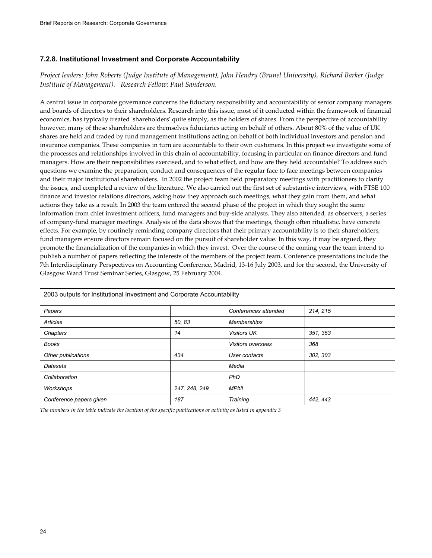# **7.2.8. Institutional Investment and Corporate Accountability**

*Project leaders: John Roberts (Judge Institute of Management), John Hendry (Brunel University), Richard Barker (Judge Institute of Management). Research Fellow: Paul Sanderson.* 

A central issue in corporate governance concerns the fiduciary responsibility and accountability of senior company managers and boards of directors to their shareholders. Research into this issue, most of it conducted within the framework of financial economics, has typically treated 'shareholders' quite simply, as the holders of shares. From the perspective of accountability however, many of these shareholders are themselves fiduciaries acting on behalf of others. About 80% of the value of UK shares are held and traded by fund management institutions acting on behalf of both individual investors and pension and insurance companies. These companies in turn are accountable to their own customers. In this project we investigate some of the processes and relationships involved in this chain of accountability, focusing in particular on finance directors and fund managers. How are their responsibilities exercised, and to what effect, and how are they held accountable? To address such questions we examine the preparation, conduct and consequences of the regular face to face meetings between companies and their major institutional shareholders. In 2002 the project team held preparatory meetings with practitioners to clarify the issues, and completed a review of the literature. We also carried out the first set of substantive interviews, with FTSE 100 finance and investor relations directors, asking how they approach such meetings, what they gain from them, and what actions they take as a result. In 2003 the team entered the second phase of the project in which they sought the same information from chief investment officers, fund managers and buy-side analysts. They also attended, as observers, a series of company-fund manager meetings. Analysis of the data shows that the meetings, though often ritualistic, have concrete effects. For example, by routinely reminding company directors that their primary accountability is to their shareholders, fund managers ensure directors remain focused on the pursuit of shareholder value. In this way, it may be argued, they promote the financialization of the companies in which they invest. Over the course of the coming year the team intend to publish a number of papers reflecting the interests of the members of the project team. Conference presentations include the 7th Interdisciplinary Perspectives on Accounting Conference, Madrid, 13-16 July 2003, and for the second, the University of Glasgow Ward Trust Seminar Series, Glasgow, 25 February 2004.

| 2003 outputs for Institutional Investment and Corporate Accountability |               |                      |          |
|------------------------------------------------------------------------|---------------|----------------------|----------|
| Papers                                                                 |               | Conferences attended | 214, 215 |
| Articles                                                               | 50, 83        | <b>Memberships</b>   |          |
| Chapters                                                               | 14            | <b>Visitors UK</b>   | 351, 353 |
| Books                                                                  |               | Visitors overseas    | 368      |
| Other publications                                                     | 434           | User contacts        | 302, 303 |
| Datasets                                                               |               | Media                |          |
| Collaboration                                                          |               | PhD                  |          |
| Workshops                                                              | 247, 248, 249 | <b>MPhil</b>         |          |
| Conference papers given                                                | 187           | Training             | 442, 443 |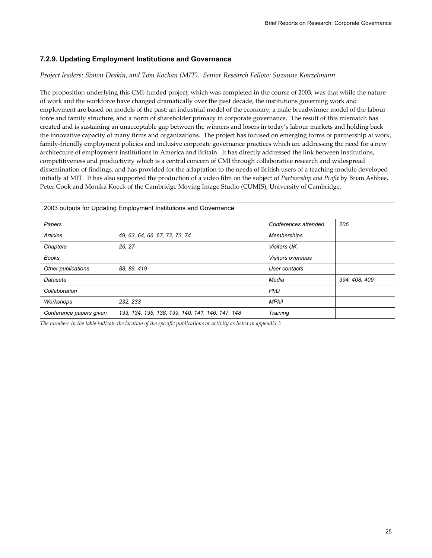# **7.2.9. Updating Employment Institutions and Governance**

*Project leaders: Simon Deakin, and Tom Kochan (MIT). Senior Research Fellow: Suzanne Konzelmann.* 

The proposition underlying this CMI-funded project, which was completed in the course of 2003, was that while the nature of work and the workforce have changed dramatically over the past decade, the institutions governing work and employment are based on models of the past: an industrial model of the economy, a male breadwinner model of the labour force and family structure, and a norm of shareholder primacy in corporate governance. The result of this mismatch has created and is sustaining an unacceptable gap between the winners and losers in today's labour markets and holding back the innovative capacity of many firms and organizations. The project has focused on emerging forms of partnership at work, family-friendly employment policies and inclusive corporate governance practices which are addressing the need for a new architecture of employment institutions in America and Britain. It has directly addressed the link between institutions, competitiveness and productivity which is a central concern of CMI through collaborative research and widespread dissemination of findings, and has provided for the adaptation to the needs of British users of a teaching module developed initially at MIT. It has also supported the production of a video film on the subject of *Partnership and Profit* by Brian Ashbee, Peter Cook and Monika Koeck of the Cambridge Moving Image Studio (CUMIS), University of Cambridge.

| 2003 outputs for Updating Employment Institutions and Governance |                                                  |                          |               |
|------------------------------------------------------------------|--------------------------------------------------|--------------------------|---------------|
| Papers                                                           |                                                  | Conferences attended     | 206           |
| Articles                                                         | 49, 63, 64, 66, 67, 72, 73, 74                   | <b>Memberships</b>       |               |
| Chapters                                                         | 26, 27                                           | <b>Visitors UK</b>       |               |
| <b>Books</b>                                                     |                                                  | <b>Visitors overseas</b> |               |
| Other publications                                               | 88, 89, 419                                      | User contacts            |               |
| Datasets                                                         |                                                  | Media                    | 394, 408, 409 |
| Collaboration                                                    |                                                  | PhD                      |               |
| Workshops                                                        | 232, 233                                         | <b>MPhil</b>             |               |
| Conference papers given                                          | 133, 134, 135, 138, 139, 140, 141, 146, 147, 148 | Training                 |               |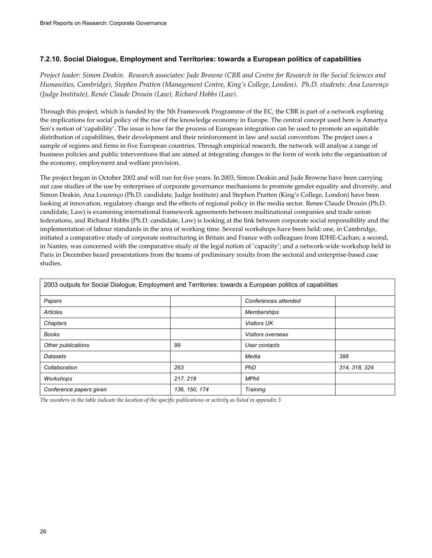### **7.2.10. Social Dialogue, Employment and Territories: towards a European politics of capabilities**

*Project leader: Simon Deakin. Research associates: Jude Browne (CBR and Centre for Research in the Social Sciences and Humanities, Cambridge), Stephen Pratten (Management Centre, King's College, London). Ph.D. students: Ana Lourenço (Judge Institute), Renée Claude Drouin (Law), Richard Hobbs (Law).* 

Through this project, which is funded by the 5th Framework Programme of the EC, the CBR is part of a network exploring the implications for social policy of the rise of the knowledge economy in Europe. The central concept used here is Amartya Sen's notion of 'capability'. The issue is how far the process of European integration can be used to promote an equitable distribution of capabilities, their development and their reinforcement in law and social convention. The project uses a sample of regions and firms in five European countries. Through empirical research, the network will analyse a range of business policies and public interventions that are aimed at integrating changes in the form of work into the organisation of the economy, employment and welfare provision.

The project began in October 2002 and will run for five years. In 2003, Simon Deakin and Jude Browne have been carrying out case studies of the use by enterprises of corporate governance mechanisms to promote gender equality and diversity, and Simon Deakin, Ana Lourenço (Ph.D. candidate, Judge Institute) and Stephen Pratten (King's College, London) have been looking at innovation, regulatory change and the effects of regional policy in the media sector. Renee Claude Drouin (Ph.D. candidate, Law) is examining international framework agreements between multinational companies and trade union federations, and Richard Hobbs (Ph.D. candidate, Law) is looking at the link between corporate social responsibility and the implementation of labour standards in the area of working time. Several workshops have been held: one, in Cambridge, initiated a comparative study of corporate restructuring in Britain and France with colleagues from IDHE-Cachan; a second, in Nantes, was concerned with the comparative study of the legal notion of 'capacity'; and a network-wide workshop held in Paris in December heard presentations from the teams of preliminary results from the sectoral and enterprise-based case studies.

| 2003 outputs for Social Dialogue, Employment and Territories: towards a European politics of capabilities |               |                      |               |
|-----------------------------------------------------------------------------------------------------------|---------------|----------------------|---------------|
| Papers                                                                                                    |               | Conferences attended |               |
| <b>Articles</b>                                                                                           |               | <b>Memberships</b>   |               |
| Chapters                                                                                                  |               | <b>Visitors UK</b>   |               |
| <b>Books</b>                                                                                              |               | Visitors overseas    |               |
| Other publications                                                                                        | 99            | User contacts        |               |
| Datasets                                                                                                  |               | Media                | 398           |
| Collaboration                                                                                             | 263           | <b>PhD</b>           | 314, 318, 324 |
| Workshops                                                                                                 | 217, 218      | <b>MPhil</b>         |               |
| Conference papers given                                                                                   | 136, 150, 174 | Training             |               |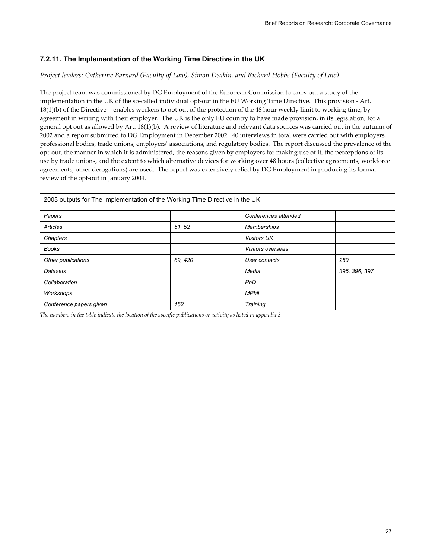# **7.2.11. The Implementation of the Working Time Directive in the UK**

#### *Project leaders: Catherine Barnard (Faculty of Law), Simon Deakin, and Richard Hobbs (Faculty of Law)*

The project team was commissioned by DG Employment of the European Commission to carry out a study of the implementation in the UK of the so-called individual opt-out in the EU Working Time Directive. This provision - Art. 18(1)(b) of the Directive - enables workers to opt out of the protection of the 48 hour weekly limit to working time, by agreement in writing with their employer. The UK is the only EU country to have made provision, in its legislation, for a general opt out as allowed by Art. 18(1)(b). A review of literature and relevant data sources was carried out in the autumn of 2002 and a report submitted to DG Employment in December 2002. 40 interviews in total were carried out with employers, professional bodies, trade unions, employers' associations, and regulatory bodies. The report discussed the prevalence of the opt-out, the manner in which it is administered, the reasons given by employers for making use of it, the perceptions of its use by trade unions, and the extent to which alternative devices for working over 48 hours (collective agreements, workforce agreements, other derogations) are used. The report was extensively relied by DG Employment in producing its formal review of the opt-out in January 2004.

| 2003 outputs for The Implementation of the Working Time Directive in the UK |         |                      |               |
|-----------------------------------------------------------------------------|---------|----------------------|---------------|
| Papers                                                                      |         | Conferences attended |               |
| <b>Articles</b>                                                             | 51, 52  | Memberships          |               |
| Chapters                                                                    |         | <b>Visitors UK</b>   |               |
| <b>Books</b>                                                                |         | Visitors overseas    |               |
| Other publications                                                          | 89, 420 | User contacts        | 280           |
| Datasets                                                                    |         | Media                | 395, 396, 397 |
| Collaboration                                                               |         | PhD                  |               |
| Workshops                                                                   |         | <b>MPhil</b>         |               |
| Conference papers given                                                     | 152     | Training             |               |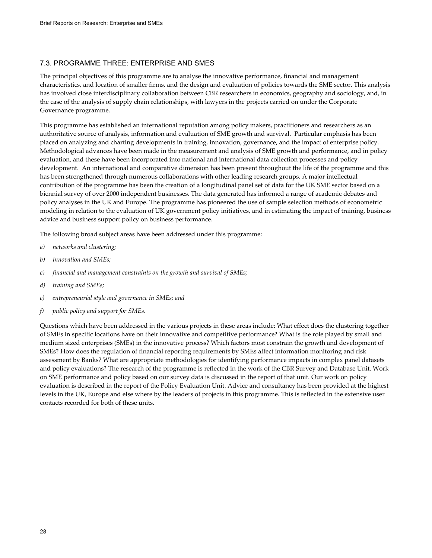#### 7.3. PROGRAMME THREE: ENTERPRISE AND SMES

The principal objectives of this programme are to analyse the innovative performance, financial and management characteristics, and location of smaller firms, and the design and evaluation of policies towards the SME sector. This analysis has involved close interdisciplinary collaboration between CBR researchers in economics, geography and sociology, and, in the case of the analysis of supply chain relationships, with lawyers in the projects carried on under the Corporate Governance programme.

This programme has established an international reputation among policy makers, practitioners and researchers as an authoritative source of analysis, information and evaluation of SME growth and survival. Particular emphasis has been placed on analyzing and charting developments in training, innovation, governance, and the impact of enterprise policy. Methodological advances have been made in the measurement and analysis of SME growth and performance, and in policy evaluation, and these have been incorporated into national and international data collection processes and policy development. An international and comparative dimension has been present throughout the life of the programme and this has been strengthened through numerous collaborations with other leading research groups. A major intellectual contribution of the programme has been the creation of a longitudinal panel set of data for the UK SME sector based on a biennial survey of over 2000 independent businesses. The data generated has informed a range of academic debates and policy analyses in the UK and Europe. The programme has pioneered the use of sample selection methods of econometric modeling in relation to the evaluation of UK government policy initiatives, and in estimating the impact of training, business advice and business support policy on business performance.

The following broad subject areas have been addressed under this programme:

- *a) networks and clustering;*
- *b) innovation and SMEs;*
- *c) financial and management constraints on the growth and survival of SMEs;*
- *d) training and SMEs;*
- *e) entrepreneurial style and governance in SMEs; and*
- *f) public policy and support for SMEs.*

Questions which have been addressed in the various projects in these areas include: What effect does the clustering together of SMEs in specific locations have on their innovative and competitive performance? What is the role played by small and medium sized enterprises (SMEs) in the innovative process? Which factors most constrain the growth and development of SMEs? How does the regulation of financial reporting requirements by SMEs affect information monitoring and risk assessment by Banks? What are appropriate methodologies for identifying performance impacts in complex panel datasets and policy evaluations? The research of the programme is reflected in the work of the CBR Survey and Database Unit. Work on SME performance and policy based on our survey data is discussed in the report of that unit. Our work on policy evaluation is described in the report of the Policy Evaluation Unit. Advice and consultancy has been provided at the highest levels in the UK, Europe and else where by the leaders of projects in this programme. This is reflected in the extensive user contacts recorded for both of these units.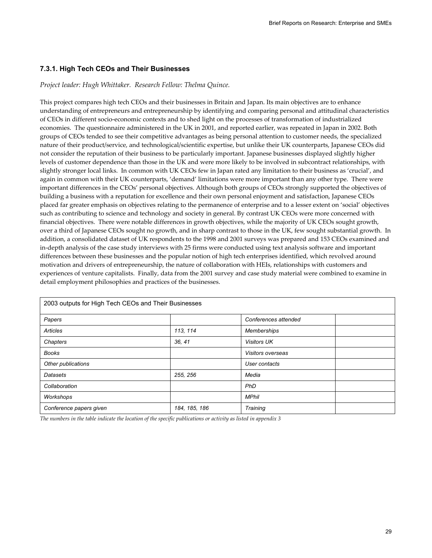#### **7.3.1. High Tech CEOs and Their Businesses**

#### *Project leader: Hugh Whittaker. Research Fellow: Thelma Quince.*

This project compares high tech CEOs and their businesses in Britain and Japan. Its main objectives are to enhance understanding of entrepreneurs and entrepreneurship by identifying and comparing personal and attitudinal characteristics of CEOs in different socio-economic contexts and to shed light on the processes of transformation of industrialized economies. The questionnaire administered in the UK in 2001, and reported earlier, was repeated in Japan in 2002*.* Both groups of CEOs tended to see their competitive advantages as being personal attention to customer needs, the specialized nature of their product/service, and technological/scientific expertise, but unlike their UK counterparts, Japanese CEOs did not consider the reputation of their business to be particularly important. Japanese businesses displayed slightly higher levels of customer dependence than those in the UK and were more likely to be involved in subcontract relationships, with slightly stronger local links. In common with UK CEOs few in Japan rated any limitation to their business as 'crucial', and again in common with their UK counterparts, 'demand' limitations were more important than any other type. There were important differences in the CEOs' personal objectives. Although both groups of CEOs strongly supported the objectives of building a business with a reputation for excellence and their own personal enjoyment and satisfaction, Japanese CEOs placed far greater emphasis on objectives relating to the permanence of enterprise and to a lesser extent on 'social' objectives such as contributing to science and technology and society in general. By contrast UK CEOs were more concerned with financial objectives. There were notable differences in growth objectives, while the majority of UK CEOs sought growth, over a third of Japanese CEOs sought no growth, and in sharp contrast to those in the UK, few sought substantial growth. In addition, a consolidated dataset of UK respondents to the 1998 and 2001 surveys was prepared and 153 CEOs examined and in-depth analysis of the case study interviews with 25 firms were conducted using text analysis software and important differences between these businesses and the popular notion of high tech enterprises identified, which revolved around motivation and drivers of entrepreneurship, the nature of collaboration with HEIs, relationships with customers and experiences of venture capitalists. Finally, data from the 2001 survey and case study material were combined to examine in detail employment philosophies and practices of the businesses.

| 2003 outputs for High Tech CEOs and Their Businesses |               |                      |  |
|------------------------------------------------------|---------------|----------------------|--|
| Papers                                               |               | Conferences attended |  |
| Articles                                             | 113, 114      | Memberships          |  |
| Chapters                                             | 36, 41        | <b>Visitors UK</b>   |  |
| <b>Books</b>                                         |               | Visitors overseas    |  |
| Other publications                                   |               | User contacts        |  |
| Datasets                                             | 255, 256      | Media                |  |
| Collaboration                                        |               | PhD                  |  |
| Workshops                                            |               | <b>MPhil</b>         |  |
| Conference papers given                              | 184, 185, 186 | Training             |  |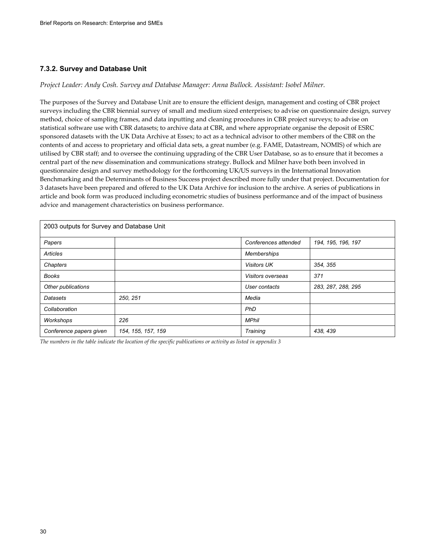#### **7.3.2. Survey and Database Unit**

#### *Project Leader: Andy Cosh. Survey and Database Manager: Anna Bullock. Assistant: Isobel Milner.*

The purposes of the Survey and Database Unit are to ensure the efficient design, management and costing of CBR project surveys including the CBR biennial survey of small and medium sized enterprises; to advise on questionnaire design, survey method, choice of sampling frames, and data inputting and cleaning procedures in CBR project surveys; to advise on statistical software use with CBR datasets; to archive data at CBR, and where appropriate organise the deposit of ESRC sponsored datasets with the UK Data Archive at Essex; to act as a technical advisor to other members of the CBR on the contents of and access to proprietary and official data sets, a great number (e.g. FAME, Datastream, NOMIS) of which are utilised by CBR staff; and to oversee the continuing upgrading of the CBR User Database, so as to ensure that it becomes a central part of the new dissemination and communications strategy. Bullock and Milner have both been involved in questionnaire design and survey methodology for the forthcoming UK/US surveys in the International Innovation Benchmarking and the Determinants of Business Success project described more fully under that project. Documentation for 3 datasets have been prepared and offered to the UK Data Archive for inclusion to the archive. A series of publications in article and book form was produced including econometric studies of business performance and of the impact of business advice and management characteristics on business performance.

| 2003 outputs for Survey and Database Unit |                    |                      |                    |
|-------------------------------------------|--------------------|----------------------|--------------------|
| Papers                                    |                    | Conferences attended | 194, 195, 196, 197 |
| Articles                                  |                    | Memberships          |                    |
| Chapters                                  |                    | <b>Visitors UK</b>   | 354, 355           |
| <b>Books</b>                              |                    | Visitors overseas    | 371                |
| Other publications                        |                    | User contacts        | 283, 287, 288, 295 |
| Datasets                                  | 250, 251           | Media                |                    |
| Collaboration                             |                    | PhD                  |                    |
| Workshops                                 | 226                | <b>MPhil</b>         |                    |
| Conference papers given                   | 154, 155, 157, 159 | Training             | 438, 439           |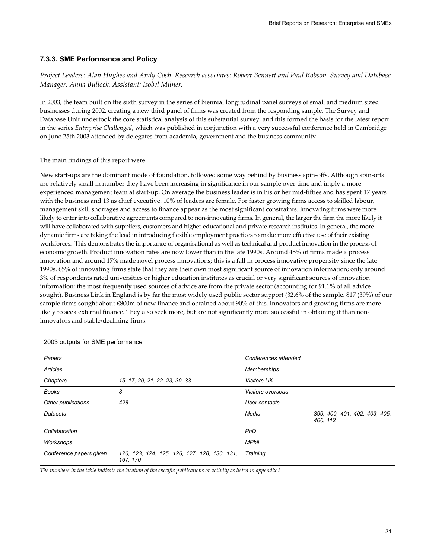### **7.3.3. SME Performance and Policy**

*Project Leaders: Alan Hughes and Andy Cosh. Research associates: Robert Bennett and Paul Robson. Survey and Database Manager: Anna Bullock. Assistant: Isobel Milner.* 

In 2003, the team built on the sixth survey in the series of biennial longitudinal panel surveys of small and medium sized businesses during 2002, creating a new third panel of firms was created from the responding sample. The Survey and Database Unit undertook the core statistical analysis of this substantial survey, and this formed the basis for the latest report in the series *Enterprise Challenged*, which was published in conjunction with a very successful conference held in Cambridge on June 25th 2003 attended by delegates from academia, government and the business community.

The main findings of this report were:

New start-ups are the dominant mode of foundation, followed some way behind by business spin-offs. Although spin-offs are relatively small in number they have been increasing in significance in our sample over time and imply a more experienced management team at start-up. On average the business leader is in his or her mid-fifties and has spent 17 years with the business and 13 as chief executive. 10% of leaders are female. For faster growing firms access to skilled labour, management skill shortages and access to finance appear as the most significant constraints. Innovating firms were more likely to enter into collaborative agreements compared to non-innovating firms. In general, the larger the firm the more likely it will have collaborated with suppliers, customers and higher educational and private research institutes. In general, the more dynamic firms are taking the lead in introducing flexible employment practices to make more effective use of their existing workforces. This demonstrates the importance of organisational as well as technical and product innovation in the process of economic growth. Product innovation rates are now lower than in the late 1990s. Around 45% of firms made a process innovation and around 17% made novel process innovations; this is a fall in process innovative propensity since the late 1990s. 65% of innovating firms state that they are their own most significant source of innovation information; only around 3% of respondents rated universities or higher education institutes as crucial or very significant sources of innovation information; the most frequently used sources of advice are from the private sector (accounting for 91.1% of all advice sought). Business Link in England is by far the most widely used public sector support (32.6% of the sample. 817 (39%) of our sample firms sought about £800m of new finance and obtained about 90% of this. Innovators and growing firms are more likely to seek external finance. They also seek more, but are not significantly more successful in obtaining it than noninnovators and stable/declining firms.

| 2003 outputs for SME performance |                                                          |                          |                                           |
|----------------------------------|----------------------------------------------------------|--------------------------|-------------------------------------------|
| Papers                           |                                                          | Conferences attended     |                                           |
| <b>Articles</b>                  |                                                          | Memberships              |                                           |
| Chapters                         | 15, 17, 20, 21, 22, 23, 30, 33                           | <b>Visitors UK</b>       |                                           |
| <b>Books</b>                     | 3                                                        | <b>Visitors overseas</b> |                                           |
| Other publications               | 428                                                      | User contacts            |                                           |
| Datasets                         |                                                          | Media                    | 399, 400, 401, 402, 403, 405,<br>406, 412 |
| Collaboration                    |                                                          | PhD                      |                                           |
| Workshops                        |                                                          | <b>MPhil</b>             |                                           |
| Conference papers given          | 120, 123, 124, 125, 126, 127, 128, 130, 131,<br>167, 170 | Training                 |                                           |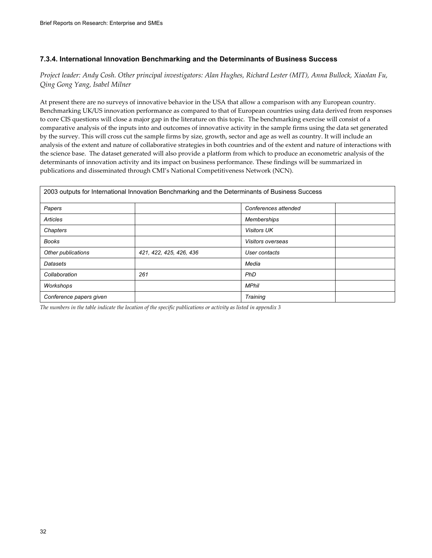### **7.3.4. International Innovation Benchmarking and the Determinants of Business Success**

*Project leader: Andy Cosh. Other principal investigators: Alan Hughes, Richard Lester (MIT), Anna Bullock, Xiaolan Fu, Qing Gong Yang, Isabel Milner* 

At present there are no surveys of innovative behavior in the USA that allow a comparison with any European country. Benchmarking UK/US innovation performance as compared to that of European countries using data derived from responses to core CIS questions will close a major gap in the literature on this topic. The benchmarking exercise will consist of a comparative analysis of the inputs into and outcomes of innovative activity in the sample firms using the data set generated by the survey. This will cross cut the sample firms by size, growth, sector and age as well as country. It will include an analysis of the extent and nature of collaborative strategies in both countries and of the extent and nature of interactions with the science base. The dataset generated will also provide a platform from which to produce an econometric analysis of the determinants of innovation activity and its impact on business performance. These findings will be summarized in publications and disseminated through CMI's National Competitiveness Network (NCN).

| 2003 outputs for International Innovation Benchmarking and the Determinants of Business Success |                         |                      |  |
|-------------------------------------------------------------------------------------------------|-------------------------|----------------------|--|
| Papers                                                                                          |                         | Conferences attended |  |
| Articles                                                                                        |                         | <b>Memberships</b>   |  |
| Chapters                                                                                        |                         | <b>Visitors UK</b>   |  |
| <b>Books</b>                                                                                    |                         | Visitors overseas    |  |
| Other publications                                                                              | 421, 422, 425, 426, 436 | User contacts        |  |
| Datasets                                                                                        |                         | Media                |  |
| Collaboration                                                                                   | 261                     | PhD                  |  |
| Workshops                                                                                       |                         | <b>MPhil</b>         |  |
| Conference papers given                                                                         |                         | Training             |  |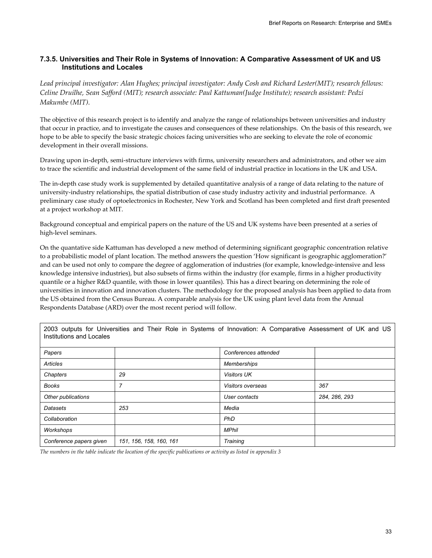# **7.3.5. Universities and Their Role in Systems of Innovation: A Comparative Assessment of UK and US Institutions and Locales**

*Lead principal investigator: Alan Hughes; principal investigator: Andy Cosh and Richard Lester(MIT); research fellows: Celine Druilhe, Sean Safford (MIT); research associate: Paul Kattuman(Judge Institute); research assistant: Pedzi Makumbe (MIT).* 

The objective of this research project is to identify and analyze the range of relationships between universities and industry that occur in practice, and to investigate the causes and consequences of these relationships. On the basis of this research, we hope to be able to specify the basic strategic choices facing universities who are seeking to elevate the role of economic development in their overall missions.

Drawing upon in-depth, semi-structure interviews with firms, university researchers and administrators, and other we aim to trace the scientific and industrial development of the same field of industrial practice in locations in the UK and USA.

The in-depth case study work is supplemented by detailed quantitative analysis of a range of data relating to the nature of university-industry relationships, the spatial distribution of case study industry activity and industrial performance. A preliminary case study of optoelectronics in Rochester, New York and Scotland has been completed and first draft presented at a project workshop at MIT.

Background conceptual and empirical papers on the nature of the US and UK systems have been presented at a series of high-level seminars.

On the quantative side Kattuman has developed a new method of determining significant geographic concentration relative to a probabilistic model of plant location. The method answers the question 'How significant is geographic agglomeration?' and can be used not only to compare the degree of agglomeration of industries (for example, knowledge-intensive and less knowledge intensive industries), but also subsets of firms within the industry (for example, firms in a higher productivity quantile or a higher R&D quantile, with those in lower quantiles). This has a direct bearing on determining the role of universities in innovation and innovation clusters. The methodology for the proposed analysis has been applied to data from the US obtained from the Census Bureau. A comparable analysis for the UK using plant level data from the Annual Respondents Database (ARD) over the most recent period will follow.

2003 outputs for Universities and Their Role in Systems of Innovation: A Comparative Assessment of UK and US Institutions and Locales

| Papers                  |                         | Conferences attended |               |
|-------------------------|-------------------------|----------------------|---------------|
| <b>Articles</b>         |                         | <b>Memberships</b>   |               |
| Chapters                | 29                      | <b>Visitors UK</b>   |               |
| <b>Books</b>            | 7                       | Visitors overseas    | 367           |
| Other publications      |                         | User contacts        | 284, 286, 293 |
| <b>Datasets</b>         | 253                     | Media                |               |
| Collaboration           |                         | PhD                  |               |
| Workshops               |                         | <b>MPhil</b>         |               |
| Conference papers given | 151, 156, 158, 160, 161 | Training             |               |

*The numbers in the table indicate the location of the specific publications or activity as listed in appendix 3*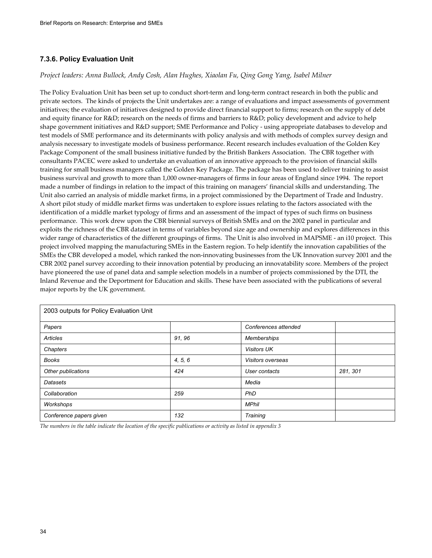# **7.3.6. Policy Evaluation Unit**

## *Project leaders: Anna Bullock, Andy Cosh, Alan Hughes, Xiaolan Fu, Qing Gong Yang, Isabel Milner*

The Policy Evaluation Unit has been set up to conduct short-term and long-term contract research in both the public and private sectors. The kinds of projects the Unit undertakes are: a range of evaluations and impact assessments of government initiatives; the evaluation of initiatives designed to provide direct financial support to firms; research on the supply of debt and equity finance for R&D; research on the needs of firms and barriers to R&D; policy development and advice to help shape government initiatives and R&D support; SME Performance and Policy - using appropriate databases to develop and test models of SME performance and its determinants with policy analysis and with methods of complex survey design and analysis necessary to investigate models of business performance. Recent research includes evaluation of the Golden Key Package Component of the small business initiative funded by the British Bankers Association. The CBR together with consultants PACEC were asked to undertake an evaluation of an innovative approach to the provision of financial skills training for small business managers called the Golden Key Package. The package has been used to deliver training to assist business survival and growth to more than 1,000 owner-managers of firms in four areas of England since 1994. The report made a number of findings in relation to the impact of this training on managers' financial skills and understanding. The Unit also carried an analysis of middle market firms, in a project commissioned by the Department of Trade and Industry. A short pilot study of middle market firms was undertaken to explore issues relating to the factors associated with the identification of a middle market typology of firms and an assessment of the impact of types of such firms on business performance. This work drew upon the CBR biennial surveys of British SMEs and on the 2002 panel in particular and exploits the richness of the CBR dataset in terms of variables beyond size age and ownership and explores differences in this wider range of characteristics of the different groupings of firms. The Unit is also involved in MAPSME - an i10 project. This project involved mapping the manufacturing SMEs in the Eastern region. To help identify the innovation capabilities of the SMEs the CBR developed a model, which ranked the non-innovating businesses from the UK Innovation survey 2001 and the CBR 2002 panel survey according to their innovation potential by producing an innovatability score. Members of the project have pioneered the use of panel data and sample selection models in a number of projects commissioned by the DTI, the Inland Revenue and the Deportment for Education and skills. These have been associated with the publications of several major reports by the UK government.

| 2003 outputs for Policy Evaluation Unit |         |                      |          |
|-----------------------------------------|---------|----------------------|----------|
| Papers                                  |         | Conferences attended |          |
| Articles                                | 91, 96  | Memberships          |          |
| Chapters                                |         | <b>Visitors UK</b>   |          |
| <b>Books</b>                            | 4, 5, 6 | Visitors overseas    |          |
| Other publications                      | 424     | User contacts        | 281, 301 |
| Datasets                                |         | Media                |          |
| Collaboration                           | 259     | PhD                  |          |
| Workshops                               |         | <b>MPhil</b>         |          |
| Conference papers given                 | 132     | Training             |          |

*The numbers in the table indicate the location of the specific publications or activity as listed in appendix 3*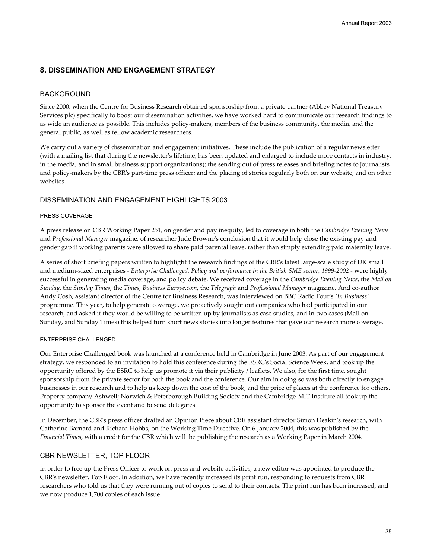# **8. DISSEMINATION AND ENGAGEMENT STRATEGY**

## BACKGROUND

Since 2000, when the Centre for Business Research obtained sponsorship from a private partner (Abbey National Treasury Services plc) specifically to boost our dissemination activities, we have worked hard to communicate our research findings to as wide an audience as possible. This includes policy-makers, members of the business community, the media, and the general public, as well as fellow academic researchers.

We carry out a variety of dissemination and engagement initiatives. These include the publication of a regular newsletter (with a mailing list that during the newsletter's lifetime, has been updated and enlarged to include more contacts in industry, in the media, and in small business support organizations); the sending out of press releases and briefing notes to journalists and policy-makers by the CBR's part-time press officer; and the placing of stories regularly both on our website, and on other websites.

## DISSEMINATION AND ENGAGEMENT HIGHLIGHTS 2003

## PRESS COVERAGE

A press release on CBR Working Paper 251, on gender and pay inequity, led to coverage in both the *Cambridge Evening News* and *Professional Manager* magazine, of researcher Jude Browne's conclusion that it would help close the existing pay and gender gap if working parents were allowed to share paid parental leave, rather than simply extending paid maternity leave.

A series of short briefing papers written to highlight the research findings of the CBR's latest large-scale study of UK small and medium-sized enterprises - *Enterprise Challenged: Policy and performance in the British SME sector, 1999-2002* - were highly successful in generating media coverage, and policy debate. We received coverage in the *Cambridge Evening News*, the *Mail on Sunday*, the *Sunday Times*, the *Times*, *Business Europe.com*, the *Telegraph* and *Professional Manager* magazine. And co-author Andy Cosh, assistant director of the Centre for Business Research, was interviewed on BBC Radio Four's *'In Business'* programme. This year, to help generate coverage, we proactively sought out companies who had participated in our research, and asked if they would be willing to be written up by journalists as case studies, and in two cases (Mail on Sunday, and Sunday Times) this helped turn short news stories into longer features that gave our research more coverage.

## ENTERPRISE CHALLENGED

Our Enterprise Challenged book was launched at a conference held in Cambridge in June 2003. As part of our engagement strategy, we responded to an invitation to hold this conference during the ESRC's Social Science Week, and took up the opportunity offered by the ESRC to help us promote it via their publicity / leaflets. We also, for the first time, sought sponsorship from the private sector for both the book and the conference. Our aim in doing so was both directly to engage businesses in our research and to help us keep down the cost of the book, and the price of places at the conference for others. Property company Ashwell; Norwich & Peterborough Building Society and the Cambridge-MIT Institute all took up the opportunity to sponsor the event and to send delegates.

In December, the CBR's press officer drafted an Opinion Piece about CBR assistant director Simon Deakin's research, with Catherine Barnard and Richard Hobbs, on the Working Time Directive. On 6 January 2004, this was published by the *Financial Times*, with a credit for the CBR which will be publishing the research as a Working Paper in March 2004.

## CBR NEWSLETTER, TOP FLOOR

In order to free up the Press Officer to work on press and website activities, a new editor was appointed to produce the CBR's newsletter, Top Floor. In addition, we have recently increased its print run, responding to requests from CBR researchers who told us that they were running out of copies to send to their contacts. The print run has been increased, and we now produce 1,700 copies of each issue.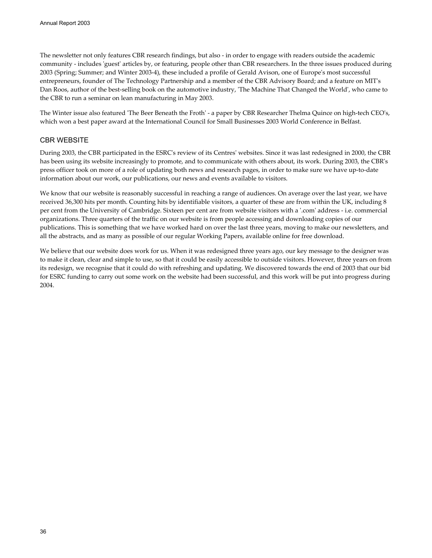The newsletter not only features CBR research findings, but also - in order to engage with readers outside the academic community - includes 'guest' articles by, or featuring, people other than CBR researchers. In the three issues produced during 2003 (Spring; Summer; and Winter 2003-4), these included a profile of Gerald Avison, one of Europe's most successful entrepreneurs, founder of The Technology Partnership and a member of the CBR Advisory Board; and a feature on MIT's Dan Roos, author of the best-selling book on the automotive industry, 'The Machine That Changed the World', who came to the CBR to run a seminar on lean manufacturing in May 2003.

The Winter issue also featured 'The Beer Beneath the Froth' - a paper by CBR Researcher Thelma Quince on high-tech CEO's, which won a best paper award at the International Council for Small Businesses 2003 World Conference in Belfast.

# CBR WEBSITE

During 2003, the CBR participated in the ESRC's review of its Centres' websites. Since it was last redesigned in 2000, the CBR has been using its website increasingly to promote, and to communicate with others about, its work. During 2003, the CBR's press officer took on more of a role of updating both news and research pages, in order to make sure we have up-to-date information about our work, our publications, our news and events available to visitors.

We know that our website is reasonably successful in reaching a range of audiences. On average over the last year, we have received 36,300 hits per month. Counting hits by identifiable visitors, a quarter of these are from within the UK, including 8 per cent from the University of Cambridge. Sixteen per cent are from website visitors with a '.com' address - i.e. commercial organizations. Three quarters of the traffic on our website is from people accessing and downloading copies of our publications. This is something that we have worked hard on over the last three years, moving to make our newsletters, and all the abstracts, and as many as possible of our regular Working Papers, available online for free download.

We believe that our website does work for us. When it was redesigned three years ago, our key message to the designer was to make it clean, clear and simple to use, so that it could be easily accessible to outside visitors. However, three years on from its redesign, we recognise that it could do with refreshing and updating. We discovered towards the end of 2003 that our bid for ESRC funding to carry out some work on the website had been successful, and this work will be put into progress during 2004.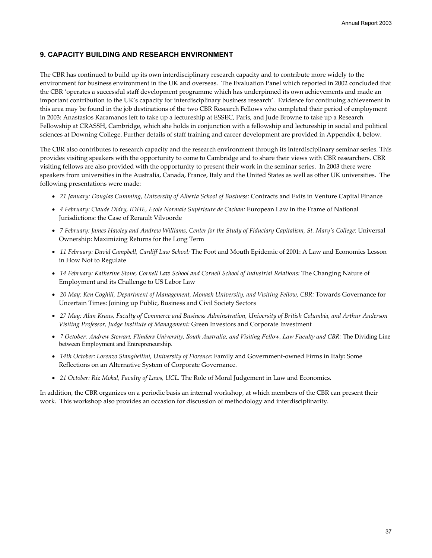# **9. CAPACITY BUILDING AND RESEARCH ENVIRONMENT**

The CBR has continued to build up its own interdisciplinary research capacity and to contribute more widely to the environment for business environment in the UK and overseas. The Evaluation Panel which reported in 2002 concluded that the CBR 'operates a successful staff development programme which has underpinned its own achievements and made an important contribution to the UK's capacity for interdisciplinary business research'. Evidence for continuing achievement in this area may be found in the job destinations of the two CBR Research Fellows who completed their period of employment in 2003: Anastasios Karamanos left to take up a lectureship at ESSEC, Paris, and Jude Browne to take up a Research Fellowship at CRASSH, Cambridge, which she holds in conjunction with a fellowship and lectureship in social and political sciences at Downing College. Further details of staff training and career development are provided in Appendix 4, below.

The CBR also contributes to research capacity and the research environment through its interdisciplinary seminar series. This provides visiting speakers with the opportunity to come to Cambridge and to share their views with CBR researchers. CBR visiting fellows are also provided with the opportunity to present their work in the seminar series. In 2003 there were speakers from universities in the Australia, Canada, France, Italy and the United States as well as other UK universities. The following presentations were made:

- *21 January: Douglas Cumming, University of Alberta School of Business:* Contracts and Exits in Venture Capital Finance
- *4 February: Claude Didry, IDHE, Ecole Normale Supérieure de Cachan:* European Law in the Frame of National Jurisdictions: the Case of Renault Vilvoorde
- *7 February: James Hawley and Andrew Williams, Center for the Study of Fiduciary Capitalism, St. Mary's College:* Universal Ownership: Maximizing Returns for the Long Term
- *11 February: David Campbell, Cardiff Law School:* The Foot and Mouth Epidemic of 2001: A Law and Economics Lesson in How Not to Regulate
- *14 February: Katherine Stone, Cornell Law School and Cornell School of Industrial Relations:* The Changing Nature of Employment and its Challenge to US Labor Law
- *20 May: Ken Coghill, Department of Management, Monash University, and Visiting Fellow, CBR: Towards Governance for* Uncertain Times: Joining up Public, Business and Civil Society Sectors
- *27 May: Alan Kraus, Faculty of Commerce and Business Adminstration, University of British Columbia, and Arthur Anderson Visiting Professor, Judge Institute of Management:* Green Investors and Corporate Investment
- *7 October: Andrew Stewart, Flinders University, South Australia, and Visiting Fellow, Law Faculty and CBR:* The Dividing Line between Employment and Entrepreneurship.
- *14th October: Lorenzo Stanghellini, University of Florence:* Family and Government-owned Firms in Italy: Some Reflections on an Alternative System of Corporate Governance.
- *21 October: Riz Mokal, Faculty of Laws, UCL.* The Role of Moral Judgement in Law and Economics.

In addition, the CBR organizes on a periodic basis an internal workshop, at which members of the CBR can present their work. This workshop also provides an occasion for discussion of methodology and interdisciplinarity.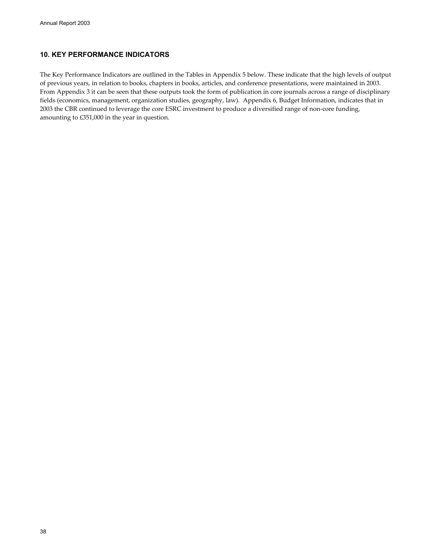# **10. KEY PERFORMANCE INDICATORS**

The Key Performance Indicators are outlined in the Tables in Appendix 5 below. These indicate that the high levels of output of previous years, in relation to books, chapters in books, articles, and conference presentations, were maintained in 2003. From Appendix 3 it can be seen that these outputs took the form of publication in core journals across a range of disciplinary fields (economics, management, organization studies, geography, law). Appendix 6, Budget Information, indicates that in 2003 the CBR continued to leverage the core ESRC investment to produce a diversified range of non-core funding, amounting to £351,000 in the year in question.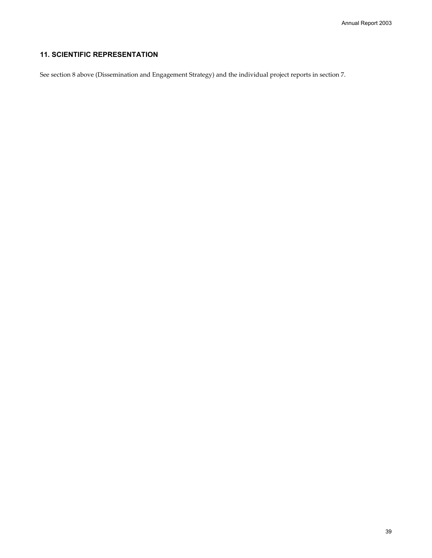# **11. SCIENTIFIC REPRESENTATION**

See section 8 above (Dissemination and Engagement Strategy) and the individual project reports in section 7.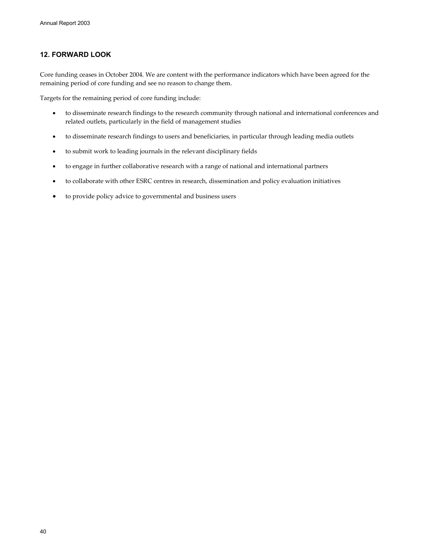# **12. FORWARD LOOK**

Core funding ceases in October 2004. We are content with the performance indicators which have been agreed for the remaining period of core funding and see no reason to change them.

Targets for the remaining period of core funding include:

- to disseminate research findings to the research community through national and international conferences and related outlets, particularly in the field of management studies
- to disseminate research findings to users and beneficiaries, in particular through leading media outlets
- to submit work to leading journals in the relevant disciplinary fields
- to engage in further collaborative research with a range of national and international partners
- to collaborate with other ESRC centres in research, dissemination and policy evaluation initiatives
- to provide policy advice to governmental and business users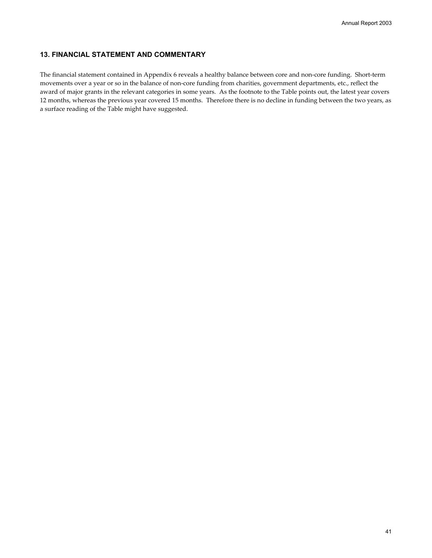# **13. FINANCIAL STATEMENT AND COMMENTARY**

The financial statement contained in Appendix 6 reveals a healthy balance between core and non-core funding. Short-term movements over a year or so in the balance of non-core funding from charities, government departments, etc., reflect the award of major grants in the relevant categories in some years. As the footnote to the Table points out, the latest year covers 12 months, whereas the previous year covered 15 months. Therefore there is no decline in funding between the two years, as a surface reading of the Table might have suggested.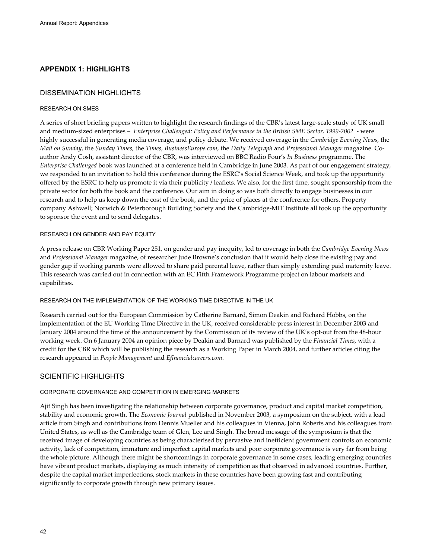# **APPENDIX 1: HIGHLIGHTS**

## DISSEMINATION HIGHLIGHTS

### RESEARCH ON SMES

A series of short briefing papers written to highlight the research findings of the CBR's latest large-scale study of UK small and medium-sized enterprises – *Enterprise Challenged: Policy and Performance in the British SME Sector, 1999-2002* - were highly successful in generating media coverage, and policy debate. We received coverage in the *Cambridge Evening News*, the *Mail on Sunday*, the *Sunday Times*, the *Times*, *BusinessEurope.com*, the *Daily Telegraph* and *Professional Manager* magazine. Coauthor Andy Cosh, assistant director of the CBR, was interviewed on BBC Radio Four's *In Business* programme. The *Enterprise Challenged* book was launched at a conference held in Cambridge in June 2003. As part of our engagement strategy, we responded to an invitation to hold this conference during the ESRC's Social Science Week, and took up the opportunity offered by the ESRC to help us promote it via their publicity / leaflets. We also, for the first time, sought sponsorship from the private sector for both the book and the conference. Our aim in doing so was both directly to engage businesses in our research and to help us keep down the cost of the book, and the price of places at the conference for others. Property company Ashwell; Norwich & Peterborough Building Society and the Cambridge-MIT Institute all took up the opportunity to sponsor the event and to send delegates.

### RESEARCH ON GENDER AND PAY EQUITY

A press release on CBR Working Paper 251, on gender and pay inequity, led to coverage in both the *Cambridge Evening News* and *Professional Manager* magazine, of researcher Jude Browne's conclusion that it would help close the existing pay and gender gap if working parents were allowed to share paid parental leave, rather than simply extending paid maternity leave. This research was carried out in connection with an EC Fifth Framework Programme project on labour markets and capabilities.

### RESEARCH ON THE IMPLEMENTATION OF THE WORKING TIME DIRECTIVE IN THE UK

Research carried out for the European Commission by Catherine Barnard, Simon Deakin and Richard Hobbs, on the implementation of the EU Working Time Directive in the UK, received considerable press interest in December 2003 and January 2004 around the time of the announcement by the Commission of its review of the UK's opt-out from the 48-hour working week. On 6 January 2004 an opinion piece by Deakin and Barnard was published by the *Financial Times*, with a credit for the CBR which will be publishing the research as a Working Paper in March 2004, and further articles citing the research appeared in *People Management* and *Efinancialcareers.com*.

## SCIENTIFIC HIGHLIGHTS

## CORPORATE GOVERNANCE AND COMPETITION IN EMERGING MARKETS

Ajit Singh has been investigating the relationship between corporate governance, product and capital market competition, stability and economic growth. The *Economic Journal* published in November 2003, a symposium on the subject, with a lead article from Singh and contributions from Dennis Mueller and his colleagues in Vienna, John Roberts and his colleagues from United States, as well as the Cambridge team of Glen, Lee and Singh. The broad message of the symposium is that the received image of developing countries as being characterised by pervasive and inefficient government controls on economic activity, lack of competition, immature and imperfect capital markets and poor corporate governance is very far from being the whole picture. Although there might be shortcomings in corporate governance in some cases, leading emerging countries have vibrant product markets, displaying as much intensity of competition as that observed in advanced countries. Further, despite the capital market imperfections, stock markets in these countries have been growing fast and contributing significantly to corporate growth through new primary issues.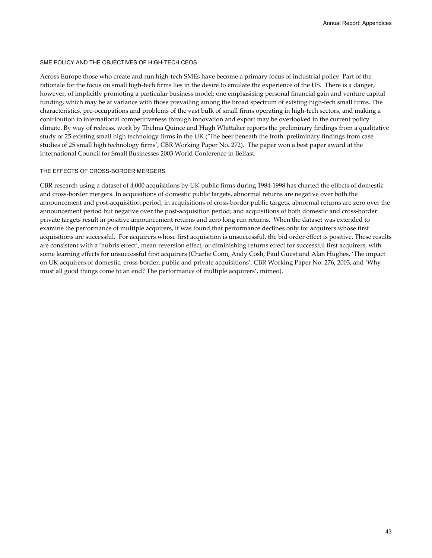### SME POLICY AND THE OBJECTIVES OF HIGH-TECH CEOS

Across Europe those who create and run high-tech SMEs have become a primary focus of industrial policy. Part of the rationale for the focus on small high-tech firms lies in the desire to emulate the experience of the US. There is a danger, however, of implicitly promoting a particular business model: one emphasising personal financial gain and venture capital funding, which may be at variance with those prevailing among the broad spectrum of existing high-tech small firms. The characteristics, pre-occupations and problems of the vast bulk of small firms operating in high-tech sectors, and making a contribution to international competitiveness through innovation and export may be overlooked in the current policy climate. By way of redress, work by Thelma Quince and Hugh Whittaker reports the preliminary findings from a qualitative study of 25 existing small high technology firms in the UK ('The beer beneath the froth: preliminary findings from case studies of 25 small high technology firms', CBR Working Paper No. 272). The paper won a best paper award at the International Council for Small Businesses 2003 World Conference in Belfast.

### THE EFFECTS OF CROSS-BORDER MERGERS

CBR research using a dataset of 4,000 acquisitions by UK public firms during 1984-1998 has charted the effects of domestic and cross-border mergers. In acquisitions of domestic public targets, abnormal returns are negative over both the announcement and post-acquisition period; in acquisitions of cross-border public targets, abnormal returns are zero over the announcement period but negative over the post-acquisition period; and acquisitions of both domestic and cross-border private targets result in positive announcement returns and zero long run returns. When the dataset was extended to examine the performance of multiple acquirers, it was found that performance declines only for acquirers whose first acquisitions are successful. For acquirers whose first acquisition is unsuccessful, the bid order effect is positive. These results are consistent with a 'hubris effect', mean reversion effect, or diminishing returns effect for successful first acquirers, with some learning effects for unsuccessful first acquirers (Charlie Conn, Andy Cosh, Paul Guest and Alan Hughes, 'The impact on UK acquirers of domestic, cross-border, public and private acquisitions', CBR Working Paper No. 276, 2003, and 'Why must all good things come to an end? The performance of multiple acquirers', mimeo).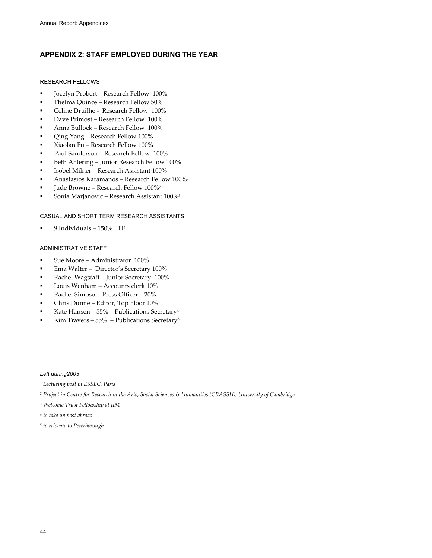# **APPENDIX 2: STAFF EMPLOYED DURING THE YEAR**

## RESEARCH FELLOWS

- Jocelyn Probert Research Fellow 100%
- Thelma Quince Research Fellow 50%
- **Celine Druilhe Research Fellow 100%**
- Dave Primost Research Fellow 100%
- Anna Bullock Research Fellow 100%
- Qing Yang Research Fellow 100%
- Xiaolan Fu Research Fellow 100%
- Paul Sanderson Research Fellow 100%
- Beth Ahlering Junior Research Fellow 100%
- Isobel Milner Research Assistant 100%
- Anastasios Karamanos Research Fellow 100%1
- Jude Browne Research Fellow 100%2
- **Sonia Marjanovic Research Assistant 100%**<sup>3</sup>

## CASUAL AND SHORT TERM RESEARCH ASSISTANTS

9 Individuals = 150% FTE

## ADMINISTRATIVE STAFF

- Sue Moore Administrator 100%
- Ema Walter Director's Secretary 100%
- Rachel Wagstaff Junior Secretary 100%
- Louis Wenham Accounts clerk 10%
- Rachel Simpson Press Officer 20%
- Chris Dunne Editor, Top Floor 10%
- Kate Hansen 55% Publications Secretary4
- Kim Travers 55% Publications Secretary5

### *Left during2003*

 $\overline{a}$ 

- *1 Lecturing post in ESSEC, Paris*
- *2 Project in Centre for Research in the Arts, Social Sciences & Humanities (CRASSH), University of Cambridge*
- *3 Welcome Trust Fellowship at JIM*
- *4 to take up post abroad*
- *5 to relocate to Peterborough*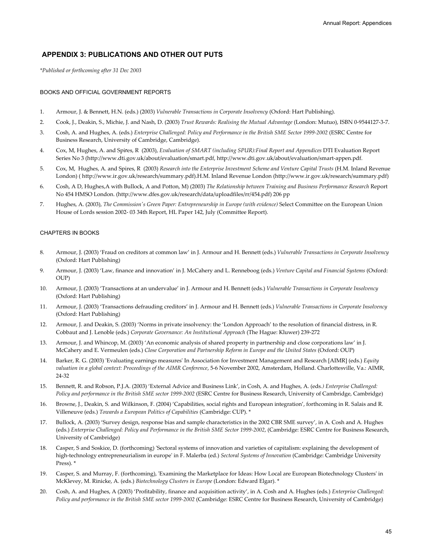# **APPENDIX 3: PUBLICATIONS AND OTHER OUT PUTS**

*\*Published or forthcoming after 31 Dec 2003*

#### BOOKS AND OFFICIAL GOVERNMENT REPORTS

- 1. Armour, J. & Bennett, H.N. (eds.) (2003) *Vulnerable Transactions in Corporate Insolvency* (Oxford: Hart Publishing).
- 2. Cook, J., Deakin, S., Michie, J. and Nash, D. (2003) *Trust Rewards: Realising the Mutual Advantage* (London: Mutuo), ISBN 0-9544127-3-7.
- 3. Cosh, A. and Hughes, A. (eds.) *Enterprise Challenged: Policy and Performance in the British SME Sector 1999-2002* (ESRC Centre for Business Research, University of Cambridge, Cambridge).
- 4. Cox, M, Hughes, A. and Spires, R (2003), *Evaluation of SMART (including SPUR):Final Report and Appendices* DTI Evaluation Report Series No 3 (http://www.dti.gov.uk/about/evaluation/smart.pdf, http://www.dti.gov.uk/about/evaluation/smart-appen.pdf.
- 5. Cox, M, Hughes, A. and Spires, R (2003) *Research into the Enterprise Investment Scheme and Venture Capital Trusts* (H.M. Inland Revenue London) ( http://www.ir.gov.uk/research/summary.pdf).H.M. Inland Revenue London (http://www.ir.gov.uk/research/summary.pdf)
- 6. Cosh, A D, Hughes,A with Bullock, A and Potton, M) (2003) *The Relationship between Training and Business Performance Research* Report No 454 HMSO London. (http://www.dfes.gov.uk/research/data/uploadfiles/rr/454.pdf) 206 pp
- 7. Hughes, A. (2003), *The Commission's Green Paper: Entrepreneurship in Europe (with evidence)* Select Committee on the European Union House of Lords session 2002- 03 34th Report, HL Paper 142, July (Committee Report).

## CHAPTERS IN BOOKS

- 8. Armour, J. (2003) 'Fraud on creditors at common law' in J. Armour and H. Bennett (eds.) *Vulnerable Transactions in Corporate Insolvency* (Oxford: Hart Publishing)
- 9. Armour, J. (2003) 'Law, finance and innovation' in J. McCahery and L. Renneboog (eds.) *Venture Capital and Financial Systems* (Oxford:  $OUP$
- 10. Armour, J. (2003) 'Transactions at an undervalue' in J. Armour and H. Bennett (eds.) *Vulnerable Transactions in Corporate Insolvency* (Oxford: Hart Publishing)
- 11. Armour, J. (2003) 'Transactions defrauding creditors' in J. Armour and H. Bennett (eds.) *Vulnerable Transactions in Corporate Insolvency* (Oxford: Hart Publishing)
- 12. Armour, J. and Deakin, S. (2003) 'Norms in private insolvency: the 'London Approach' to the resolution of financial distress, in R. Cobbaut and J. Lenoble (eds.) *Corporate Governance: An Institutional Approach* (The Hague: Kluwer) 239-272
- 13. Armour, J. and Whincop, M. (2003) 'An economic analysis of shared property in partnership and close corporations law' in J. McCahery and E. Vermeulen (eds.) *Close Corporation and Partnership Reform in Europe and the United States* (Oxford: OUP)
- 14. Barker, R. G. (2003) 'Evaluating earnings measures' In Association for Investment Management and Research [AIMR] (eds.) *Equity valuation in a global context: Proceedings of the AIMR Conference*, 5-6 November 2002, Amsterdam, Holland. Charlottesville, Va.: AIMR, 24-32
- 15. Bennett, R. and Robson, P.J.A. (2003) 'External Advice and Business Link', in Cosh, A. and Hughes, A. (eds*.) Enterprise Challenged: Policy and performance in the British SME sector 1999-2002* (ESRC Centre for Business Research, University of Cambridge, Cambridge)
- 16. Browne, J., Deakin, S. and Wilkinson, F. (2004) 'Capabilities, social rights and European integration', forthcoming in R. Salais and R. Villeneuve (eds.) *Towards a European Politics of Capabilities* (Cambridge: CUP). \*
- 17. Bullock, A. (2003) 'Survey design, response bias and sample characteristics in the 2002 CBR SME survey', in A. Cosh and A. Hughes (eds.) *Enterprise Challenged: Policy and Performance in the British SME Sector 1999-2002*, (Cambridge: ESRC Centre for Business Research, University of Cambridge)
- 18. Casper, S and Soskice, D. (forthcoming) 'Sectoral systems of innovation and varieties of capitalism: explaining the development of high-technology entrepreneurialism in europe' in F. Malerba (ed.) *Sectoral Systems of Innovation* (Cambridge: Cambridge University Press). \*
- 19. Casper, S. and Murray, F. (forthcoming), 'Examining the Marketplace for Ideas: How Local are European Biotechnology Clusters' in McKlevey, M. Rinicke, A. (eds.) *Biotechnology Clusters in Europe* (London: Edward Elgar). \*
- 20. Cosh, A. and Hughes, A (2003) 'Profitability, finance and acquisition activity', in A. Cosh and A. Hughes (eds.) *Enterprise Challenged: Policy and performance in the British SME sector 1999-2002* (Cambridge: ESRC Centre for Business Research, University of Cambridge)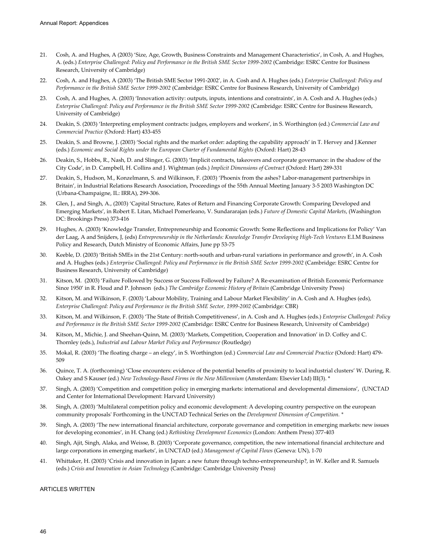- 21. Cosh, A. and Hughes, A (2003) 'Size, Age, Growth, Business Constraints and Management Characteristics', in Cosh, A. and Hughes, A. (eds.) *Enterprise Challenged: Policy and Performance in the British SME Sector 1999-2002* (Cambridge: ESRC Centre for Business Research, University of Cambridge)
- 22. Cosh, A. and Hughes, A (2003) 'The British SME Sector 1991-2002', in A. Cosh and A. Hughes (eds.) *Enterprise Challenged: Policy and Performance in the British SME Sector 1999-2002* (Cambridge: ESRC Centre for Business Research, University of Cambridge)
- 23. Cosh, A. and Hughes, A. (2003) 'Innovation activity: outputs, inputs, intentions and constraints', in A. Cosh and A. Hughes (eds.) *Enterprise Challenged: Policy and Performance in the British SME Sector 1999-2002* (Cambridge: ESRC Centre for Business Research, University of Cambridge)
- 24. Deakin, S. (2003) 'Interpreting employment contracts: judges, employers and workers', in S. Worthington (ed.) *Commercial Law and Commercial Practice* (Oxford: Hart) 433-455
- 25. Deakin, S. and Browne, J. (2003) 'Social rights and the market order: adapting the capability approach' in T. Hervey and J.Kenner (eds.) *Economic and Social Rights under the European Charter of Fundamental Rights* (Oxford: Hart) 28-43
- 26. Deakin, S., Hobbs, R., Nash, D. and Slinger, G. (2003) 'Implicit contracts, takeovers and corporate governance: in the shadow of the City Code', in D. Campbell, H. Collins and J. Wightman (eds.) *Implicit Dimensions of Contract* (Oxford: Hart) 289-331
- 27. Deakin, S., Hudson, M., Konzelmann, S. and Wilkinson, F. (2003) 'Phoenix from the ashes? Labor-management partnerships in Britain', in Industrial Relations Research Association, Proceedings of the 55th Annual Meeting January 3-5 2003 Washington DC (Urbana-Champaigne, IL: IRRA), 299-306.
- 28. Glen, J., and Singh, A., (2003) 'Capital Structure, Rates of Return and Financing Corporate Growth: Comparing Developed and Emerging Markets', in Robert E. Litan, Michael Pomerleano, V. Sundararajan (eds.) *Future of Domestic Capital Markets*, (Washington DC: Brookings Press) 373-416
- 29. Hughes, A. (2003) 'Knowledge Transfer, Entrepreneurship and Economic Growth: Some Reflections and Implications for Policy' Van der Laag, A and Snijders, J, (eds) *Entrepreneurship in the Netherlands: Knowledge Transfer Developing High-Tech Ventures* E.I.M Business Policy and Research, Dutch Ministry of Economic Affairs, June pp 53-75
- 30. Keeble, D. (2003) 'British SMEs in the 21st Century: north-south and urban-rural variations in performance and growth', in A. Cosh and A. Hughes (eds.) *Enterprise Challenged: Policy and Performance in the British SME Sector 1999-2002* (Cambridge: ESRC Centre for Business Research, University of Cambridge)
- 31. Kitson, M. (2003) 'Failure Followed by Success or Success Followed by Failure? A Re-examination of British Economic Performance Since 1950' in R. Floud and P. Johnson (eds.) *The Cambridge Economic History of Britain* (Cambridge University Press)
- 32. Kitson, M. and Wilkinson, F. (2003) 'Labour Mobility, Training and Labour Market Flexibility' in A. Cosh and A. Hughes (eds), *Enterprise Challenged: Policy and Performance in the British SME Sector, 1999-2002* (Cambridge: CBR)
- 33. Kitson, M. and Wilkinson, F. (2003) 'The State of British Competitiveness', in A. Cosh and A. Hughes (eds.) *Enterprise Challenged: Policy and Performance in the British SME Sector 1999-2002* (Cambridge: ESRC Centre for Business Research, University of Cambridge)
- 34. Kitson, M., Michie, J. and Sheehan-Quinn, M. (2003) 'Markets, Competition, Cooperation and Innovation' in D. Coffey and C. Thornley (eds.), *Industrial and Labour Market Policy and Performance* (Routledge)
- 35. Mokal, R. (2003) 'The floating charge an elegy', in S. Worthington (ed.) *Commercial Law and Commercial Practice* (Oxford: Hart) 479- 509
- 36. Quince, T. A. (forthcoming) 'Close encounters: evidence of the potential benefits of proximity to local industrial clusters' W. During, R. Oakey and S Kauser (ed.) *New Technology-Based Firms in the New Millennium* (Amsterdam: Elsevier Ltd) III(3). \*
- 37. Singh, A. (2003) 'Competition and competition policy in emerging markets: international and developmental dimensions', (UNCTAD and Center for International Development: Harvard University)
- 38. Singh, A. (2003) 'Multilateral competition policy and economic development: A developing country perspective on the european community proposals' Forthcoming in the UNCTAD Technical Series on the *Development Dimension of Competition. \**
- 39. Singh, A. (2003) 'The new international financial architecture, corporate governance and competition in emerging markets: new issues for developing economies', in H. Chang (ed.) *Rethinking Development Economics* (London: Anthem Press) 377-403
- 40. Singh, Ajit, Singh, Alaka, and Weisse, B. (2003) 'Corporate governance, competition, the new international financial architecture and large corporations in emerging markets', in UNCTAD (ed.) *Management of Capital Flows* (Geneva: UN), 1-70
- 41. Whittaker, H. (2003) 'Crisis and innovation in Japan: a new future through techno-entrepreneurship?, in W. Keller and R. Samuels (eds.) *Crisis and Innovation in Asian Technology* (Cambridge: Cambridge University Press)

ARTICLES WRITTEN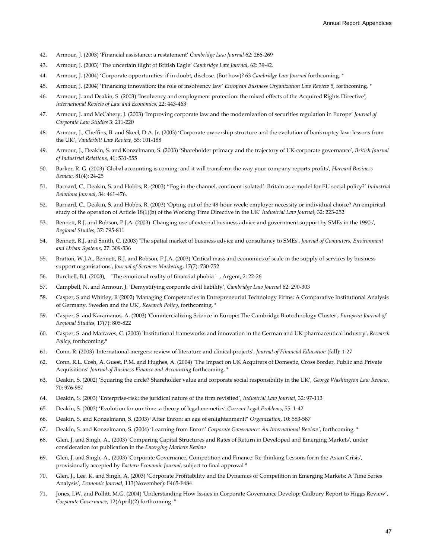- 42. Armour, J. (2003) 'Financial assistance: a restatement' *Cambridge Law Journal* 62: 266-269
- 43. Armour, J. (2003) 'The uncertain flight of British Eagle' *Cambridge Law Journal*, 62: 39-42.
- 44. Armour, J. (2004) 'Corporate opportunities: if in doubt, disclose. (But how)? 63 *Cambridge Law Journal* forthcoming. \*
- 45. Armour, J. (2004) 'Financing innovation: the role of insolvency law' *European Business Organization Law Review* 5, forthcoming. \*
- 46. Armour, J. and Deakin, S. (2003) 'Insolvency and employment protection: the mixed effects of the Acquired Rights Directive', *International Review of Law and Economics*, 22: 443-463
- 47. Armour, J. and McCahery, J. (2003) 'Improving corporate law and the modernization of securities regulation in Europe' *Journal of Corporate Law Studies* 3: 211-220
- 48. Armour, J., Cheffins, B. and Skeel, D.A. Jr. (2003) 'Corporate ownership structure and the evolution of bankruptcy law: lessons from the UK', *Vanderbilt Law Review*, 55: 101-188
- 49. Armour, J., Deakin, S. and Konzelmann, S. (2003) 'Shareholder primacy and the trajectory of UK corporate governance', *British Journal of Industrial Relations*, 41: 531-555
- 50. Barker, R. G. (2003) 'Global accounting is coming: and it will transform the way your company reports profits', *Harvard Business Review*, 81(4): 24-25
- 51. Barnard, C., Deakin, S. and Hobbs, R. (2003) ''Fog in the channel, continent isolated': Britain as a model for EU social policy?' *Industrial Relations Journal*, 34: 461-476.
- 52. Barnard, C., Deakin, S. and Hobbs, R. (2003) 'Opting out of the 48-hour week: employer necessity or individual choice? An empirical study of the operation of Article 18(1)(b) of the Working Time Directive in the UK' *Industrial Law Journal*, 32: 223-252
- 53. Bennett, R.J. and Robson, P.J.A. (2003) 'Changing use of external business advice and government support by SMEs in the 1990s', *Regional Studies*, 37: 795-811
- 54. Bennett, R.J. and Smith, C. (2003) 'The spatial market of business advice and consultancy to SMEs', *Journal of Computers, Environment and Urban Systems*, 27: 309-336
- 55. Bratton, W.J.A., Bennett, R.J. and Robson, P.J.A. (2003) 'Critical mass and economies of scale in the supply of services by business support organisations', *Journal of Services Marketing*, 17(7): 730-752
- 56. Burchell, B.J. (2003), 'The emotional reality of financial phobia', Argent, 2: 22-26
- 57. Campbell, N. and Armour, J. 'Demystifying corporate civil liability', *Cambridge Law Journal* 62: 290-303
- 58. Casper, S and Whitley, R (2002) 'Managing Competencies in Entrepreneurial Technology Firms: A Comparative Institutional Analysis of Germany, Sweden and the UK', *Research Policy*, forthcoming. \*
- 59. Casper, S. and Karamanos, A. (2003) 'Commercializing Science in Europe: The Cambridge Biotechnology Cluster', *European Journal of Regional Studies*, 17(7): 805-822
- 60. Casper, S. and Matraves, C. (2003) 'Institutional frameworks and innovation in the German and UK pharmaceutical industry', *Research Policy*, forthcoming.\*
- 61. Conn, R. (2003) 'International mergers: review of literature and clinical projects', *Journal of Financial Education* (fall): 1-27
- 62. Conn, R.L. Cosh, A. Guest, P.M. and Hughes, A. (2004) 'The Impact on UK Acquirers of Domestic, Cross Border, Public and Private Acquisitions' *Journal of Business Finance and Accounting* forthcoming. \*
- 63. Deakin, S. (2002) 'Squaring the circle? Shareholder value and corporate social responsibility in the UK', *George Washington Law Review*, 70: 976-987
- 64. Deakin, S. (2003) 'Enterprise-risk: the juridical nature of the firm revisited'*, Industrial Law Journal*, 32: 97-113
- 65. Deakin, S. (2003) 'Evolution for our time: a theory of legal memetics' *Current Legal Problems*, 55: 1-42
- 66. Deakin, S. and Konzelmann, S. (2003) 'After Enron: an age of enlightenment?' *Organization*, 10: 583-587
- 67. Deakin, S. and Konzelmann, S. (2004) 'Learning from Enron' *Corporate Governance: An International Review'*, forthcoming. \*
- 68. Glen, J. and Singh, A., (2003) 'Comparing Capital Structures and Rates of Return in Developed and Emerging Markets', under consideration for publication in the *Emerging Markets Review*
- 69. Glen, J. and Singh, A., (2003) 'Corporate Governance, Competition and Finance: Re-thinking Lessons form the Asian Crisis', provisionally accepted by *Eastern Economic Journal*, subject to final approval \*
- 70. Glen, J., Lee, K. and Singh, A. (2003) 'Corporate Profitability and the Dynamics of Competition in Emerging Markets: A Time Series Analysis', *Economic Journal*, 113(November): F465-F484
- 71. Jones, I.W. and Pollitt, M.G. (2004) 'Understanding How Issues in Corporate Governance Develop: Cadbury Report to Higgs Review', *Corporate Governance*, 12(April)(2) forthcoming. \*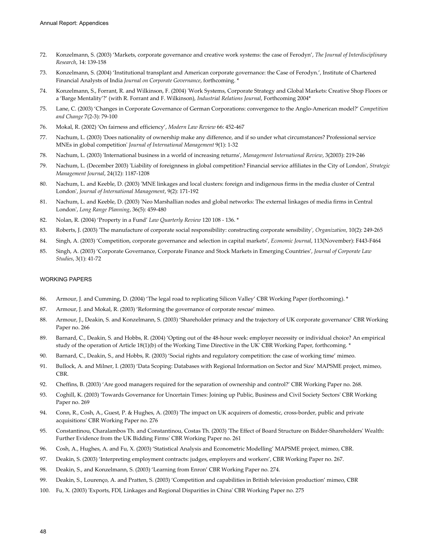- 72. Konzelmann, S. (2003) 'Markets, corporate governance and creative work systems: the case of Ferodyn', *The Journal of Interdisciplinary Research*, 14: 139-158
- 73. Konzelmann, S. (2004) 'Institutional transplant and American corporate governance: the Case of Ferodyn.', Institute of Chartered Financial Analysts of India *Journal on Corporate Governance*, forthcoming. \*
- 74. Konzelmann, S., Forrant, R. and Wilkinson, F. (2004) 'Work Systems, Corporate Strategy and Global Markets: Creative Shop Floors or a 'Barge Mentality'?' (with R. Forrant and F. Wilkinson), *Industrial Relations Journal*, Forthcoming 2004\*
- 75. Lane, C. (2003) 'Changes in Corporate Governance of German Corporations: convergence to the Anglo-American model?' *Competition and Change* 7(2-3): 79-100
- 76. Mokal, R. (2002) 'On fairness and efficiency', *Modern Law Review* 66: 452-467
- 77. Nachum, L. (2003) 'Does nationality of ownership make any difference, and if so under what circumstances? Professional service MNEs in global competition' *Journal of International Management* 9(1): 1-32
- 78. Nachum, L. (2003) 'International business in a world of increasing returns', *Management International Review*, 3(2003): 219-246
- 79. Nachum, L. (December 2003) 'Liability of foreignness in global competition? Financial service affiliates in the City of London', *Strategic Management Journal*, 24(12): 1187-1208
- 80. Nachum, L. and Keeble, D. (2003) 'MNE linkages and local clusters: foreign and indigenous firms in the media cluster of Central London', *Journal of International Management*, 9(2): 171-192
- 81. Nachum, L. and Keeble, D. (2003) 'Neo Marshallian nodes and global networks: The external linkages of media firms in Central London', *Long Range Planning*, 36(5): 459-480
- 82. Nolan, R. (2004) 'Property in a Fund' *Law Quarterly Review* 120 108 136. \*
- 83. Roberts, J. (2003) 'The manufacture of corporate social responsibility: constructing corporate sensibility', *Organization*, 10(2): 249-265
- 84. Singh, A. (2003) 'Competition, corporate governance and selection in capital markets', *Economic Journal*, 113(November): F443-F464
- 85. Singh, A. (2003) 'Corporate Governance, Corporate Finance and Stock Markets in Emerging Countries', *Journal of Corporate Law Studies*, 3(1): 41-72

### WORKING PAPERS

- 86. Armour, J. and Cumming, D. (2004) 'The legal road to replicating Silicon Valley' CBR Working Paper (forthcoming). \*
- 87. Armour, J. and Mokal, R. (2003) 'Reforming the governance of corporate rescue' mimeo.
- 88. Armour, J., Deakin, S. and Konzelmann, S. (2003) 'Shareholder primacy and the trajectory of UK corporate governance' CBR Working Paper no. 266
- 89. Barnard, C., Deakin, S. and Hobbs, R. (2004) 'Opting out of the 48-hour week: employer necessity or individual choice? An empirical study of the operation of Article 18(1)(b) of the Working Time Directive in the UK' CBR Working Paper, forthcoming. \*
- 90. Barnard, C., Deakin, S., and Hobbs, R. (2003) 'Social rights and regulatory competition: the case of working time' mimeo.
- 91. Bullock, A. and Milner, I. (2003) 'Data Scoping: Databases with Regional Information on Sector and Size' MAPSME project, mimeo, CBR.
- 92. Cheffins, B. (2003) 'Are good managers required for the separation of ownership and control?' CBR Working Paper no. 268.
- 93. Coghill, K. (2003) 'Towards Governance for Uncertain Times: Joining up Public, Business and Civil Society Sectors' CBR Working Paper no. 269
- 94. Conn, R., Cosh, A., Guest, P. & Hughes, A. (2003) 'The impact on UK acquirers of domestic, cross-border, public and private acquisitions' CBR Working Paper no. 276
- 95. Constantinou, Charalambos Th. and Constantinou, Costas Th. (2003) 'The Effect of Board Structure on Bidder-Shareholders' Wealth: Further Evidence from the UK Bidding Firms' CBR Working Paper no. 261
- 96. Cosh, A., Hughes, A. and Fu, X. (2003) 'Statistical Analysis and Econometric Modelling' MAPSME project, mimeo, CBR.
- 97. Deakin, S. (2003) 'Interpreting employment contracts: judges, employers and workers', CBR Working Paper no. 267.
- 98. Deakin, S., and Konzelmann, S. (2003) 'Learning from Enron' CBR Working Paper no. 274.
- 99. Deakin, S., Lourenço, A. and Pratten, S. (2003) 'Competition and capabilities in British television production' mimeo, CBR
- 100. Fu, X. (2003) 'Exports, FDI, Linkages and Regional Disparities in China' CBR Working Paper no. 275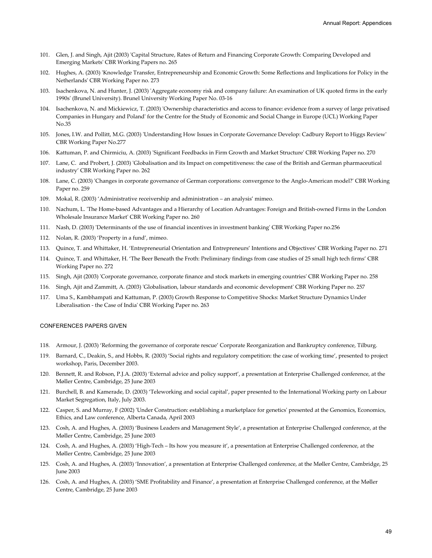- 101. Glen, J. and Singh, Ajit (2003) 'Capital Structure, Rates of Return and Financing Corporate Growth: Comparing Developed and Emerging Markets' CBR Working Papers no. 265
- 102. Hughes, A. (2003) 'Knowledge Transfer, Entrepreneurship and Economic Growth: Some Reflections and Implications for Policy in the Netherlands' CBR Working Paper no. 273
- 103. Isachenkova, N. and Hunter, J. (2003) 'Aggregate economy risk and company failure: An examination of UK quoted firms in the early 1990s' (Brunel University). Brunel University Working Paper No. 03-16
- 104. Isachenkova, N. and Mickiewicz, T. (2003) 'Ownership characteristics and access to finance: evidence from a survey of large privatised Companies in Hungary and Poland' for the Centre for the Study of Economic and Social Change in Europe (UCL) Working Paper No.35
- 105. Jones, I.W. and Pollitt, M.G. (2003) 'Understanding How Issues in Corporate Governance Develop: Cadbury Report to Higgs Review' CBR Working Paper No.277
- 106. Kattuman, P. and Chirmiciu, A. (2003) 'Significant Feedbacks in Firm Growth and Market Structure' CBR Working Paper no. 270
- 107. Lane, C. and Probert, J. (2003) 'Globalisation and its Impact on competitiveness: the case of the British and German pharmaceutical industry' CBR Working Paper no. 262
- 108. Lane, C. (2003) 'Changes in corporate governance of German corporations: convergence to the Anglo-American model?' CBR Working Paper no. 259
- 109. Mokal, R. (2003) 'Administrative receivership and administration an analysis' mimeo.
- 110. Nachum, L. 'The Home-based Advantages and a Hierarchy of Location Advantages: Foreign and British-owned Firms in the London Wholesale Insurance Market' CBR Working Paper no. 260
- 111. Nash, D. (2003) 'Determinants of the use of financial incentives in investment banking' CBR Working Paper no.256
- 112. Nolan, R. (2003) 'Property in a fund', mimeo.
- 113. Quince, T. and Whittaker, H. 'Entrepreneurial Orientation and Entrepreneurs' Intentions and Objectives' CBR Working Paper no. 271
- 114. Quince, T. and Whittaker, H. 'The Beer Beneath the Froth: Preliminary findings from case studies of 25 small high tech firms' CBR Working Paper no. 272
- 115. Singh, Ajit (2003) 'Corporate governance, corporate finance and stock markets in emerging countries' CBR Working Paper no. 258
- 116. Singh, Ajit and Zammitt, A. (2003) 'Globalisation, labour standards and economic development' CBR Working Paper no. 257
- 117. Uma S., Kambhampati and Kattuman, P. (2003) Growth Response to Competitive Shocks: Market Structure Dynamics Under Liberalisation - the Case of India' CBR Working Paper no. 263

### CONFERENCES PAPERS GIVEN

- 118. Armour, J. (2003) 'Reforming the governance of corporate rescue' Corporate Reorganization and Bankruptcy conference, Tilburg.
- 119. Barnard, C., Deakin, S., and Hobbs, R. (2003) 'Social rights and regulatory competition: the case of working time', presented to project workshop, Paris, December 2003.
- 120. Bennett, R. and Robson, P.J.A. (2003) 'External advice and policy support', a presentation at Enterprise Challenged conference, at the Møller Centre, Cambridge, 25 June 2003
- 121. Burchell, B. and Kamerade, D. (2003) 'Teleworking and social capital', paper presented to the International Working party on Labour Market Segregation, Italy, July 2003.
- 122. Casper, S. and Murray, F (2002) 'Under Construction: establishing a marketplace for genetics' presented at the Genomics, Economics, Ethics, and Law conference, Alberta Canada, April 2003
- 123. Cosh, A. and Hughes, A. (2003) 'Business Leaders and Management Style', a presentation at Enterprise Challenged conference, at the Møller Centre, Cambridge, 25 June 2003
- 124. Cosh, A. and Hughes, A. (2003) 'High-Tech Its how you measure it', a presentation at Enterprise Challenged conference, at the Møller Centre, Cambridge, 25 June 2003
- 125. Cosh, A. and Hughes, A. (2003) 'Innovation', a presentation at Enterprise Challenged conference, at the Møller Centre, Cambridge, 25 June 2003
- 126. Cosh, A. and Hughes, A. (2003) 'SME Profitability and Finance', a presentation at Enterprise Challenged conference, at the Møller Centre, Cambridge, 25 June 2003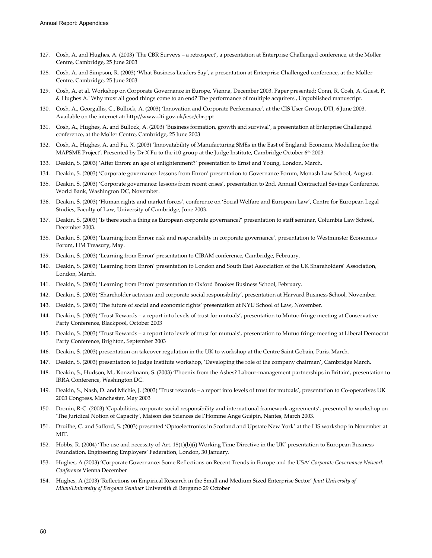- 127. Cosh, A. and Hughes, A. (2003) 'The CBR Surveys a retrospect', a presentation at Enterprise Challenged conference, at the Møller Centre, Cambridge, 25 June 2003
- 128. Cosh, A. and Simpson, R. (2003) 'What Business Leaders Say', a presentation at Enterprise Challenged conference, at the Møller Centre, Cambridge, 25 June 2003
- 129. Cosh, A. et al. Workshop on Corporate Governance in Europe, Vienna, December 2003. Paper presented: Conn, R. Cosh, A. Guest. P, & Hughes A.' Why must all good things come to an end? The performance of multiple acquirers', Unpublished manuscript.
- 130. Cosh, A., Georgallis, C., Bullock, A. (2003) 'Innovation and Corporate Performance', at the CIS User Group, DTI, 6 June 2003. Available on the internet at: http://www.dti.gov.uk/iese/cbr.ppt
- 131. Cosh, A., Hughes, A. and Bullock, A. (2003) 'Business formation, growth and survival', a presentation at Enterprise Challenged conference, at the Møller Centre, Cambridge, 25 June 2003
- 132. Cosh, A., Hughes, A. and Fu, X. (2003) 'Innovatability of Manufacturing SMEs in the East of England: Economic Modelling for the MAPSME Project'. Presented by Dr X Fu to the i10 group at the Judge Institute, Cambridge October 6<sup>th</sup> 2003.
- 133. Deakin, S. (2003) 'After Enron: an age of enlightenment?' presentation to Ernst and Young, London, March.
- 134. Deakin, S. (2003) 'Corporate governance: lessons from Enron' presentation to Governance Forum, Monash Law School, August.
- 135. Deakin, S. (2003) 'Corporate governance: lessons from recent crises', presentation to 2nd. Annual Contractual Savings Conference, World Bank, Washington DC, November.
- 136. Deakin, S. (2003) 'Human rights and market forces', conference on 'Social Welfare and European Law', Centre for European Legal Studies, Faculty of Law, University of Cambridge, June 2003.
- 137. Deakin, S. (2003) 'Is there such a thing as European corporate governance?' presentation to staff seminar, Columbia Law School, December 2003.
- 138. Deakin, S. (2003) 'Learning from Enron: risk and responsibility in corporate governance', presentation to Westminster Economics Forum, HM Treasury, May.
- 139. Deakin, S. (2003) 'Learning from Enron' presentation to CIBAM conference, Cambridge, February.
- 140. Deakin, S. (2003) 'Learning from Enron' presentation to London and South East Association of the UK Shareholders' Association, London, March.
- 141. Deakin, S. (2003) 'Learning from Enron' presentation to Oxford Brookes Business School, February.
- 142. Deakin, S. (2003) 'Shareholder activism and corporate social responsibility', presentation at Harvard Business School, November.
- 143. Deakin, S. (2003) 'The future of social and economic rights' presentation at NYU School of Law, November.
- 144. Deakin, S. (2003) 'Trust Rewards a report into levels of trust for mutuals', presentation to Mutuo fringe meeting at Conservative Party Conference, Blackpool, October 2003
- 145. Deakin, S. (2003) 'Trust Rewards a report into levels of trust for mutuals', presentation to Mutuo fringe meeting at Liberal Democrat Party Conference, Brighton, September 2003
- 146. Deakin, S. (2003) presentation on takeover regulation in the UK to workshop at the Centre Saint Gobain, Paris, March.
- 147. Deakin, S. (2003) presentation to Judge Institute workshop, 'Developing the role of the company chairman', Cambridge March.
- 148. Deakin, S., Hudson, M., Konzelmann, S. (2003) 'Phoenix from the Ashes? Labour-management partnerships in Britain', presentation to IRRA Conference, Washington DC.
- 149. Deakin, S., Nash, D. and Michie, J. (2003) 'Trust rewards a report into levels of trust for mutuals', presentation to Co-operatives UK 2003 Congress, Manchester, May 2003
- 150. Drouin, R-C. (2003) 'Capabilities, corporate social responsibility and international framework agreements', presented to workshop on 'The Juridical Notion of Capacity', Maison des Sciences de l'Homme Ange Guépin, Nantes, March 2003.
- 151. Druilhe, C. and Safford, S. (2003) presented 'Optoelectronics in Scotland and Upstate New York' at the LIS workshop in November at MIT.
- 152. Hobbs, R. (2004) 'The use and necessity of Art. 18(1)(b)(i) Working Time Directive in the UK' presentation to European Business Foundation, Engineering Employers' Federation, London, 30 January.
- 153. Hughes, A (2003) 'Corporate Governance: Some Reflections on Recent Trends in Europe and the USA' *Corporate Governance Network Conference* Vienna December
- 154. Hughes, A (2003) 'Reflections on Empirical Research in the Small and Medium Sized Enterprise Sector' *Joint University of Milan/University of Bergamo Seminar* Università di Bergamo 29 October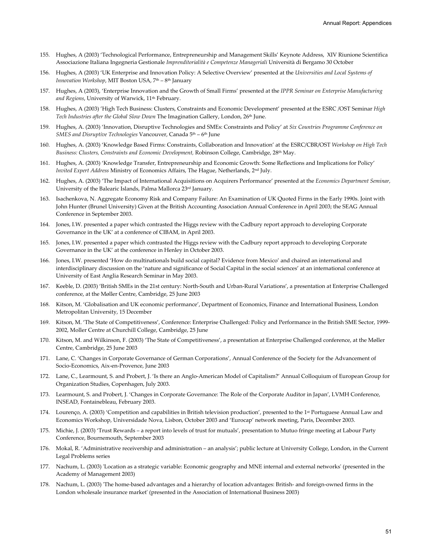- 155. Hughes, A (2003) 'Technological Performance, Entrepreneurship and Management Skills' Keynote Address, XIV Riunione Scientifica Associazione Italiana Ingegneria Gestionale *Imprenditorialità e Competenze Manageriali* Università di Bergamo 30 October
- 156. Hughes, A (2003) 'UK Enterprise and Innovation Policy: A Selective Overview' presented at the *Universities and Local Systems of Innovation Workshop*, MIT Boston USA, 7<sup>th</sup> – 8<sup>th</sup> January
- 157. Hughes, A (2003), 'Enterprise Innovation and the Growth of Small Firms' presented at the *IPPR Seminar on Enterprise Manufacturing and Regions*, University of Warwick, 11th February.
- 158. Hughes, A (2003) 'High Tech Business: Clusters, Constraints and Economic Development' presented at the ESRC /OST Seminar *High Tech Industries after the Global Slow Down* The Imagination Gallery, London, 26th June.
- 159. Hughes, A. (2003) 'Innovation, Disruptive Technologies and SMEs: Constraints and Policy' at *Six Countries Programme Conference on SMES and Disruptive Technologies* Vancouver, Canada 5th – 6th June
- 160. Hughes, A. (2003) 'Knowledge Based Firms: Constraints, Collaboration and Innovation' at the ESRC/CBR/OST *Workshop on High Tech Business: Clusters, Constraints and Economic Development,* Robinson College, Cambridge, 28th May.
- 161. Hughes, A. (2003) 'Knowledge Transfer, Entrepreneurship and Economic Growth: Some Reflections and Implications for Policy' *Invited Expert Address* Ministry of Economics Affairs, The Hague, Netherlands, 2nd July.
- 162. Hughes, A. (2003) 'The Impact of International Acquisitions on Acquirers Performance' presented at the *Economics Department Seminar,* University of the Balearic Islands, Palma Mallorca 23rd January.
- 163. Isachenkova, N. Aggregate Economy Risk and Company Failure: An Examination of UK Quoted Firms in the Early 1990s. Joint with John Hunter (Brunel University) Given at the British Accounting Association Annual Conference in April 2003; the SEAG Annual Conference in September 2003.
- 164. Jones, I.W. presented a paper which contrasted the Higgs review with the Cadbury report approach to developing Corporate Governance in the UK' at a conference of CIBAM, in April 2003.
- 165. Jones, I.W. presented a paper which contrasted the Higgs review with the Cadbury report approach to developing Corporate Governance in the UK' at the conference in Henley in October 2003.
- 166. Jones, I.W. presented 'How do multinationals build social capital? Evidence from Mexico' and chaired an international and interdisciplinary discussion on the 'nature and significance of Social Capital in the social sciences' at an international conference at University of East Anglia Research Seminar in May 2003.
- 167. Keeble, D. (2003) 'British SMEs in the 21st century: North-South and Urban-Rural Variations', a presentation at Enterprise Challenged conference, at the Møller Centre, Cambridge, 25 June 2003
- 168. Kitson, M. 'Globalisation and UK economic performance', Department of Economics, Finance and International Business, London Metropolitan University, 15 December
- 169. Kitson, M. 'The State of Competitiveness', Conference: Enterprise Challenged: Policy and Performance in the British SME Sector, 1999- 2002, Moller Centre at Churchill College, Cambridge, 25 June
- 170. Kitson, M. and Wilkinson, F. (2003) 'The State of Competitiveness', a presentation at Enterprise Challenged conference, at the Møller Centre, Cambridge, 25 June 2003
- 171. Lane, C. 'Changes in Corporate Governance of German Corporations', Annual Conference of the Society for the Advancement of Socio-Economics, Aix-en-Provence, June 2003
- 172. Lane, C., Learmount, S. and Probert, J. 'Is there an Anglo-American Model of Capitalism?' Annual Colloquium of European Group for Organization Studies, Copenhagen, July 2003.
- 173. Learmount, S. and Probert, J. 'Changes in Corporate Governance: The Role of the Corporate Auditor in Japan', LVMH Conference, INSEAD, Fontainebleau, February 2003.
- 174. Lourenço, A. (2003) 'Competition and capabilities in British television production', presented to the 1st Portuguese Annual Law and Economics Workshop, Universidade Nova, Lisbon, October 2003 and 'Eurocap' network meeting, Paris, December 2003.
- 175. Michie, J. (2003) 'Trust Rewards a report into levels of trust for mutuals', presentation to Mutuo fringe meeting at Labour Party Conference, Bournemouth, September 2003
- 176. Mokal, R. 'Administrative receivership and administration an analysis'; public lecture at University College, London, in the Current Legal Problems series
- 177. Nachum, L. (2003) 'Location as a strategic variable: Economic geography and MNE internal and external networks' (presented in the Academy of Management 2003)
- 178. Nachum, L. (2003) 'The home-based advantages and a hierarchy of location advantages: British- and foreign-owned firms in the London wholesale insurance market' (presented in the Association of International Business 2003)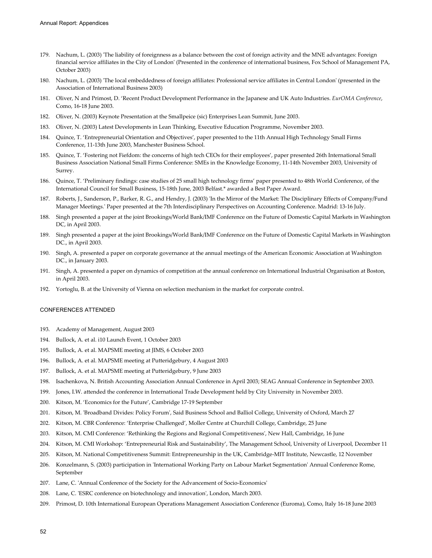- 179. Nachum, L. (2003) 'The liability of foreignness as a balance between the cost of foreign activity and the MNE advantages: Foreign financial service affiliates in the City of London' (Presented in the conference of international business, Fox School of Management PA, October 2003)
- 180. Nachum, L. (2003) 'The local embeddedness of foreign affiliates: Professional service affiliates in Central London' (presented in the Association of International Business 2003)
- 181. Oliver, N and Primost, D. 'Recent Product Development Performance in the Japanese and UK Auto Industries. *EurOMA Conference*, Como, 16-18 June 2003.
- 182. Oliver, N. (2003) Keynote Presentation at the Smallpeice (sic) Enterprises Lean Summit, June 2003.
- 183. Oliver, N. (2003) Latest Developments in Lean Thinking, Executive Education Programme, November 2003.
- 184. Quince, T. 'Entrepreneurial Orientation and Objectives', paper presented to the 11th Annual High Technology Small Firms Conference, 11-13th June 2003, Manchester Business School.
- 185. Quince, T. 'Fostering not Fiefdom: the concerns of high tech CEOs for their employees', paper presented 26th International Small Business Association National Small Firms Conference: SMEs in the Knowledge Economy, 11-14th November 2003, University of Surrey.
- 186. Quince, T. 'Preliminary findings: case studies of 25 small high technology firms' paper presented to 48th World Conference, of the International Council for Small Business, 15-18th June, 2003 Belfast.\* awarded a Best Paper Award.
- 187. Roberts, J., Sanderson, P., Barker, R. G., and Hendry, J. (2003) 'In the Mirror of the Market: The Disciplinary Effects of Company/Fund Manager Meetings.' Paper presented at the 7th Interdisciplinary Perspectives on Accounting Conference. Madrid: 13-16 July.
- 188. Singh presented a paper at the joint Brookings/World Bank/IMF Conference on the Future of Domestic Capital Markets in Washington DC, in April 2003.
- 189. Singh presented a paper at the joint Brookings/World Bank/IMF Conference on the Future of Domestic Capital Markets in Washington DC., in April 2003.
- 190. Singh, A. presented a paper on corporate governance at the annual meetings of the American Economic Association at Washington DC., in January 2003.
- 191. Singh, A. presented a paper on dynamics of competition at the annual conference on International Industrial Organisation at Boston, in April 2003.
- 192. Yortoglu, B. at the University of Vienna on selection mechanism in the market for corporate control.

#### CONFERENCES ATTENDED

- 193. Academy of Management, August 2003
- 194. Bullock, A. et al. i10 Launch Event, 1 October 2003
- 195. Bullock, A. et al. MAPSME meeting at JIMS, 6 October 2003
- 196. Bullock, A. et al. MAPSME meeting at Putteridgebury, 4 August 2003
- 197. Bullock, A. et al. MAPSME meeting at Putteridgebury, 9 June 2003
- 198. Isachenkova, N. British Accounting Association Annual Conference in April 2003; SEAG Annual Conference in September 2003.
- 199. Jones, I.W. attended the conference in International Trade Development held by City University in November 2003.
- 200. Kitson, M. 'Economics for the Future', Cambridge 17-19 September
- 201. Kitson, M. 'Broadband Divides: Policy Forum', Said Business School and Balliol College, University of Oxford, March 27
- 202. Kitson, M. CBR Conference: 'Enterprise Challenged', Moller Centre at Churchill College, Cambridge, 25 June
- 203. Kitson, M. CMI Conference: 'Rethinking the Regions and Regional Competitiveness', New Hall, Cambridge, 16 June
- 204. Kitson, M. CMI Workshop: 'Entrepreneurial Risk and Sustainability', The Management School, University of Liverpool, December 11
- 205. Kitson, M. National Competitiveness Summit: Entrepreneurship in the UK, Cambridge-MIT Institute, Newcastle, 12 November
- 206. Konzelmann, S. (2003) participation in 'International Working Party on Labour Market Segmentation' Annual Conference Rome, September
- 207. Lane, C. 'Annual Conference of the Society for the Advancement of Socio-Economics'
- 208. Lane, C. 'ESRC conference on biotechnology and innovation', London, March 2003.
- 209. Primost, D. 10th International European Operations Management Association Conference (Euroma), Como, Italy 16-18 June 2003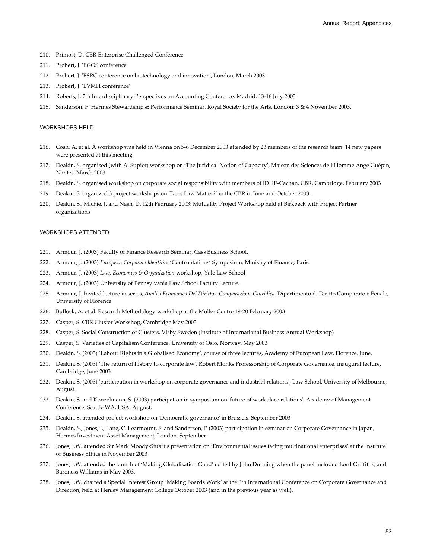- 210. Primost, D. CBR Enterprise Challenged Conference
- 211. Probert, J. 'EGOS conference'
- 212. Probert, J. 'ESRC conference on biotechnology and innovation', London, March 2003.
- 213. Probert, J. 'LVMH conference'
- 214. Roberts, J. 7th Interdisciplinary Perspectives on Accounting Conference. Madrid: 13-16 July 2003
- 215. Sanderson, P. Hermes Stewardship & Performance Seminar. Royal Society for the Arts, London: 3 & 4 November 2003.

#### WORKSHOPS HELD

- 216. Cosh, A. et al. A workshop was held in Vienna on 5-6 December 2003 attended by 23 members of the research team. 14 new papers were presented at this meeting
- 217. Deakin, S. organised (with A. Supiot) workshop on 'The Juridical Notion of Capacity', Maison des Sciences de l'Homme Ange Guépin, Nantes, March 2003
- 218. Deakin, S. organised workshop on corporate social responsibility with members of IDHE-Cachan, CBR, Cambridge, February 2003
- 219. Deakin, S. organized 3 project workshops on 'Does Law Matter?' in the CBR in June and October 2003.
- 220. Deakin, S., Michie, J. and Nash, D. 12th February 2003: Mutuality Project Workshop held at Birkbeck with Project Partner organizations

#### WORKSHOPS ATTENDED

- 221. Armour, J. (2003) Faculty of Finance Research Seminar, Cass Business School.
- 222. Armour, J. (2003) *European Corporate Identities* 'Confrontations' Symposium, Ministry of Finance, Paris.
- 223. Armour, J. (2003) *Law, Economics & Organization* workshop, Yale Law School
- 224. Armour, J. (2003) University of Pennsylvania Law School Faculty Lecture.
- 225. Armour, J. Invited lecture in series, *Analisi Economica Del Diritto e Comparazione Giuridica*, Dipartimento di Diritto Comparato e Penale, University of Florence
- 226. Bullock, A. et al. Research Methodology workshop at the Møller Centre 19-20 February 2003
- 227. Casper, S. CBR Cluster Workshop, Cambridge May 2003
- 228. Casper, S. Social Construction of Clusters, Visby Sweden (Institute of International Business Annual Workshop)
- 229. Casper, S. Varieties of Capitalism Conference, University of Oslo, Norway, May 2003
- 230. Deakin, S. (2003) 'Labour Rights in a Globalised Economy', course of three lectures, Academy of European Law, Florence, June.
- 231. Deakin, S. (2003) 'The return of history to corporate law', Robert Monks Professorship of Corporate Governance, inaugural lecture, Cambridge, June 2003
- 232. Deakin, S. (2003) 'participation in workshop on corporate governance and industrial relations', Law School, University of Melbourne, August.
- 233. Deakin, S. and Konzelmann, S. (2003) participation in symposium on 'future of workplace relations', Academy of Management Conference, Seattle WA, USA, August.
- 234. Deakin, S. attended project workshop on 'Democratic governance' in Brussels, September 2003
- 235. Deakin, S., Jones, I., Lane, C. Learmount, S. and Sanderson, P (2003) participation in seminar on Corporate Governance in Japan, Hermes Investment Asset Management, London, September
- 236. Jones, I.W. attended Sir Mark Moody-Stuart's presentation on 'Environmental issues facing multinational enterprises' at the Institute of Business Ethics in November 2003
- 237. Jones, I.W. attended the launch of 'Making Globalisation Good' edited by John Dunning when the panel included Lord Griffiths, and Baroness Williams in May 2003.
- 238. Jones, I.W. chaired a Special Interest Group 'Making Boards Work' at the 6th International Conference on Corporate Governance and Direction, held at Henley Management College October 2003 (and in the previous year as well).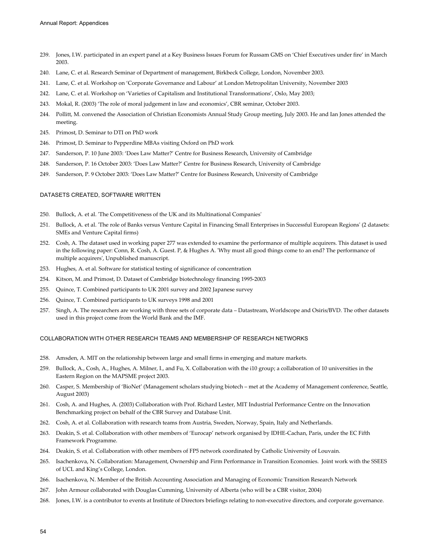- 239. Jones, I.W. participated in an expert panel at a Key Business Issues Forum for Russam GMS on 'Chief Executives under fire' in March 2003.
- 240. Lane, C. et al. Research Seminar of Department of management, Birkbeck College, London, November 2003.
- 241. Lane, C. et al. Workshop on 'Corporate Governance and Labour' at London Metropolitan University, November 2003
- 242. Lane, C. et al. Workshop on 'Varieties of Capitalism and Institutional Transformations', Oslo, May 2003;
- 243. Mokal, R. (2003) 'The role of moral judgement in law and economics', CBR seminar, October 2003.
- 244. Pollitt, M. convened the Association of Christian Economists Annual Study Group meeting, July 2003. He and Ian Jones attended the meeting.
- 245. Primost, D. Seminar to DTI on PhD work
- 246. Primost, D. Seminar to Pepperdine MBAs visiting Oxford on PhD work
- 247. Sanderson, P. 10 June 2003: 'Does Law Matter?' Centre for Business Research, University of Cambridge
- 248. Sanderson, P. 16 October 2003: 'Does Law Matter?' Centre for Business Research, University of Cambridge
- 249. Sanderson, P. 9 October 2003: 'Does Law Matter?' Centre for Business Research, University of Cambridge

#### DATASETS CREATED, SOFTWARE WRITTEN

- 250. Bullock, A. et al. 'The Competitiveness of the UK and its Multinational Companies'
- 251. Bullock, A. et al. 'The role of Banks versus Venture Capital in Financing Small Enterprises in Successful European Regions' (2 datasets: SMEs and Venture Capital firms)
- 252. Cosh, A. The dataset used in working paper 277 was extended to examine the performance of multiple acquirers. This dataset is used in the following paper: Conn, R. Cosh, A. Guest. P, & Hughes A. 'Why must all good things come to an end? The performance of multiple acquirers', Unpublished manuscript.
- 253. Hughes, A. et al. Software for statistical testing of significance of concentration
- 254. Kitson, M. and Primost, D. Dataset of Cambridge biotechnology financing 1995-2003
- 255. Quince, T. Combined participants to UK 2001 survey and 2002 Japanese survey
- 256. Quince, T. Combined participants to UK surveys 1998 and 2001
- 257. Singh, A. The researchers are working with three sets of corporate data Datastream, Worldscope and Osiris/BVD. The other datasets used in this project come from the World Bank and the IMF.

#### COLLABORATION WITH OTHER RESEARCH TEAMS AND MEMBERSHIP OF RESEARCH NETWORKS

- 258. Amsden, A. MIT on the relationship between large and small firms in emerging and mature markets.
- 259. Bullock, A., Cosh, A., Hughes, A. Milner, I., and Fu, X. Collaboration with the i10 group; a collaboration of 10 universities in the Eastern Region on the MAPSME project 2003.
- 260. Casper, S. Membership of 'BioNet' (Management scholars studying biotech met at the Academy of Management conference, Seattle, August 2003)
- 261. Cosh, A. and Hughes, A. (2003) Collaboration with Prof. Richard Lester, MIT Industrial Performance Centre on the Innovation Benchmarking project on behalf of the CBR Survey and Database Unit.
- 262. Cosh, A. et al. Collaboration with research teams from Austria, Sweden, Norway, Spain, Italy and Netherlands.
- 263. Deakin, S. et al. Collaboration with other members of 'Eurocap' network organised by IDHE-Cachan, Paris, under the EC Fifth Framework Programme.
- 264. Deakin, S. et al. Collaboration with other members of FP5 network coordinated by Catholic University of Louvain.
- 265. Isachenkova, N. Collaboration: Management, Ownership and Firm Performance in Transition Economies. Joint work with the SSEES of UCL and King's College, London.
- 266. Isachenkova, N. Member of the British Accounting Association and Managing of Economic Transition Research Network
- 267. John Armour collaborated with Douglas Cumming, University of Alberta (who will be a CBR visitor, 2004)
- 268. Jones, I.W. is a contributor to events at Institute of Directors briefings relating to non-executive directors, and corporate governance.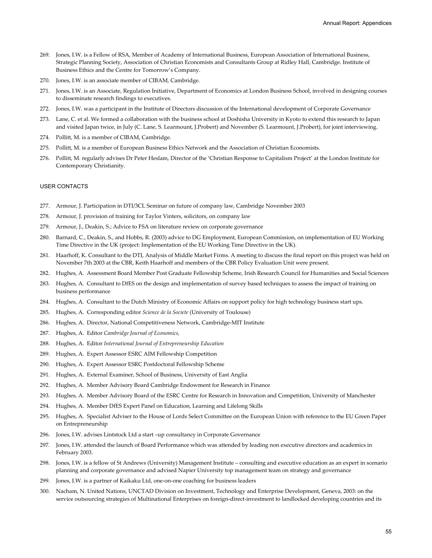- 269. Jones, I.W. is a Fellow of RSA, Member of Academy of International Business, European Association of International Business, Strategic Planning Society, Association of Christian Economists and Consultants Group at Ridley Hall, Cambridge. Institute of Business Ethics and the Centre for Tomorrow's Company.
- 270. Jones, I.W. is an associate member of CIBAM, Cambridge.
- 271. Jones, I.W. is an Associate, Regulation Initiative, Department of Economics at London Business School, involved in designing courses to disseminate research findings to executives.
- 272. Jones, I.W. was a participant in the Institute of Directors discussion of the International development of Corporate Governance
- 273. Lane, C. et al. We formed a collaboration with the business school at Doshisha University in Kyoto to extend this research to Japan and visited Japan twice, in July (C. Lane, S. Learmount, J.Probert) and November (S. Learmount, J.Probert), for joint interviewing.
- 274. Pollitt, M. is a member of CIBAM, Cambridge.
- 275. Pollitt, M. is a member of European Business Ethics Network and the Association of Christian Economists.
- 276. Pollitt, M. regularly advises Dr Peter Heslam, Director of the 'Christian Response to Capitalism Project' at the London Institute for Contemporary Christianity.

#### USER CONTACTS

- 277. Armour, J. Participation in DTI/3CL Seminar on future of company law, Cambridge November 2003
- 278. Armour, J. provision of training for Taylor Vinters, solicitors, on company law
- 279. Armour, J., Deakin, S.; Advice to FSA on literature review on corporate governance
- 280. Barnard, C., Deakin, S., and Hobbs, R. (2003) advice to DG Employment, European Commission, on implementation of EU Working Time Directive in the UK (project: Implementation of the EU Working Time Directive in the UK).
- 281. Haarhoff, K. Consultant to the DTI, Analysis of Middle Market Firms. A meeting to discuss the final report on this project was held on November 7th 2003 at the CBR, Keith Haarhoff and members of the CBR Policy Evaluation Unit were present.
- 282. Hughes, A. Assessment Board Member Post Graduate Fellowship Scheme, Irish Research Council for Humanities and Social Sciences
- 283. Hughes, A. Consultant to DfES on the design and implementation of survey based techniques to assess the impact of training on business performance
- 284. Hughes, A. Consultant to the Dutch Ministry of Economic Affairs on support policy for high technology business start ups.
- 285. Hughes, A. Corresponding editor *Science de la Societe* (University of Toulouse)
- 286. Hughes, A. Director, National Competitiveness Network, Cambridge-MIT Institute
- 287. Hughes, A. Editor *Cambridge Journal of Economics,*
- 288. Hughes, A. Editor *International Journal of Entrepreneurship Education*
- 289. Hughes, A. Expert Assessor ESRC AIM Fellowship Competition
- 290. Hughes, A. Expert Assessor ESRC Postdoctoral Fellowship Scheme
- 291. Hughes, A. External Examiner, School of Business, University of East Anglia
- 292. Hughes, A. Member Advisory Board Cambridge Endowment for Research in Finance
- 293. Hughes, A. Member Advisory Board of the ESRC Centre for Research in Innovation and Competition, University of Manchester
- 294. Hughes, A. Member DfES Expert Panel on Education, Learning and Lifelong Skills
- 295. Hughes, A. Specialist Adviser to the House of Lords Select Committee on the European Union with reference to the EU Green Paper on Entrepreneurship
- 296. Jones, I.W. advises Lintstock Ltd a start –up consultancy in Corporate Governance
- 297. Jones, I.W. attended the launch of Board Performance which was attended by leading non executive directors and academics in February 2003.
- 298. Jones, I.W. is a fellow of St Andrews (University) Management Institute consulting and executive education as an expert in scenario planning and corporate governance and advised Napier University top management team on strategy and governance
- 299. Jones, I.W. is a partner of Kaikaku Ltd, one-on-one coaching for business leaders
- 300. Nacham, N. United Nations, UNCTAD Division on Investment, Technology and Enterprise Development, Geneva, 2003: on the service outsourcing strategies of Multinational Enterprises on foreign-direct-investment to landlocked developing countries and its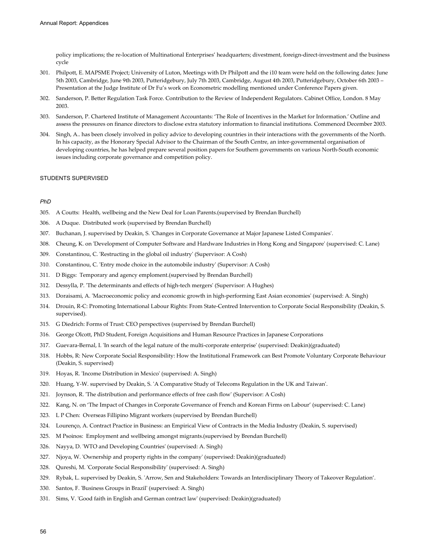policy implications; the re-location of Multinational Enterprises' headquarters; divestment, foreign-direct-investment and the business cycle

- 301. Philpott, E. MAPSME Project; University of Luton, Meetings with Dr Philpott and the i10 team were held on the following dates: June 5th 2003, Cambridge, June 9th 2003, Putteridgebury, July 7th 2003, Cambridge, August 4th 2003, Putteridgebury, October 6th 2003 – Presentation at the Judge Institute of Dr Fu's work on Econometric modelling mentioned under Conference Papers given.
- 302. Sanderson, P. Better Regulation Task Force. Contribution to the Review of Independent Regulators. Cabinet Office, London. 8 May 2003.
- 303. Sanderson, P. Chartered Institute of Management Accountants: 'The Role of Incentives in the Market for Information.' Outline and assess the pressures on finance directors to disclose extra statutory information to financial institutions. Commenced December 2003.
- 304. Singh, A.. has been closely involved in policy advice to developing countries in their interactions with the governments of the North. In his capacity, as the Honorary Special Advisor to the Chairman of the South Centre, an inter-governmental organisation of developing countries, he has helped prepare several position papers for Southern governments on various North-South economic issues including corporate governance and competition policy.

#### STUDENTS SUPERVISED

#### *PhD*

- 305. A Coutts: Health, wellbeing and the New Deal for Loan Parents.(supervised by Brendan Burchell)
- 306. A Duque. Distributed work (supervised by Brendan Burchell)
- 307. Buchanan, J. supervised by Deakin, S. 'Changes in Corporate Governance at Major Japanese Listed Companies'.
- 308. Cheung, K. on 'Development of Computer Software and Hardware Industries in Hong Kong and Singapore' (supervised: C. Lane)
- 309. Constantinou, C. 'Restructing in the global oil industry' (Supervisor: A Cosh)
- 310. Constantinou, C. 'Entry mode choice in the automobile industry' (Supervisor: A Cosh)
- 311. D Biggs: Temporary and agency emploment.(supervised by Brendan Burchell)
- 312. Dessylla, P. 'The determinants and effects of high-tech mergers' (Supervisor: A Hughes)
- 313. Doraisami, A. 'Macroeconomic policy and economic growth in high-performing East Asian economies' (supervised: A. Singh)
- 314. Drouin, R-C: Promoting International Labour Rights: From State-Centred Intervention to Corporate Social Responsibility (Deakin, S. supervised).
- 315. G Diedrich: Forms of Trust: CEO perspectives (supervised by Brendan Burchell)
- 316. George Olcott, PhD Student, Foreign Acquisitions and Human Resource Practices in Japanese Corporations
- 317. Guevara-Bernal, I. 'In search of the legal nature of the multi-corporate enterprise' (supervised: Deakin)(graduated)
- 318. Hobbs, R: New Corporate Social Responsibility: How the Institutional Framework can Best Promote Voluntary Corporate Behaviour (Deakin, S. supervised)
- 319. Hoyas, R. 'Income Distribution in Mexico' (supervised: A. Singh)
- 320. Huang, Y-W. supervised by Deakin, S. 'A Comparative Study of Telecoms Regulation in the UK and Taiwan'.
- 321. Joynson, R. 'The distribution and performance effects of free cash flow' (Supervisor: A Cosh)
- 322. Kang, N. on 'The Impact of Changes in Corporate Governance of French and Korean Firms on Labour' (supervised: C. Lane)
- 323. L P Chen: Overseas Fillipino Migrant workers (supervised by Brendan Burchell)
- 324. Lourenço, A. Contract Practice in Business: an Empirical View of Contracts in the Media Industry (Deakin, S. supervised)
- 325. M Psoinos: Employment and wellbeing amongst migrants.(supervised by Brendan Burchell)
- 326. Nayya, D. 'WTO and Developing Countries' (supervised: A. Singh)
- 327. Njoya, W. 'Ownership and property rights in the company' (supervised: Deakin)(graduated)
- 328. Qureshi, M. 'Corporate Social Responsibility' (supervised: A. Singh)
- 329. Rybak, L. supervised by Deakin, S. 'Arrow, Sen and Stakeholders: Towards an Interdisciplinary Theory of Takeover Regulation'.
- 330. Santos, F. 'Business Groups in Brazil' (supervised: A. Singh)
- 331. Sims, V. 'Good faith in English and German contract law' (supervised: Deakin)(graduated)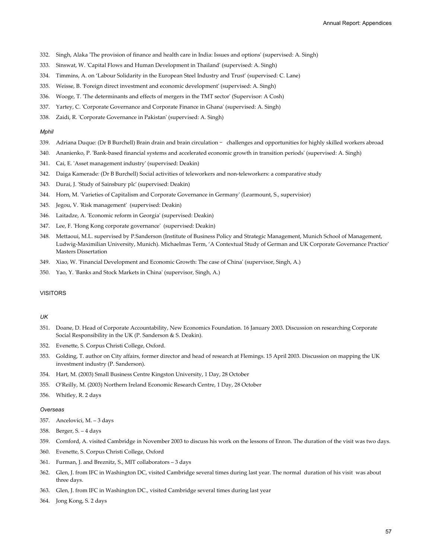- 332. Singh, Alaka 'The provision of finance and health care in India: Issues and options' (supervised: A. Singh)
- 333. Sinswat, W. 'Capital Flows and Human Development in Thailand' (supervised: A. Singh)
- 334. Timmins, A. on 'Labour Solidarity in the European Steel Industry and Trust' (supervised: C. Lane)
- 335. Weisse, B. 'Foreign direct investment and economic development' (supervised: A. Singh)
- 336. Wooge, T. 'The determinants and effects of mergers in the TMT sector' (Supervisor: A Cosh)
- 337. Yartey, C. 'Corporate Governance and Corporate Finance in Ghana' (supervised: A. Singh)
- 338. Zaidi, R. 'Corporate Governance in Pakistan' (supervised: A. Singh)

#### *Mphil*

- 339. Adriana Duque: (Dr B Burchell) Brain drain and brain circulation challenges and opportunities for highly skilled workers abroad
- 340. Ananienko, P. 'Bank-based financial systems and accelerated economic growth in transition periods' (supervised: A. Singh)
- 341. Cai, E. 'Asset management industry' (supervised: Deakin)
- 342. Daiga Kamerade*:* (Dr B Burchell) Social activities of teleworkers and non-teleworkers: a comparative study
- 343. Durai, J. 'Study of Sainsbury plc' (supervised: Deakin)
- 344. Horn, M. 'Varieties of Capitalism and Corporate Governance in Germany' (Learmount, S., supervisior)
- 345. Jegou, V. 'Risk management' (supervised: Deakin)
- 346. Laitadze, A. 'Economic reform in Georgia' (supervised: Deakin)
- 347. Lee, F. 'Hong Kong corporate governance' (supervised: Deakin)
- 348. Mettaoui, M.L. supervised by P.Sanderson (Institute of Business Policy and Strategic Management, Munich School of Management, Ludwig-Maximilian University, Munich). Michaelmas Term, 'A Contextual Study of German and UK Corporate Governance Practice' Masters Dissertation
- 349. Xiao, W. 'Financial Development and Economic Growth: The case of China' (supervisor, Singh, A.)
- 350. Yao, Y. 'Banks and Stock Markets in China' (supervisor, Singh, A.)

### VISITORS

#### *UK*

- 351. Doane, D. Head of Corporate Accountability, New Economics Foundation. 16 January 2003. Discussion on researching Corporate Social Responsibility in the UK (P. Sanderson & S. Deakin).
- 352. Evenette, S. Corpus Christi College, Oxford.
- 353. Golding, T. author on City affairs, former director and head of research at Flemings. 15 April 2003. Discussion on mapping the UK investment industry (P. Sanderson).
- 354. Hart, M. (2003) Small Business Centre Kingston University, 1 Day, 28 October
- 355. O'Reilly, M. (2003) Northern Ireland Economic Research Centre, 1 Day, 28 October
- 356. Whitley, R. 2 days

#### *Overseas*

- 357. Ancelovici, M. 3 days
- 358. Berger, S. 4 days
- 359. Cornford, A. visited Cambridge in November 2003 to discuss his work on the lessons of Enron. The duration of the visit was two days.
- 360. Evenette, S. Corpus Christi College, Oxford
- 361. Furman, J. and Breznitz, S., MIT collaborators 3 days
- 362. Glen, J. from IFC in Washington DC, visited Cambridge several times during last year. The normal duration of his visit was about three days.
- 363. Glen, J. from IFC in Washington DC., visited Cambridge several times during last year
- 364. Jong Kong, S. 2 days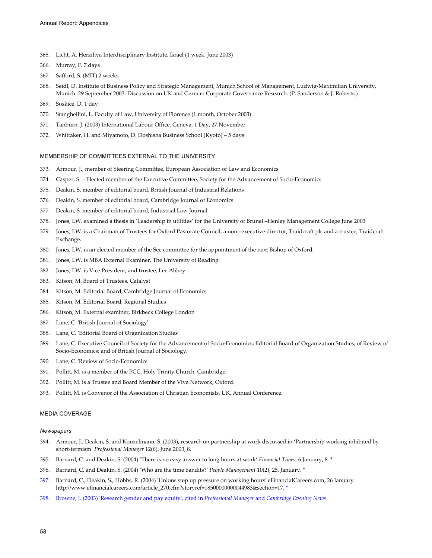- 365. Licht, A. Herziliya Interdisciplinary Institute, Israel (1 week, June 2003)
- 366. Murray, F. 7 days
- 367. Safford, S. (MIT) 2 weeks
- 368. Seidl, D. Institute of Business Policy and Strategic Management, Munich School of Management, Ludwig-Maximilian University, Munich. 29 September 2003. Discussion on UK and German Corporate Governance Research. (P. Sanderson & J. Roberts.)
- 369. Soskice, D. 1 day
- 370. Stanghellini, L. Faculty of Law, University of Florence (1 month, October 2003)
- 371. Tanburn, J. (2003) International Labour Office, Geneva, 1 Day, 27 November
- 372. Whittaker, H. and Miyamoto, D. Doshisha Business School (Kyoto) 5 days

#### MEMBERSHIP OF COMMITTEES EXTERNAL TO THE UNIVERSITY

- 373. Armour, J., member of Steering Committee, European Association of Law and Economics
- 374. Casper, S. Elected member of the Executive Committee, Society for the Advancement of Socio-Economics
- 375. Deakin, S. member of editorial board, British Journal of Industrial Relations
- 376. Deakin, S. member of editorial board, Cambridge Journal of Economics
- 377. Deakin, S. member of editorial board, Industrial Law Journal
- 378. Jones, I.W. examined a thesis in 'Leadership in utilities' for the University of Brunel –Henley Management College June 2003
- 379. Jones, I.W. is a Chairman of Trustees for Oxford Pastorate Council, a non –executive director, Traidcraft plc and a trustee, Traidcraft Exchange.
- 380. Jones, I.W. is an elected member of the See committee for the appointment of the next Bishop of Oxford.
- 381. Jones, I.W. is MBA External Examiner, The University of Reading.
- 382. Jones, I.W. is Vice President, and trustee, Lee Abbey.
- 383. Kitson, M. Board of Trustees, Catalyst
- 384. Kitson, M. Editorial Board, Cambridge Journal of Economics
- 385. Kitson, M. Editorial Board, Regional Studies
- 386. Kitson, M. External examiner, Birkbeck College London
- 387. Lane, C. 'British Journal of Sociology'
- 388. Lane, C. 'Editorial Board of Organization Studies'
- 389. Lane, C. Executive Council of Society for the Advancement of Socio-Economics; Editorial Board of Organization Studies; of Review of Socio-Economics; and of British Journal of Sociology.
- 390. Lane, C. 'Review of Socio-Economics'
- 391. Pollitt, M. is a member of the PCC, Holy Trinity Church, Cambridge.
- 392. Pollitt, M. is a Trustee and Board Member of the Viva Network, Oxford.
- 393. Pollitt, M. is Convenor of the Association of Christian Economists, UK, Annual Conference.

## MEDIA COVERAGE

#### *Newspapers*

- 394. Armour, J., Deakin, S. and Konzelmann, S. (2003), research on partnership at work discussed in 'Partnership working inhibited by short-termism' *Professional Manager* 12(6), June 2003, 8.
- 395. Barnard, C. and Deakin, S. (2004) 'There is no easy answer to long hours at work' *Financial Times*, 6 January, 8. \*
- 396. Barnard, C. and Deakin, S. (2004) 'Who are the time bandits?' *People Management* 10(2), 25, January. \*
- 397. Barnard, C., Deakin, S., Hobbs, R. (2004) 'Unions step up pressure on working hours' eFinancialCareers.com, 26 January http://www.efinancialcareers.com/article\_270.cfm?storyref=18500000000044983&section=17. \*
- 398. Browne, J. (2003) 'Research gender and pay equity', cited in *Professional Manager* and *Cambridge Evening News*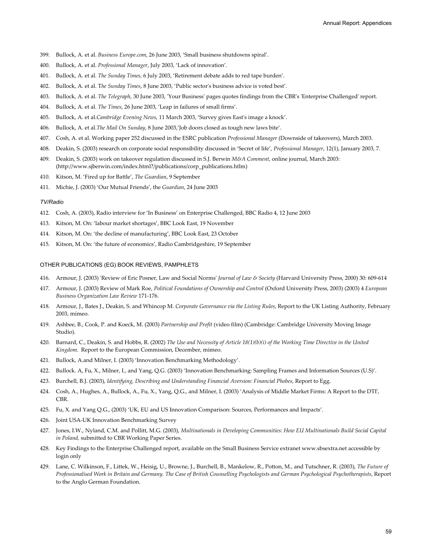- 399. Bullock, A. et al. *Business Europe.com*, 26 June 2003, 'Small business shutdowns spiral'.
- 400. Bullock, A. et al. *Professional Manager*, July 2003, 'Lack of innovation'.
- 401. Bullock, A. et al. *The Sunday Times,* 6 July 2003, 'Retirement debate adds to red tape burden'.
- 402. Bullock, A. et al. T*he Sunday Times*, 8 June 2003, 'Public sector's business advice is voted best'.
- 403. Bullock, A. et al. *The Telegraph*, 30 June 2003, 'Your Business' pages quotes findings from the CBR's 'Enterprise Challenged' report.
- 404. Bullock, A. et al. *The Times*, 26 June 2003, 'Leap in failures of small firms'.
- 405. Bullock, A. et al.*Cambridge Evening News*, 11 March 2003, 'Survey gives East's image a knock'.
- 406. Bullock, A. et al.*The Mail On Sunday*, 8 June 2003,'Job doors closed as tough new laws bite'.
- 407. Cosh, A. et al. Working paper 252 discussed in the ESRC publication *Professional Manager* (Downside of takeovers), March 2003.
- 408. Deakin, S. (2003) research on corporate social responsibility discussed in 'Secret of life', *Professional Manager*, 12(1), January 2003, 7.
- 409. Deakin, S. (2003) work on takeover regulation discussed in S.J. Berwin *M&A Comment*, online journal, March 2003: (http://www.sjberwin.com/index.html?/publications/corp\_publications.htlm)
- 410. Kitson, M. 'Fired up for Battle', *The Guardian*, 9 September
- 411. Michie, J. (2003) 'Our Mutual Friends', the *Guardian*, 24 June 2003

#### *TV/Radio*

- 412. Cosh, A. (2003), Radio interview for 'In Business' on Enterprise Challenged, BBC Radio 4, 12 June 2003
- 413. Kitson, M. On: 'labour market shortages', BBC Look East, 19 November
- 414. Kitson, M. On: 'the decline of manufacturing', BBC Look East, 23 October
- 415. Kitson, M. On: 'the future of economics', Radio Cambridgeshire, 19 September

#### OTHER PUBLICATIONS (EG) BOOK REVIEWS, PAMPHLETS

- 416. Armour, J. (2003) 'Review of Eric Posner, Law and Social Norms' *Journal of Law & Society* (Harvard University Press, 2000) 30: 609-614
- 417. Armour, J. (2003) Review of Mark Roe, *Political Foundations of Ownership and Control* (Oxford University Press, 2003) (2003) 4 *European Business Organization Law Review* 171-176.
- 418. Armour, J., Bates J., Deakin, S. and Whincop M. *Corporate Governance via the Listing Rules*, Report to the UK Listing Authority, February 2003, mimeo.
- 419. Ashbee, B., Cook, P. and Koeck, M. (2003) *Partnership and Profit* (video film) (Cambridge: Cambridge University Moving Image Studio).
- 420. Barnard, C., Deakin, S. and Hobbs, R. (2002) *The Use and Necessity of Article 18(1)(b)(i) of the Working Time Directive in the United Kingdom*. Report to the European Commission, December, mimeo.
- 421. Bullock, A.and Milner, I. (2003) 'Innovation Benchmarking Methodology'.
- 422. Bullock. A, Fu, X., Milner, I., and Yang, Q.G. (2003) 'Innovation Benchmarking: Sampling Frames and Information Sources (U.S)'.
- 423. Burchell, B.J. (2003), *Identifying, Describing and Understanding Financial Aversion: Financial Phobes*, Report to Egg.
- 424. Cosh, A., Hughes, A., Bullock, A., Fu, X., Yang, Q.G., and Milner, I. (2003) 'Analysis of Middle Market Firms: A Report to the DTI', CBR.
- 425. Fu, X. and Yang Q.G., (2003) 'UK, EU and US Innovation Comparison: Sources, Performances and Impacts'.
- 426. Joint USA-UK Innovation Benchmarking Survey
- 427. Jones, I.W., Nyland, C.M. and Pollitt, M.G. (2003), *Multinationals in Developing Communities: How EU Multinationals Build Social Capital in Poland,* submitted to CBR Working Paper Series.
- 428. Key Findings to the Enterprise Challenged report, available on the Small Business Service extranet www.sbsextra.net accessible by login only
- 429. Lane, C. Wilkinson, F., Littek, W., Heisig, U., Browne, J., Burchell, B., Mankelow, R., Potton, M., and Tutschner, R. (2003), *The Future of Professionalised Work in Britain and Germany. The Case of British Counselling Psychologists and German Psychological Psychotherapists*, Report to the Anglo German Foundation.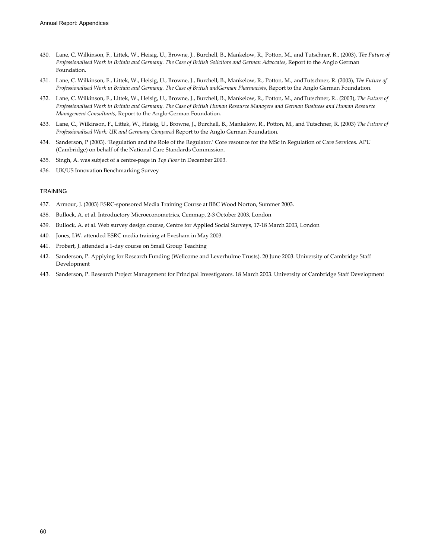- 430. Lane, C. Wilkinson, F., Littek, W., Heisig, U., Browne, J., Burchell, B., Mankelow, R., Potton, M., and Tutschner, R.. (2003), T*he Future of Professionalised Work in Britain and Germany. The Case of British Solicitors and German Advocates*, Report to the Anglo German Foundation.
- 431. Lane, C. Wilkinson, F., Littek, W., Heisig, U., Browne, J., Burchell, B., Mankelow, R., Potton, M., andTutschner, R. (2003), *The Future of Professionalised Work in Britain and Germany. The Case of British andGerman Pharmacists*, Report to the Anglo German Foundation.
- 432. Lane, C. Wilkinson, F., Littek, W., Heisig, U., Browne, J., Burchell, B., Mankelow, R., Potton, M., andTutschner, R.. (2003), *The Future of Professionalised Work in Britain and Germany. The Case of British Human Resource Managers and German Business and Human Resource Management Consultants*, Report to the Anglo-German Foundation.
- 433. Lane, C., Wilkinson, F., Littek, W., Heisig, U., Browne, J., Burchell, B., Mankelow, R., Potton, M., and Tutschner, R. (2003) *The Future of Professionalised Work: UK and Germany Compared* Report to the Anglo German Foundation.
- 434. Sanderson, P (2003). 'Regulation and the Role of the Regulator.' Core resource for the MSc in Regulation of Care Services. APU (Cambridge) on behalf of the National Care Standards Commission.
- 435. Singh, A. was subject of a centre-page in *Top Floor* in December 2003.
- 436. UK/US Innovation Benchmarking Survey

#### **TRAINING**

- 437. Armour, J. (2003) ESRC-sponsored Media Training Course at BBC Wood Norton, Summer 2003.
- 438. Bullock, A. et al. Introductory Microeconometrics, Cemmap, 2-3 October 2003, London
- 439. Bullock, A. et al. Web survey design course, Centre for Applied Social Surveys, 17-18 March 2003, London
- 440. Jones, I.W. attended ESRC media training at Evesham in May 2003.
- 441. Probert, J. attended a 1-day course on Small Group Teaching
- 442. Sanderson, P. Applying for Research Funding (Wellcome and Leverhulme Trusts). 20 June 2003. University of Cambridge Staff Development
- 443. Sanderson, P. Research Project Management for Principal Investigators. 18 March 2003. University of Cambridge Staff Development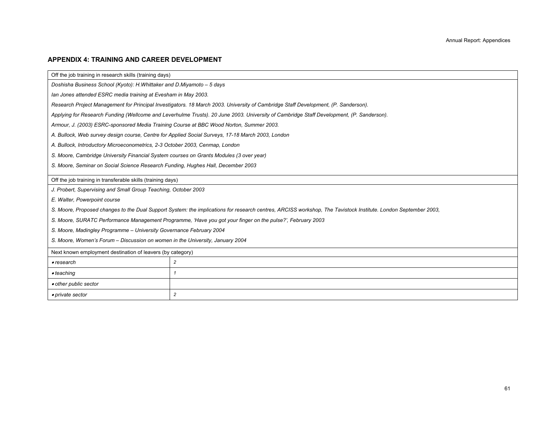#### **APPENDIX 4: TRAINING AND CAREER DEVELOPMENT**

Off the job training in research skills (training days)

*Doshisha Business School (Kyoto): H.Whittaker and D.Miyamoto – 5 days* 

*Ian Jones attended ESRC media training at Evesham in May 2003.* 

*Research Project Management for Principal Investigators. 18 March 2003. University of Cambridge Staff Development, (P. Sanderson).* 

*Applying for Research Funding (Wellcome and Leverhulme Trusts). 20 June 2003. University of Cambridge Staff Development, (P. Sanderson).* 

*Armour, J. (2003) ESRC-sponsored Media Training Course at BBC Wood Norton, Summer 2003.* 

*A. Bullock, Web survey design course, Centre for Applied Social Surveys, 17-18 March 2003, London* 

*A. Bullock, Introductory Microeconometrics, 2-3 October 2003, Cenmap, London* 

*S. Moore, Cambridge University Financial System courses on Grants Modules (3 over year)* 

*S. Moore, Seminar on Social Science Research Funding, Hughes Hall, December 2003* 

Off the job training in transferable skills (training days)

*J. Probert, Supervising and Small Group Teaching, October 2003* 

*E. Walter, Powerpoint course* 

*S. Moore, Proposed changes to the Dual Support System: the implications for research centres, ARCISS workshop, The Tavistock Institute. London September 2003,* 

*S. Moore, SURATC Performance Management Programme, 'Have you got your finger on the pulse?', February 2003* 

*S. Moore, Madingley Programme – University Governance February 2004* 

*S. Moore, Women's Forum – Discussion on women in the University, January 2004* 

| Next known employment destination of leavers (by category) |  |  |  |  |  |  |  |
|------------------------------------------------------------|--|--|--|--|--|--|--|
| • research                                                 |  |  |  |  |  |  |  |
| $\bullet$ teaching                                         |  |  |  |  |  |  |  |
| • other public sector                                      |  |  |  |  |  |  |  |
| • private sector                                           |  |  |  |  |  |  |  |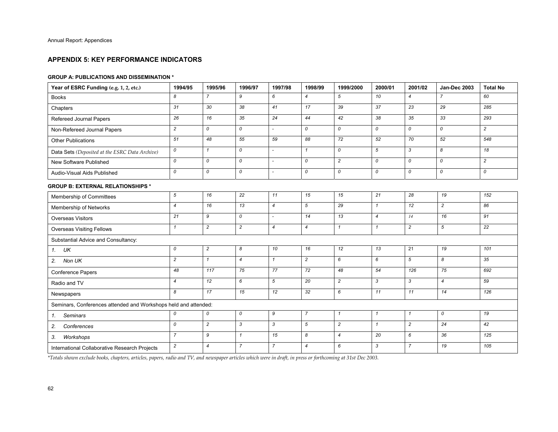## **APPENDIX 5: KEY PERFORMANCE INDICATORS**

#### **GROUP A: PUBLICATIONS AND DISSEMINATION \***

| Year of ESRC Funding (e.g. 1, 2, etc.)                          | 1994/95        | 1995/96        | 1996/97        | 1997/98                  | 1998/99          | 1999/2000      | 2000/01        | 2001/02        | <b>Jan-Dec 2003</b> | <b>Total No</b> |
|-----------------------------------------------------------------|----------------|----------------|----------------|--------------------------|------------------|----------------|----------------|----------------|---------------------|-----------------|
| <b>Books</b>                                                    | 8              | $\overline{7}$ | 9              | 6                        | $\overline{4}$   | 5              | 10             | $\overline{4}$ | $\overline{7}$      | 60              |
| Chapters                                                        | 31             | 30             | 38             | 41                       | 17               | 39             | 37             | 23             | 29                  | 285             |
| Refereed Journal Papers                                         | 26             | 16             | 35             | 24                       | 44               | 42             | 38             | 35             | 33                  | 293             |
| Non-Refereed Journal Papers                                     | $\overline{c}$ | 0              | 0              |                          | 0                | 0              | 0              | 0              | 0                   | $\overline{c}$  |
| <b>Other Publications</b>                                       | 51             | 48             | 55             | 59                       | 88               | 72             | 52             | 70             | 52                  | 548             |
| Data Sets (Deposited at the ESRC Data Archive)                  | 0              | $\mathbf{1}$   | 0              |                          | $\mathbf{1}$     | 0              | 5              | 3              | 8                   | 18              |
| New Software Published                                          | 0              | $\mathcal{O}$  | 0              | $\overline{\phantom{a}}$ | 0                | $\overline{c}$ | 0              | $\mathcal{O}$  | 0                   | $\overline{c}$  |
| Audio-Visual Aids Published                                     | 0              | 0              | 0              |                          | 0                | 0              | 0              | 0              | 0                   | 0               |
| <b>GROUP B: EXTERNAL RELATIONSHIPS *</b>                        |                |                |                |                          |                  |                |                |                |                     |                 |
| Membership of Committees                                        | 5              | 16             | 22             | 11                       | 15               | 15             | 21             | 28             | 19                  | 152             |
| Membership of Networks                                          | $\overline{4}$ | 16             | 13             | $\overline{4}$           | 5                | 29             | $\mathbf{1}$   | 12             | $\overline{c}$      | 86              |
| <b>Overseas Visitors</b>                                        | 21             | 9              | 0              | $\overline{\phantom{a}}$ | 14               | 13             | $\overline{4}$ | 14             | 16                  | 91              |
| <b>Overseas Visiting Fellows</b>                                | $\mathbf{1}$   | $\overline{c}$ | $\overline{c}$ | $\overline{4}$           | $\boldsymbol{4}$ | $\mathbf{1}$   | $\mathbf{1}$   | $\overline{c}$ | 5                   | 22              |
| Substantial Advice and Consultancy:                             |                |                |                |                          |                  |                |                |                |                     |                 |
| UK<br>1.                                                        | 0              | $\overline{c}$ | 8              | 10                       | 16               | 12             | 13             | 21             | 19                  | 101             |
| Non UK<br>2.                                                    | $\overline{c}$ | $\mathbf{1}$   | $\overline{4}$ | $\mathbf{1}$             | $\overline{c}$   | 6              | 6              | 5              | 8                   | 35              |
| <b>Conference Papers</b>                                        | 48             | 117            | 75             | 77                       | 72               | 48             | 54             | 126            | 75                  | 692             |
| Radio and TV                                                    | $\overline{4}$ | 12             | 6              | 5                        | 20               | $\overline{c}$ | 3              | 3              | $\overline{4}$      | 59              |
| Newspapers                                                      | 8              | 17             | 15             | 12                       | 32               | 6              | 11             | 11             | 14                  | 126             |
| Seminars, Conferences attended and Workshops held and attended: |                |                |                |                          |                  |                |                |                |                     |                 |
| <b>Seminars</b><br>1.                                           | 0              | 0              | 0              | 9                        | $\overline{7}$   | $\mathbf{1}$   | $\mathbf{1}$   | $\mathbf{1}$   | 0                   | 19              |
| Conferences<br>2.                                               | 0              | $\overline{c}$ | 3              | 3                        | 5                | $\overline{c}$ | $\mathbf{1}$   | $\overline{c}$ | 24                  | 42              |
| 3.<br>Workshops                                                 | $\overline{7}$ | 9              | $\mathbf{1}$   | 15                       | 8                | $\overline{4}$ | 20             | 6              | 36                  | 125             |
| International Collaborative Research Projects                   | $\overline{c}$ | $\overline{4}$ | $\overline{7}$ | $\overline{7}$           | $\overline{4}$   | 6              | 3              | $\overline{7}$ | 19                  | 105             |

*\*Totals shown exclude books, chapters, articles, papers, radio and TV, and newspaper articles which were in draft, in press or forthcoming at 31st Dec 2003.*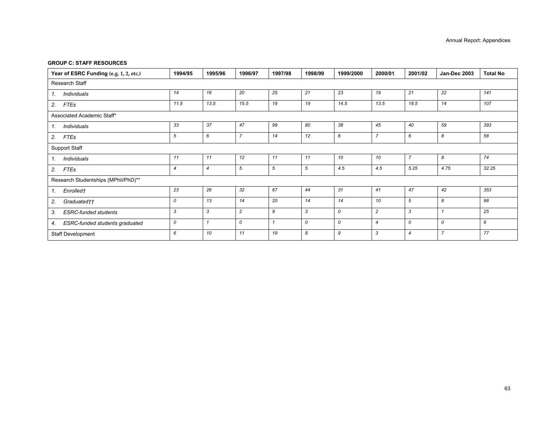#### **GROUP C: STAFF RESOURCES**

| Year of ESRC Funding (e.g. 1, 2, etc.) | 1994/95      | 1995/96        | 1996/97        | 1997/98 | 1998/99 | 1999/2000 | 2000/01          | 2001/02        | <b>Jan-Dec 2003</b> | <b>Total No</b> |
|----------------------------------------|--------------|----------------|----------------|---------|---------|-----------|------------------|----------------|---------------------|-----------------|
| Research Staff                         |              |                |                |         |         |           |                  |                |                     |                 |
| Individuals<br>$\mathcal{I}$ .         | 14           | 16             | 20             | 25      | 21      | 23        | 19               | 21             | 22                  | 141             |
| 2.<br>FTEs                             | 11.5         | 13.5           | 15.5           | 19      | 19      | 14.5      | 13.5             | 18.5           | 14                  | 107             |
| Associated Academic Staff*             |              |                |                |         |         |           |                  |                |                     |                 |
| Individuals<br>$\mathcal{I}$ .         | 33           | 37             | 47             | 99      | 80      | 38        | 45               | 40             | 59                  | 393             |
| 2.<br>FTEs                             | 5            | 6              | $\overline{7}$ | 14      | 12      | 6         | $\overline{7}$   | 6              | 8                   | 58              |
| Support Staff                          |              |                |                |         |         |           |                  |                |                     |                 |
| Individuals<br>$\mathcal{I}$ .         | 11           | 11             | 12             | 11      | 11      | 10        | 10               | $\overline{7}$ | 8                   | 74              |
| 2.<br>FTEs                             | 4            | $\overline{4}$ | 5              | 5       | 5       | 4.5       | 4.5              | 5.25           | 4.75                | 32.25           |
| Research Studentships (MPhil/PhD)**    |              |                |                |         |         |           |                  |                |                     |                 |
| Enrolled†<br>1.                        | 23           | 26             | 32             | 67      | 44      | 31        | 41               | 47             | 42                  | 353             |
| 2.<br>Graduated††                      | 0            | 13             | 14             | 20      | 14      | 14        | 10               | 5              | 8                   | 98              |
| 3.<br><b>ESRC-funded students</b>      | $\mathbf{3}$ | 3              | $\overline{c}$ | 9       | 3       | 0         | $\overline{c}$   | 3              | $\overline{1}$      | 25              |
| ESRC-funded students graduated<br>4.   | 0            |                | 0              |         | 0       | 0         | $\boldsymbol{4}$ | 0              | 0                   | 6               |
| Staff Development                      | 6            | 10             | 11             | 19      | 8       | 9         | 3                | $\overline{4}$ | $\overline{7}$      | 77              |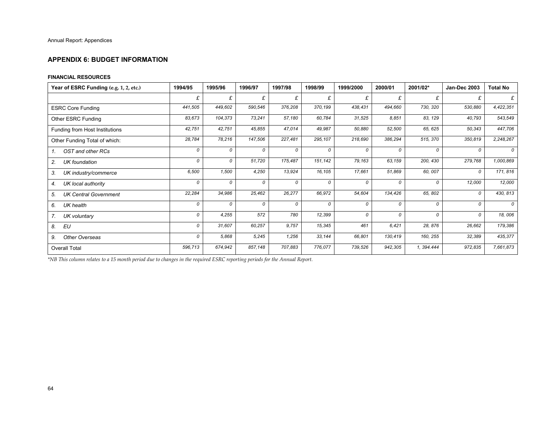#### **APPENDIX 6: BUDGET INFORMATION**

#### **FINANCIAL RESOURCES**

| Year of ESRC Funding (e.g. 1, 2, etc.) | 1994/95 | 1995/96 | 1996/97 | 1997/98 | 1998/99 | 1999/2000 | 2000/01 | 2001/02*   | Jan-Dec 2003 | <b>Total No</b> |
|----------------------------------------|---------|---------|---------|---------|---------|-----------|---------|------------|--------------|-----------------|
|                                        | £       | £       | £       | £       | £       | £         | £       | £          | £            | £               |
| <b>ESRC Core Funding</b>               | 441,505 | 449,602 | 590,546 | 376,208 | 370,199 | 438,431   | 494,660 | 730, 320   | 530,880      | 4,422,351       |
| Other ESRC Funding                     | 83,673  | 104,373 | 73,241  | 57,180  | 60.784  | 31,525    | 8,851   | 83, 129    | 40,793       | 543,549         |
| Funding from Host Institutions         | 42,751  | 42,751  | 45,855  | 47,014  | 49,987  | 50,880    | 52,500  | 65, 625    | 50,343       | 447,706         |
| Other Funding Total of which:          | 28,784  | 78,216  | 147,506 | 227,481 | 295,107 | 218,690   | 386,294 | 515, 370   | 350,819      | 2,248,267       |
| OST and other RCs<br>$\mathcal{I}$ .   | 0       | 0       | 0       | 0       | 0       | 0         | 0       | 0          | O            | 0               |
| 2.<br><b>UK</b> foundation             | 0       | 0       | 51,720  | 175,487 | 151,142 | 79,163    | 63,159  | 200, 430   | 279,768      | 1,000,869       |
| 3.<br>UK industry/commerce             | 6,500   | 1,500   | 4,250   | 13,924  | 16,105  | 17,661    | 51,869  | 60, 007    | 0            | 171, 816        |
| UK local authority<br>4.               | 0       | 0       | 0       | 0       | 0       | 0         | 0       | 0          | 12,000       | 12,000          |
| <b>UK Central Government</b><br>5.     | 22,284  | 34,986  | 25,462  | 26,277  | 66,972  | 54,604    | 134,426 | 65, 802    | 0            | 430, 813        |
| 6.<br>UK health                        | 0       | 0       | 0       | 0       | 0       | 0         | 0       | 0          | 0            | $\mathcal{O}$   |
| 7.<br>UK voluntary                     | 0       | 4,255   | 572     | 780     | 12,399  | 0         | 0       | 0          | 0            | 18,006          |
| EU<br>8.                               | 0       | 31,607  | 60,257  | 9,757   | 15,345  | 461       | 6,421   | 28, 876    | 26,662       | 179,386         |
| 9.<br>Other Overseas                   | 0       | 5,868   | 5,245   | 1,256   | 33,144  | 66,801    | 130,419 | 160, 255   | 32,389       | 435,377         |
| <b>Overall Total</b>                   | 596,713 | 674,942 | 857,148 | 707,883 | 776,077 | 739,526   | 942,305 | 1, 394.444 | 972,835      | 7,661,873       |

*\*NB This column relates to a 15 month period due to changes in the required ESRC reporting periods for the Annual Report.*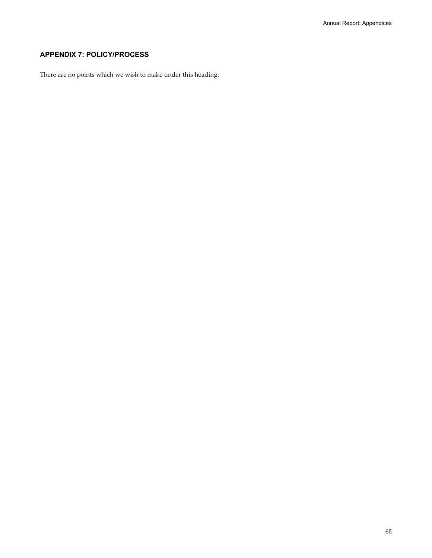# **APPENDIX 7: POLICY/PROCESS**

There are no points which we wish to make under this heading.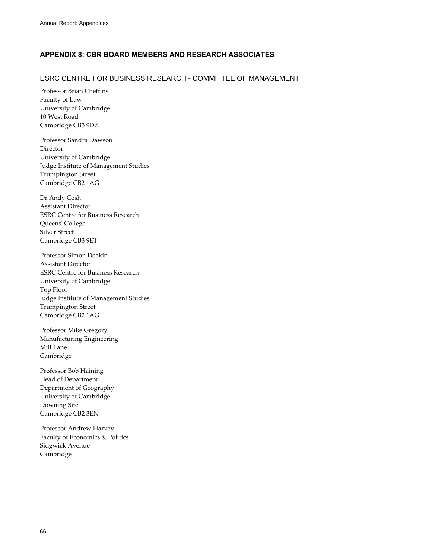# **APPENDIX 8: CBR BOARD MEMBERS AND RESEARCH ASSOCIATES**

## ESRC CENTRE FOR BUSINESS RESEARCH - COMMITTEE OF MANAGEMENT

Professor Brian Cheffins Faculty of Law University of Cambridge 10 West Road Cambridge CB3 9DZ

Professor Sandra Dawson Director University of Cambridge Judge Institute of Management Studies Trumpington Street Cambridge CB2 1AG

Dr Andy Cosh Assistant Director ESRC Centre for Business Research Queens' College Silver Street Cambridge CB3 9ET

Professor Simon Deakin Assistant Director ESRC Centre for Business Research University of Cambridge Top Floor Judge Institute of Management Studies Trumpington Street Cambridge CB2 1AG

Professor Mike Gregory Manufacturing Engineering Mill Lane Cambridge

Professor Bob Haining Head of Department Department of Geography University of Cambridge Downing Site Cambridge CB2 3EN

Professor Andrew Harvey Faculty of Economics & Politics Sidgwick Avenue Cambridge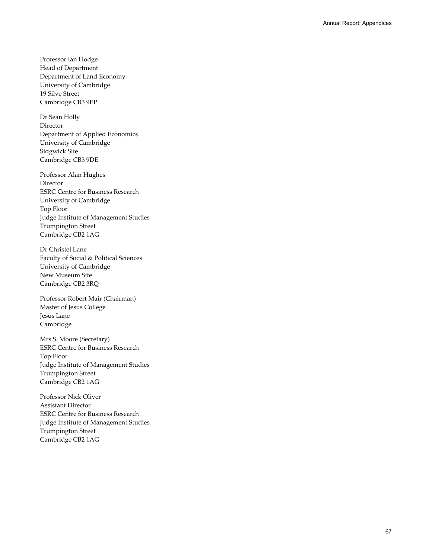Professor Ian Hodge Head of Department Department of Land Economy University of Cambridge 19 Silve Street Cambridge CB3 9EP

Dr Sean Holly Director Department of Applied Economics University of Cambridge Sidgwick Site Cambridge CB3 9DE

Professor Alan Hughes Director ESRC Centre for Business Research University of Cambridge Top Floor Judge Institute of Management Studies Trumpington Street Cambridge CB2 1AG

Dr Christel Lane Faculty of Social & Political Sciences University of Cambridge New Museum Site Cambridge CB2 3RQ

Professor Robert Mair (Chairman) Master of Jesus College Jesus Lane Cambridge

Mrs S. Moore (Secretary) ESRC Centre for Business Research Top Floor Judge Institute of Management Studies Trumpington Street Cambridge CB2 1AG

Professor Nick Oliver Assistant Director ESRC Centre for Business Research Judge Institute of Management Studies Trumpington Street Cambridge CB2 1AG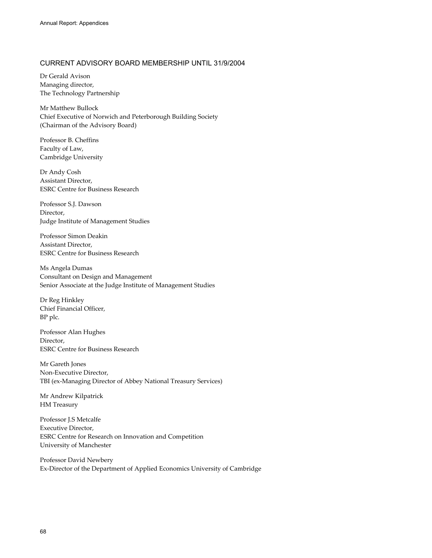## CURRENT ADVISORY BOARD MEMBERSHIP UNTIL 31/9/2004

Dr Gerald Avison Managing director, The Technology Partnership

Mr Matthew Bullock Chief Executive of Norwich and Peterborough Building Society (Chairman of the Advisory Board)

Professor B. Cheffins Faculty of Law, Cambridge University

Dr Andy Cosh Assistant Director, ESRC Centre for Business Research

Professor S.J. Dawson Director, Judge Institute of Management Studies

Professor Simon Deakin Assistant Director, ESRC Centre for Business Research

Ms Angela Dumas Consultant on Design and Management Senior Associate at the Judge Institute of Management Studies

Dr Reg Hinkley Chief Financial Officer, BP plc.

Professor Alan Hughes Director, ESRC Centre for Business Research

Mr Gareth Jones Non-Executive Director, TBI (ex-Managing Director of Abbey National Treasury Services)

Mr Andrew Kilpatrick HM Treasury

Professor J.S Metcalfe Executive Director, ESRC Centre for Research on Innovation and Competition University of Manchester

Professor David Newbery Ex-Director of the Department of Applied Economics University of Cambridge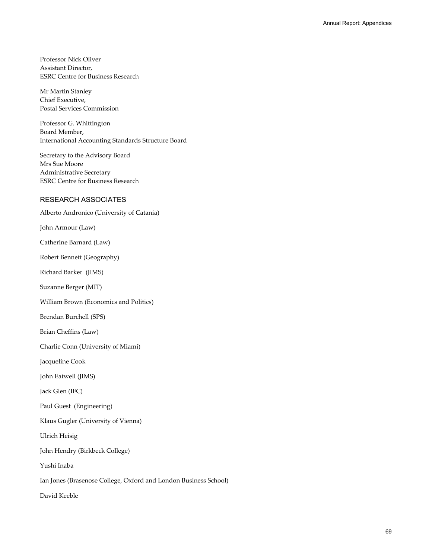Professor Nick Oliver Assistant Director, ESRC Centre for Business Research

Mr Martin Stanley Chief Executive, Postal Services Commission

Professor G. Whittington Board Member, International Accounting Standards Structure Board

Secretary to the Advisory Board Mrs Sue Moore Administrative Secretary ESRC Centre for Business Research

## RESEARCH ASSOCIATES

Alberto Andronico (University of Catania)

John Armour (Law)

Catherine Barnard (Law)

Robert Bennett (Geography)

Richard Barker (JIMS)

Suzanne Berger (MIT)

William Brown (Economics and Politics)

Brendan Burchell (SPS)

Brian Cheffins (Law)

Charlie Conn (University of Miami)

Jacqueline Cook

John Eatwell (JIMS)

Jack Glen (IFC)

Paul Guest (Engineering)

Klaus Gugler (University of Vienna)

Ulrich Heisig

John Hendry (Birkbeck College)

Yushi Inaba

Ian Jones (Brasenose College, Oxford and London Business School)

David Keeble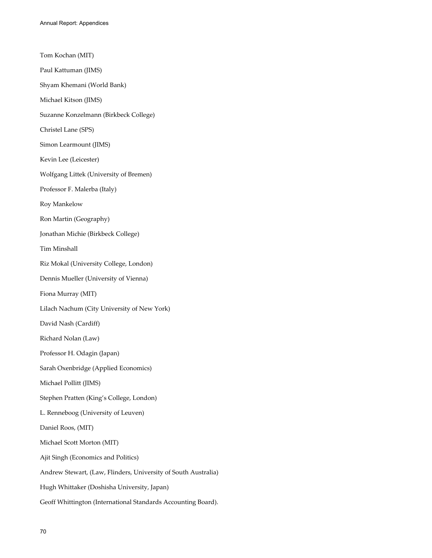Tom Kochan (MIT) Paul Kattuman (JIMS) Shyam Khemani (World Bank) Michael Kitson (JIMS) Suzanne Konzelmann (Birkbeck College) Christel Lane (SPS) Simon Learmount (JIMS) Kevin Lee (Leicester) Wolfgang Littek (University of Bremen) Professor F. Malerba (Italy) Roy Mankelow Ron Martin (Geography) Jonathan Michie (Birkbeck College) Tim Minshall Riz Mokal (University College, London) Dennis Mueller (University of Vienna) Fiona Murray (MIT) Lilach Nachum (City University of New York) David Nash (Cardiff) Richard Nolan (Law) Professor H. Odagin (Japan) Sarah Oxenbridge (Applied Economics) Michael Pollitt (JIMS) Stephen Pratten (King's College, London) L. Renneboog (University of Leuven) Daniel Roos, (MIT) Michael Scott Morton (MIT) Ajit Singh (Economics and Politics) Andrew Stewart, (Law, Flinders, University of South Australia) Hugh Whittaker (Doshisha University, Japan) Geoff Whittington (International Standards Accounting Board).